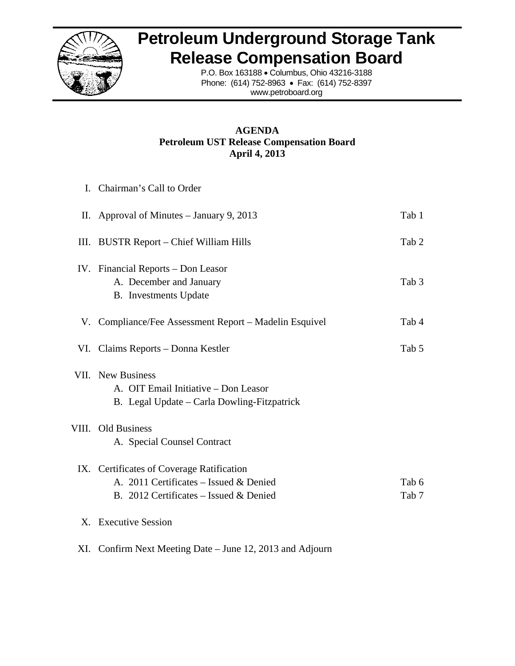

# **Petroleum Underground Storage Tank Release Compensation Board**

P.O. Box 163188 · Columbus, Ohio 43216-3188 Phone: (61 14) 752-8963 • Fax: (614) 752-8397 www.petro board.org

# **Petroleum UST Release Compensation Board A AGENDA Ap pril 4, 2013**

|     | I. Chairman's Call to Order                                                                                                   |                |
|-----|-------------------------------------------------------------------------------------------------------------------------------|----------------|
|     | II. Approval of Minutes $-$ January 9, 2013                                                                                   | Tab 1          |
|     | III. BUSTR Report – Chief William Hills                                                                                       | Tab 2          |
|     | IV. Financial Reports – Don Leasor<br>A. December and January<br><b>B.</b> Investments Update                                 | Tab 3          |
|     | V. Compliance/Fee Assessment Report – Madelin Esquivel                                                                        | Tab 4          |
|     | VI. Claims Reports – Donna Kestler                                                                                            | Tab 5          |
|     | VII. New Business<br>A. OIT Email Initiative - Don Leasor<br>B. Legal Update – Carla Dowling-Fitzpatrick                      |                |
|     | VIII. Old Business<br>A. Special Counsel Contract                                                                             |                |
|     | IX. Certificates of Coverage Ratification<br>A. 2011 Certificates – Issued & Denied<br>B. 2012 Certificates – Issued & Denied | Tab 6<br>Tab 7 |
|     | X. Executive Session                                                                                                          |                |
| XI. | Confirm Next Meeting Date – June 12, 2013 and Adjourn                                                                         |                |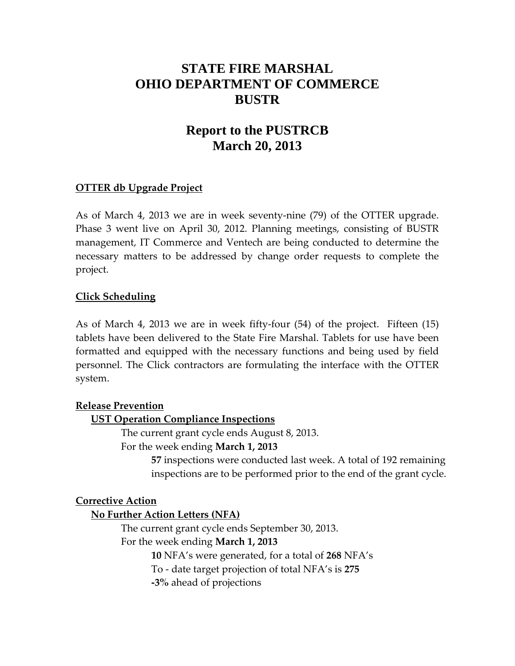# **STATE FIRE MARSHAL OHIO DEPARTMENT OF COMMERCE BUSTR**

# **Report to the PUSTRCB March 20, 2013**

# **OTTER db Upgrade Project**

As of March 4, 2013 we are in week seventy‐nine (79) of the OTTER upgrade. Phase 3 went live on April 30, 2012. Planning meetings, consisting of BUSTR management, IT Commerce and Ventech are being conducted to determine the necessary matters to be addressed by change order requests to complete the project.

# **Click Scheduling**

As of March 4, 2013 we are in week fifty‐four (54) of the project. Fifteen (15) tablets have been delivered to the State Fire Marshal. Tablets for use have been formatted and equipped with the necessary functions and being used by field personnel. The Click contractors are formulating the interface with the OTTER system.

## **Release Prevention**

# **UST Operation Compliance Inspections**

The current grant cycle ends August 8, 2013. For the week ending **March 1, 2013**

> **57** inspections were conducted last week. A total of 192 remaining inspections are to be performed prior to the end of the grant cycle.

## **Corrective Action**

## **No Further Action Letters (NFA)**

The current grant cycle ends September 30, 2013. For the week ending **March 1, 2013**

**10** NFA's were generated, for a total of **268** NFA's

To ‐ date target projection of total NFA's is **275**

**‐3%** ahead of projections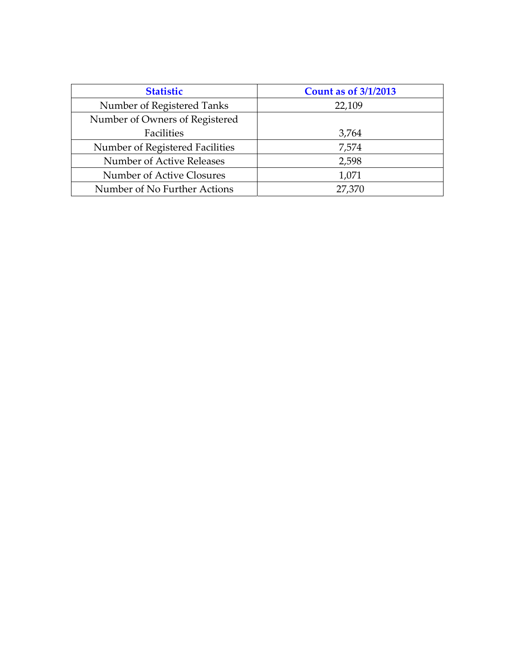| <b>Statistic</b>                | <b>Count as of 3/1/2013</b> |
|---------------------------------|-----------------------------|
| Number of Registered Tanks      | 22,109                      |
| Number of Owners of Registered  |                             |
| Facilities                      | 3,764                       |
| Number of Registered Facilities | 7,574                       |
| Number of Active Releases       | 2,598                       |
| Number of Active Closures       | 1,071                       |
| Number of No Further Actions    | 27,370                      |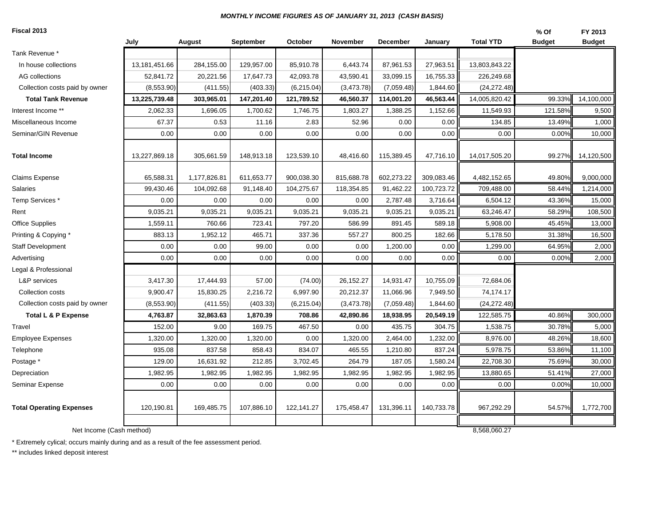#### *MONTHLY INCOME FIGURES AS OF JANUARY 31, 2013 (CASH BASIS)*

#### **Fiscal 2013**

| Fiscal 2013                     |               |              |            |             |            |                 |            |                  | % Of    | FY 2013       |
|---------------------------------|---------------|--------------|------------|-------------|------------|-----------------|------------|------------------|---------|---------------|
|                                 | July          | August       | September  | October     | November   | <b>December</b> | January    | <b>Total YTD</b> | Budget  | <b>Budget</b> |
| Tank Revenue *                  |               |              |            |             |            |                 |            |                  |         |               |
| In house collections            | 13,181,451.66 | 284,155.00   | 129,957.00 | 85,910.78   | 6,443.74   | 87,961.53       | 27,963.51  | 13,803,843.22    |         |               |
| AG collections                  | 52,841.72     | 20,221.56    | 17,647.73  | 42,093.78   | 43,590.41  | 33,099.15       | 16,755.33  | 226,249.68       |         |               |
| Collection costs paid by owner  | (8,553.90)    | (411.55)     | (403.33)   | (6,215.04)  | (3,473.78) | (7,059.48)      | 1,844.60   | (24, 272.48)     |         |               |
| <b>Total Tank Revenue</b>       | 13,225,739.48 | 303,965.01   | 147,201.40 | 121,789.52  | 46,560.37  | 114,001.20      | 46,563.44  | 14,005,820.42    | 99.33%  | 14,100,000    |
| Interest Income **              | 2,062.33      | 1,696.05     | 1,700.62   | 1,746.75    | 1,803.27   | 1,388.25        | 1,152.66   | 11,549.93        | 121.58% | 9,500         |
| Miscellaneous Income            | 67.37         | 0.53         | 11.16      | 2.83        | 52.96      | 0.00            | 0.00       | 134.85           | 13.49%  | 1,000         |
| Seminar/GIN Revenue             | 0.00          | 0.00         | 0.00       | 0.00        | 0.00       | 0.00            | 0.00       | 0.00             | 0.00%   | 10,000        |
|                                 |               |              |            |             |            |                 |            |                  |         |               |
| <b>Total Income</b>             | 13,227,869.18 | 305,661.59   | 148,913.18 | 123,539.10  | 48,416.60  | 115,389.45      | 47,716.10  | 14,017,505.20    | 99.27%  | 14,120,500    |
| Claims Expense                  | 65,588.31     | 1,177,826.81 | 611,653.77 | 900,038.30  | 815,688.78 | 602,273.22      | 309,083.46 | 4,482,152.65     | 49.80%  | 9,000,000     |
| Salaries                        | 99,430.46     | 104,092.68   | 91,148.40  | 104,275.67  | 118,354.85 | 91,462.22       | 100,723.72 | 709,488.00       | 58.44%  | 1,214,000     |
| Temp Services*                  | 0.00          | 0.00         | 0.00       | 0.00        | 0.00       | 2,787.48        | 3,716.64   | 6,504.12         | 43.36%  | 15,000        |
| Rent                            | 9,035.21      | 9,035.21     | 9,035.21   | 9,035.21    | 9,035.21   | 9,035.21        | 9,035.21   | 63,246.47        | 58.29%  | 108,500       |
| <b>Office Supplies</b>          | 1,559.11      | 760.66       | 723.41     | 797.20      | 586.99     | 891.45          | 589.18     | 5,908.00         | 45.45%  | 13,000        |
| Printing & Copying *            | 883.13        | 1,952.12     | 465.71     | 337.36      | 557.27     | 800.25          | 182.66     | 5,178.50         | 31.38%  | 16,500        |
| <b>Staff Development</b>        | 0.00          | 0.00         | 99.00      | 0.00        | 0.00       | 1,200.00        | 0.00       | 1,299.00         | 64.95%  | 2,000         |
| Advertising                     | 0.00          | 0.00         | 0.00       | 0.00        | 0.00       | 0.00            | 0.00       | 0.00             | 0.00%   | 2,000         |
| Legal & Professional            |               |              |            |             |            |                 |            |                  |         |               |
| L&P services                    | 3,417.30      | 17,444.93    | 57.00      | (74.00)     | 26,152.27  | 14,931.47       | 10,755.09  | 72,684.06        |         |               |
| Collection costs                | 9,900.47      | 15,830.25    | 2,216.72   | 6,997.90    | 20,212.37  | 11,066.96       | 7,949.50   | 74,174.17        |         |               |
| Collection costs paid by owner  | (8,553.90)    | (411.55)     | (403.33)   | (6, 215.04) | (3,473.78) | (7,059.48)      | 1,844.60   | (24, 272.48)     |         |               |
| <b>Total L &amp; P Expense</b>  | 4,763.87      | 32,863.63    | 1,870.39   | 708.86      | 42,890.86  | 18,938.95       | 20,549.19  | 122,585.75       | 40.86%  | 300,000       |
| Travel                          | 152.00        | 9.00         | 169.75     | 467.50      | 0.00       | 435.75          | 304.75     | 1,538.75         | 30.78%  | 5,000         |
| <b>Employee Expenses</b>        | 1,320.00      | 1,320.00     | 1,320.00   | 0.00        | 1,320.00   | 2,464.00        | 1,232.00   | 8,976.00         | 48.26%  | 18,600        |
| Telephone                       | 935.08        | 837.58       | 858.43     | 834.07      | 465.55     | 1,210.80        | 837.24     | 5,978.75         | 53.86%  | 11,100        |
| Postage *                       | 129.00        | 16,631.92    | 212.85     | 3,702.45    | 264.79     | 187.05          | 1,580.24   | 22,708.30        | 75.69%  | 30,000        |
| Depreciation                    | 1,982.95      | 1,982.95     | 1,982.95   | 1,982.95    | 1,982.95   | 1,982.95        | 1,982.95   | 13,880.65        | 51.41%  | 27,000        |
| Seminar Expense                 | 0.00          | 0.00         | 0.00       | 0.00        | 0.00       | 0.00            | 0.00       | 0.00             | 0.00%   | 10,000        |
|                                 |               |              |            |             |            |                 |            |                  |         |               |
| <b>Total Operating Expenses</b> | 120,190.81    | 169,485.75   | 107,886.10 | 122,141.27  | 175,458.47 | 131,396.11      | 140,733.78 | 967,292.29       | 54.57%  | 1,772,700     |
|                                 |               |              |            |             |            |                 |            |                  |         |               |
| Net Income (Cash method)        |               |              |            |             |            |                 |            | 8,568,060.27     |         |               |

\* Extremely cylical; occurs mainly during and as a result of the fee assessment period.

\*\* includes linked deposit interest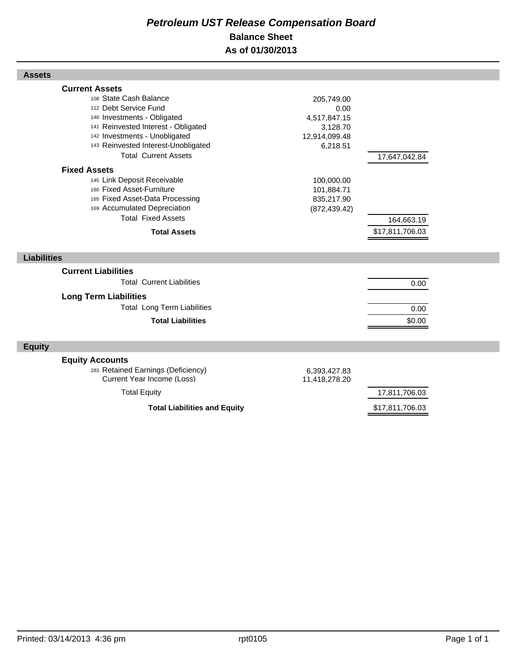# *Petroleum UST Release Compensation Board*  **Balance Sheet As of 01/30/2013**

| 112 Debt Service Fund<br>140 Investments - Obligated<br>141 Reinvested Interest - Obligated<br>142 Investments - Unobligated<br>143 Reinvested Interest-Unobligated<br><b>Total Current Assets</b> | 0.00<br>4,517,847.15<br>3,128.70<br>12,914,099.48<br>6,218.51 | 17,647,042.84   |
|----------------------------------------------------------------------------------------------------------------------------------------------------------------------------------------------------|---------------------------------------------------------------|-----------------|
| <b>Fixed Assets</b><br>145 Link Deposit Receivable<br>160 Fixed Asset-Furniture<br>165 Fixed Asset-Data Processing<br>169 Accumulated Depreciation<br><b>Total Fixed Assets</b>                    | 100,000.00<br>101,884.71<br>835,217.90<br>(872, 439.42)       | 164,663.19      |
| <b>Total Assets</b>                                                                                                                                                                                |                                                               | \$17,811,706.03 |
| <b>Liabilities</b>                                                                                                                                                                                 |                                                               |                 |
| <b>Current Liabilities</b><br><b>Total Current Liabilities</b>                                                                                                                                     |                                                               | 0.00            |
| <b>Total Long Term Liabilities</b><br><b>Total Liabilities</b>                                                                                                                                     |                                                               | 0.00<br>\$0.00  |
|                                                                                                                                                                                                    |                                                               |                 |
| <b>Equity Accounts</b><br>283 Retained Earnings (Deficiency)<br>Current Year Income (Loss)                                                                                                         | 6,393,427.83<br>11,418,278.20                                 |                 |
|                                                                                                                                                                                                    | <b>Long Term Liabilities</b>                                  |                 |

<sup>108</sup> State Cash Balance 205,749.00

**Total Liabilities and Equity** \$17,811,706.03

**Assets**

**Current Assets**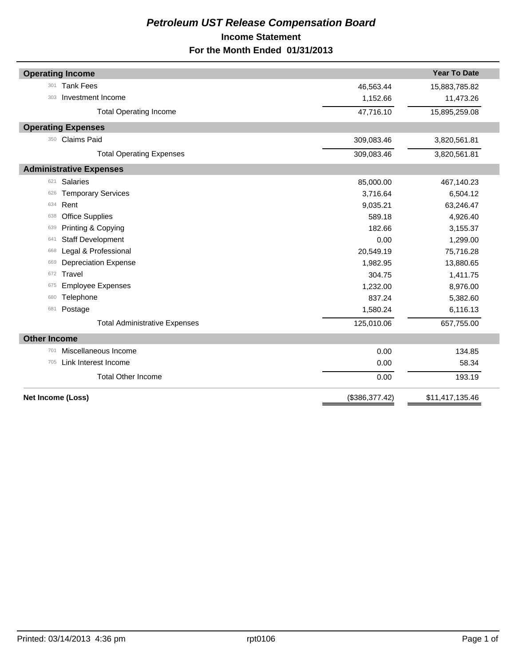# *Petroleum UST Release Compensation Board*  **Income Statement For the Month Ended 01/31/2013**

| <b>Operating Income</b>              |                | <b>Year To Date</b> |
|--------------------------------------|----------------|---------------------|
| <b>Tank Fees</b><br>301              | 46,563.44      | 15,883,785.82       |
| Investment Income<br>303             | 1,152.66       | 11,473.26           |
| <b>Total Operating Income</b>        | 47,716.10      | 15,895,259.08       |
| <b>Operating Expenses</b>            |                |                     |
| <b>Claims Paid</b><br>350            | 309,083.46     | 3,820,561.81        |
| <b>Total Operating Expenses</b>      | 309,083.46     | 3,820,561.81        |
| <b>Administrative Expenses</b>       |                |                     |
| Salaries<br>621                      | 85,000.00      | 467,140.23          |
| <b>Temporary Services</b><br>626     | 3,716.64       | 6,504.12            |
| Rent<br>634                          | 9,035.21       | 63,246.47           |
| <b>Office Supplies</b><br>638        | 589.18         | 4,926.40            |
| Printing & Copying<br>639            | 182.66         | 3,155.37            |
| <b>Staff Development</b><br>641      | 0.00           | 1,299.00            |
| Legal & Professional<br>668          | 20,549.19      | 75,716.28           |
| <b>Depreciation Expense</b><br>669   | 1,982.95       | 13,880.65           |
| Travel<br>672                        | 304.75         | 1,411.75            |
| <b>Employee Expenses</b><br>675      | 1,232.00       | 8,976.00            |
| Telephone<br>680                     | 837.24         | 5,382.60            |
| Postage<br>681                       | 1,580.24       | 6,116.13            |
| <b>Total Administrative Expenses</b> | 125,010.06     | 657,755.00          |
| <b>Other Income</b>                  |                |                     |
| Miscellaneous Income<br>701          | 0.00           | 134.85              |
| Link Interest Income<br>705          | 0.00           | 58.34               |
| <b>Total Other Income</b>            | 0.00           | 193.19              |
| Net Income (Loss)                    | (\$386,377.42) | \$11,417,135.46     |
|                                      |                |                     |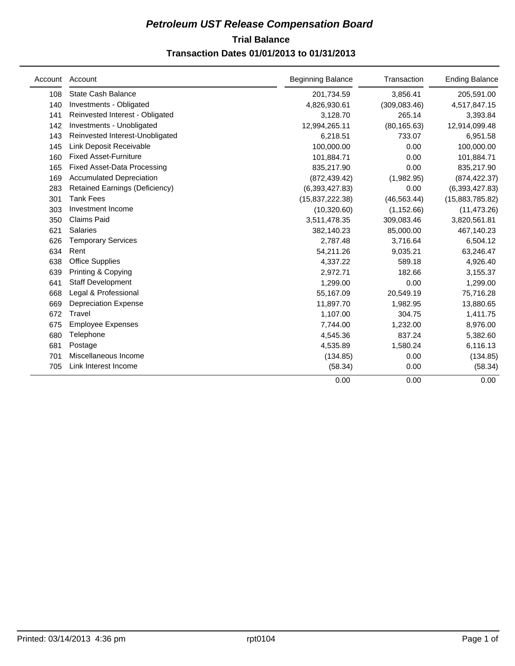# **Trial Balance** *Petroleum UST Release Compensation Board*  **Transaction Dates 01/01/2013 to 01/31/2013**

| Account | Account                            | <b>Beginning Balance</b> | Transaction   | <b>Ending Balance</b> |
|---------|------------------------------------|--------------------------|---------------|-----------------------|
| 108     | <b>State Cash Balance</b>          | 201,734.59               | 3,856.41      | 205,591.00            |
| 140     | Investments - Obligated            | 4,826,930.61             | (309, 083.46) | 4,517,847.15          |
| 141     | Reinvested Interest - Obligated    | 3,128.70                 | 265.14        | 3,393.84              |
| 142     | Investments - Unobligated          | 12,994,265.11            | (80, 165.63)  | 12,914,099.48         |
| 143     | Reinvested Interest-Unobligated    | 6,218.51                 | 733.07        | 6,951.58              |
| 145     | Link Deposit Receivable            | 100,000.00               | 0.00          | 100,000.00            |
| 160     | <b>Fixed Asset-Furniture</b>       | 101,884.71               | 0.00          | 101,884.71            |
| 165     | <b>Fixed Asset-Data Processing</b> | 835,217.90               | 0.00          | 835,217.90            |
| 169     | <b>Accumulated Depreciation</b>    | (872, 439.42)            | (1,982.95)    | (874, 422.37)         |
| 283     | Retained Earnings (Deficiency)     | (6,393,427.83)           | 0.00          | (6,393,427.83)        |
| 301     | <b>Tank Fees</b>                   | (15,837,222.38)          | (46, 563.44)  | (15,883,785.82)       |
| 303     | Investment Income                  | (10, 320.60)             | (1, 152.66)   | (11, 473.26)          |
| 350     | <b>Claims Paid</b>                 | 3,511,478.35             | 309,083.46    | 3,820,561.81          |
| 621     | <b>Salaries</b>                    | 382,140.23               | 85,000.00     | 467,140.23            |
| 626     | <b>Temporary Services</b>          | 2,787.48                 | 3,716.64      | 6,504.12              |
| 634     | Rent                               | 54,211.26                | 9,035.21      | 63,246.47             |
| 638     | <b>Office Supplies</b>             | 4,337.22                 | 589.18        | 4,926.40              |
| 639     | Printing & Copying                 | 2,972.71                 | 182.66        | 3,155.37              |
| 641     | <b>Staff Development</b>           | 1,299.00                 | 0.00          | 1,299.00              |
| 668     | Legal & Professional               | 55,167.09                | 20,549.19     | 75,716.28             |
| 669     | <b>Depreciation Expense</b>        | 11,897.70                | 1,982.95      | 13,880.65             |
| 672     | Travel                             | 1.107.00                 | 304.75        | 1,411.75              |
| 675     | <b>Employee Expenses</b>           | 7,744.00                 | 1,232.00      | 8,976.00              |
| 680     | Telephone                          | 4,545.36                 | 837.24        | 5,382.60              |
| 681     | Postage                            | 4,535.89                 | 1,580.24      | 6,116.13              |
| 701     | Miscellaneous Income               | (134.85)                 | 0.00          | (134.85)              |
| 705     | Link Interest Income               | (58.34)                  | 0.00          | (58.34)               |
|         |                                    | 0.00                     | 0.00          | 0.00                  |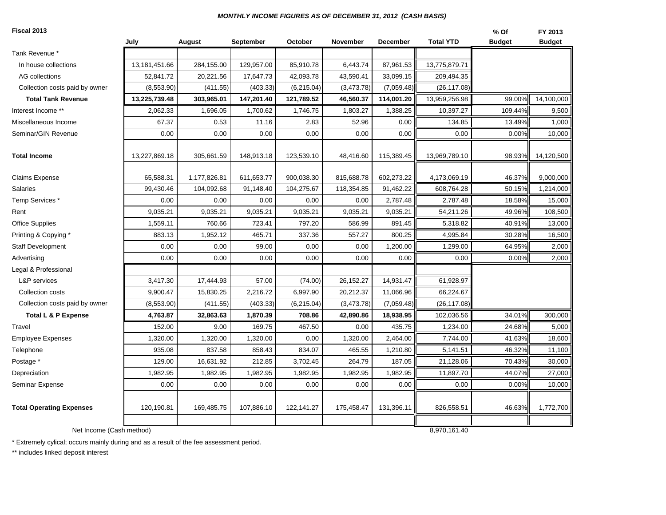#### *MONTHLY INCOME FIGURES AS OF DECEMBER 31, 2012 (CASH BASIS)*

#### **Fiscal 2013**

| Fiscal 2013                     |               |              |                  |            |             |                 |                  | % Of          | FY 2013       |
|---------------------------------|---------------|--------------|------------------|------------|-------------|-----------------|------------------|---------------|---------------|
|                                 | July          | August       | <b>September</b> | October    | November    | <b>December</b> | <b>Total YTD</b> | <b>Budget</b> | <b>Budget</b> |
| Tank Revenue *                  |               |              |                  |            |             |                 |                  |               |               |
| In house collections            | 13,181,451.66 | 284,155.00   | 129,957.00       | 85,910.78  | 6,443.74    | 87,961.53       | 13,775,879.71    |               |               |
| AG collections                  | 52,841.72     | 20,221.56    | 17,647.73        | 42,093.78  | 43,590.41   | 33,099.15       | 209,494.35       |               |               |
| Collection costs paid by owner  | (8,553.90)    | (411.55)     | (403.33)         | (6,215.04) | (3,473.78)  | (7,059.48)      | (26, 117.08)     |               |               |
| <b>Total Tank Revenue</b>       | 13,225,739.48 | 303,965.01   | 147,201.40       | 121,789.52 | 46,560.37   | 114,001.20      | 13,959,256.98    | 99.00%        | 14,100,000    |
| Interest Income **              | 2,062.33      | 1,696.05     | 1,700.62         | 1,746.75   | 1,803.27    | 1,388.25        | 10,397.27        | 109.44%       | 9,500         |
| Miscellaneous Income            | 67.37         | 0.53         | 11.16            | 2.83       | 52.96       | 0.00            | 134.85           | 13.49%        | 1,000         |
| Seminar/GIN Revenue             | 0.00          | 0.00         | 0.00             | 0.00       | 0.00        | 0.00            | 0.00             | 0.00%         | 10,000        |
| <b>Total Income</b>             | 13,227,869.18 | 305,661.59   | 148,913.18       | 123,539.10 | 48,416.60   | 115,389.45      | 13,969,789.10    | 98.93%        | 14,120,500    |
| Claims Expense                  | 65,588.31     | 1,177,826.81 | 611,653.77       | 900,038.30 | 815,688.78  | 602,273.22      | 4,173,069.19     | 46.37%        | 9,000,000     |
| Salaries                        | 99,430.46     | 104,092.68   | 91,148.40        | 104,275.67 | 118,354.85  | 91,462.22       | 608,764.28       | 50.15%        | 1,214,000     |
| Temp Services *                 | 0.00          | 0.00         | 0.00             | 0.00       | 0.00        | 2,787.48        | 2,787.48         | 18.58%        | 15,000        |
| Rent                            | 9,035.21      | 9,035.21     | 9,035.21         | 9,035.21   | 9,035.21    | 9,035.21        | 54,211.26        | 49.96%        | 108,500       |
| <b>Office Supplies</b>          | 1,559.11      | 760.66       | 723.41           | 797.20     | 586.99      | 891.45          | 5,318.82         | 40.91%        | 13,000        |
| Printing & Copying *            | 883.13        | 1,952.12     | 465.71           | 337.36     | 557.27      | 800.25          | 4,995.84         | 30.28%        | 16,500        |
| <b>Staff Development</b>        | 0.00          | 0.00         | 99.00            | 0.00       | 0.00        | 1,200.00        | 1,299.00         | 64.95%        | 2,000         |
| Advertising                     | 0.00          | 0.00         | 0.00             | 0.00       | 0.00        | 0.00            | 0.00             | 0.00%         | 2,000         |
| Legal & Professional            |               |              |                  |            |             |                 |                  |               |               |
| L&P services                    | 3,417.30      | 17,444.93    | 57.00            | (74.00)    | 26, 152. 27 | 14,931.47       | 61,928.97        |               |               |
| Collection costs                | 9,900.47      | 15,830.25    | 2,216.72         | 6,997.90   | 20,212.37   | 11,066.96       | 66,224.67        |               |               |
| Collection costs paid by owner  | (8,553.90)    | (411.55)     | (403.33)         | (6,215.04) | (3,473.78)  | (7,059.48)      | (26, 117.08)     |               |               |
| <b>Total L &amp; P Expense</b>  | 4,763.87      | 32,863.63    | 1,870.39         | 708.86     | 42,890.86   | 18,938.95       | 102,036.56       | 34.01%        | 300,000       |
| Travel                          | 152.00        | 9.00         | 169.75           | 467.50     | 0.00        | 435.75          | 1,234.00         | 24.68%        | 5,000         |
| <b>Employee Expenses</b>        | 1,320.00      | 1,320.00     | 1,320.00         | 0.00       | 1,320.00    | 2,464.00        | 7,744.00         | 41.63%        | 18,600        |
| Telephone                       | 935.08        | 837.58       | 858.43           | 834.07     | 465.55      | 1,210.80        | 5,141.51         | 46.32%        | 11,100        |
| Postage *                       | 129.00        | 16,631.92    | 212.85           | 3,702.45   | 264.79      | 187.05          | 21,128.06        | 70.43%        | 30,000        |
| Depreciation                    | 1,982.95      | 1,982.95     | 1,982.95         | 1,982.95   | 1,982.95    | 1,982.95        | 11,897.70        | 44.07%        | 27,000        |
| Seminar Expense                 | 0.00          | 0.00         | 0.00             | 0.00       | 0.00        | 0.00            | 0.00             | 0.00%         | 10,000        |
| <b>Total Operating Expenses</b> | 120,190.81    | 169,485.75   | 107,886.10       | 122,141.27 | 175,458.47  | 131,396.11      | 826,558.51       | 46.63%        | 1,772,700     |
| Net Income (Cash method)        |               |              |                  |            |             |                 | 8,970,161.40     |               |               |
|                                 |               |              |                  |            |             |                 |                  |               |               |

\* Extremely cylical; occurs mainly during and as a result of the fee assessment period.

\*\* includes linked deposit interest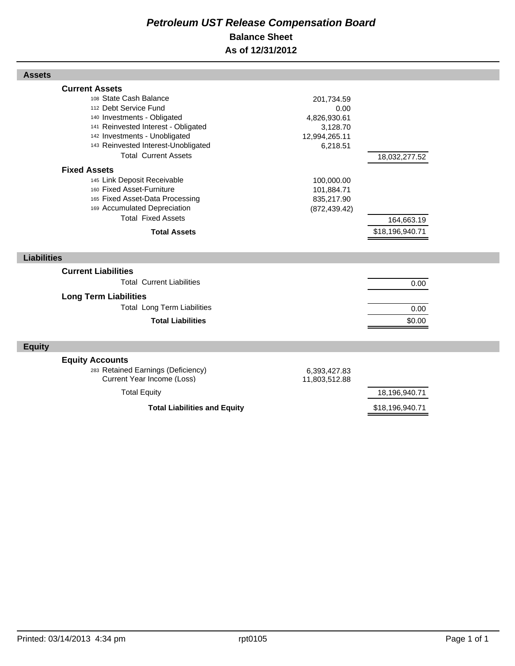# *Petroleum UST Release Compensation Board*  **Balance Sheet As of 12/31/2012**

|                    | <b>Current Assets</b><br>108 State Cash Balance              |                    |                 |  |
|--------------------|--------------------------------------------------------------|--------------------|-----------------|--|
|                    | 112 Debt Service Fund                                        | 201,734.59<br>0.00 |                 |  |
|                    | 140 Investments - Obligated                                  | 4,826,930.61       |                 |  |
|                    | 141 Reinvested Interest - Obligated                          | 3,128.70           |                 |  |
|                    | 142 Investments - Unobligated                                | 12,994,265.11      |                 |  |
|                    | 143 Reinvested Interest-Unobligated                          | 6,218.51           |                 |  |
|                    | <b>Total Current Assets</b>                                  |                    | 18,032,277.52   |  |
|                    | <b>Fixed Assets</b>                                          |                    |                 |  |
|                    | 145 Link Deposit Receivable                                  | 100,000.00         |                 |  |
|                    | 160 Fixed Asset-Furniture                                    | 101,884.71         |                 |  |
|                    | 165 Fixed Asset-Data Processing                              | 835,217.90         |                 |  |
|                    | 169 Accumulated Depreciation                                 | (872, 439.42)      |                 |  |
|                    | <b>Total Fixed Assets</b>                                    |                    | 164,663.19      |  |
|                    | <b>Total Assets</b>                                          |                    | \$18,196,940.71 |  |
|                    |                                                              |                    |                 |  |
|                    |                                                              |                    |                 |  |
| <b>Liabilities</b> |                                                              |                    |                 |  |
|                    | <b>Current Liabilities</b>                                   |                    |                 |  |
|                    | <b>Total Current Liabilities</b>                             |                    |                 |  |
|                    |                                                              |                    | 0.00            |  |
|                    | <b>Long Term Liabilities</b>                                 |                    |                 |  |
|                    | <b>Total Long Term Liabilities</b>                           |                    | 0.00            |  |
|                    | <b>Total Liabilities</b>                                     |                    | \$0.00          |  |
|                    |                                                              |                    |                 |  |
| <b>Equity</b>      |                                                              |                    |                 |  |
|                    |                                                              |                    |                 |  |
|                    | <b>Equity Accounts</b><br>283 Retained Earnings (Deficiency) | 6,393,427.83       |                 |  |
|                    | Current Year Income (Loss)                                   | 11,803,512.88      |                 |  |
|                    | <b>Total Equity</b>                                          |                    | 18,196,940.71   |  |
|                    | <b>Total Liabilities and Equity</b>                          |                    | \$18,196,940.71 |  |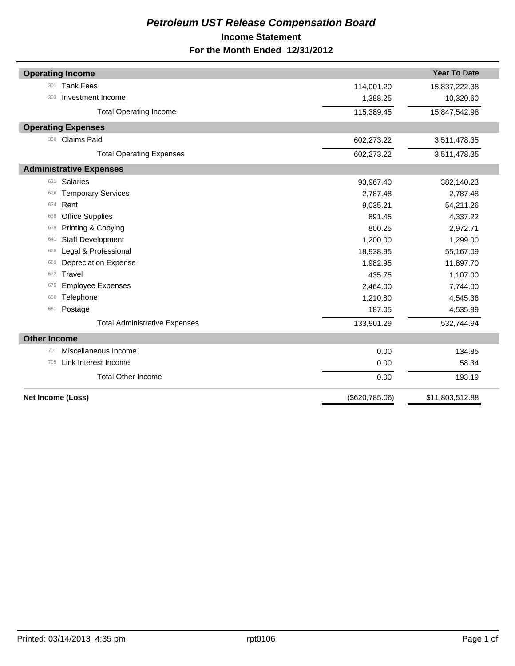# *Petroleum UST Release Compensation Board*  **Income Statement For the Month Ended 12/31/2012**

| <b>Operating Income</b>              |                | <b>Year To Date</b> |
|--------------------------------------|----------------|---------------------|
| <b>Tank Fees</b><br>301              | 114,001.20     | 15,837,222.38       |
| Investment Income<br>303             | 1,388.25       | 10,320.60           |
| <b>Total Operating Income</b>        | 115,389.45     | 15,847,542.98       |
| <b>Operating Expenses</b>            |                |                     |
| <b>Claims Paid</b><br>350            | 602,273.22     | 3,511,478.35        |
| <b>Total Operating Expenses</b>      | 602,273.22     | 3,511,478.35        |
| <b>Administrative Expenses</b>       |                |                     |
| Salaries<br>621                      | 93,967.40      | 382,140.23          |
| <b>Temporary Services</b><br>626     | 2,787.48       | 2,787.48            |
| Rent<br>634                          | 9,035.21       | 54,211.26           |
| <b>Office Supplies</b><br>638        | 891.45         | 4,337.22            |
| Printing & Copying<br>639            | 800.25         | 2,972.71            |
| <b>Staff Development</b><br>641      | 1,200.00       | 1,299.00            |
| Legal & Professional<br>668          | 18,938.95      | 55,167.09           |
| <b>Depreciation Expense</b><br>669   | 1,982.95       | 11,897.70           |
| Travel<br>672                        | 435.75         | 1,107.00            |
| <b>Employee Expenses</b><br>675      | 2,464.00       | 7,744.00            |
| Telephone<br>680                     | 1,210.80       | 4,545.36            |
| Postage<br>681                       | 187.05         | 4,535.89            |
| <b>Total Administrative Expenses</b> | 133,901.29     | 532,744.94          |
| <b>Other Income</b>                  |                |                     |
| Miscellaneous Income<br>701          | 0.00           | 134.85              |
| Link Interest Income<br>705          | 0.00           | 58.34               |
| <b>Total Other Income</b>            | 0.00           | 193.19              |
| Net Income (Loss)                    | (\$620,785.06) | \$11,803,512.88     |
|                                      |                |                     |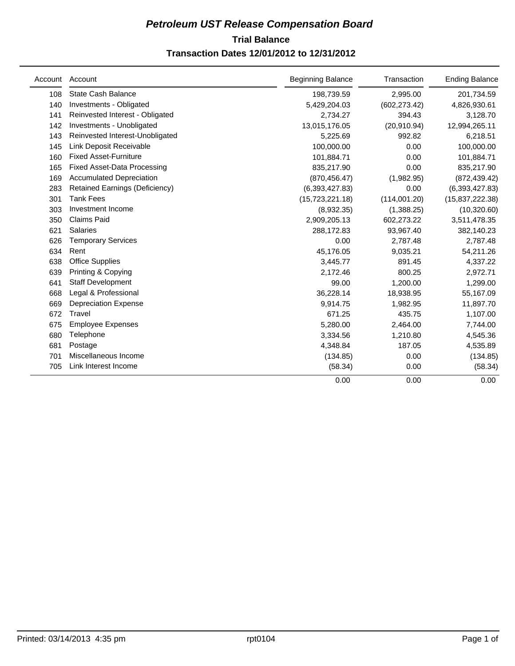# **Trial Balance** *Petroleum UST Release Compensation Board*  **Transaction Dates 12/01/2012 to 12/31/2012**

| Account | Account                            | <b>Beginning Balance</b> | Transaction   | <b>Ending Balance</b> |
|---------|------------------------------------|--------------------------|---------------|-----------------------|
| 108     | <b>State Cash Balance</b>          | 198,739.59               | 2,995.00      | 201,734.59            |
| 140     | Investments - Obligated            | 5,429,204.03             | (602, 273.42) | 4,826,930.61          |
| 141     | Reinvested Interest - Obligated    | 2,734.27                 | 394.43        | 3,128.70              |
| 142     | Investments - Unobligated          | 13,015,176.05            | (20,910.94)   | 12,994,265.11         |
| 143     | Reinvested Interest-Unobligated    | 5,225.69                 | 992.82        | 6,218.51              |
| 145     | Link Deposit Receivable            | 100,000.00               | 0.00          | 100,000.00            |
| 160     | <b>Fixed Asset-Furniture</b>       | 101,884.71               | 0.00          | 101,884.71            |
| 165     | <b>Fixed Asset-Data Processing</b> | 835,217.90               | 0.00          | 835,217.90            |
| 169     | <b>Accumulated Depreciation</b>    | (870, 456.47)            | (1,982.95)    | (872, 439.42)         |
| 283     | Retained Earnings (Deficiency)     | (6,393,427.83)           | 0.00          | (6, 393, 427.83)      |
| 301     | <b>Tank Fees</b>                   | (15, 723, 221.18)        | (114,001.20)  | (15, 837, 222.38)     |
| 303     | Investment Income                  | (8,932.35)               | (1,388.25)    | (10, 320.60)          |
| 350     | <b>Claims Paid</b>                 | 2,909,205.13             | 602,273.22    | 3,511,478.35          |
| 621     | <b>Salaries</b>                    | 288,172.83               | 93,967.40     | 382,140.23            |
| 626     | <b>Temporary Services</b>          | 0.00                     | 2,787.48      | 2,787.48              |
| 634     | Rent                               | 45,176.05                | 9,035.21      | 54,211.26             |
| 638     | <b>Office Supplies</b>             | 3,445.77                 | 891.45        | 4,337.22              |
| 639     | Printing & Copying                 | 2,172.46                 | 800.25        | 2,972.71              |
| 641     | <b>Staff Development</b>           | 99.00                    | 1,200.00      | 1,299.00              |
| 668     | Legal & Professional               | 36,228.14                | 18,938.95     | 55,167.09             |
| 669     | <b>Depreciation Expense</b>        | 9,914.75                 | 1,982.95      | 11,897.70             |
| 672     | Travel                             | 671.25                   | 435.75        | 1,107.00              |
| 675     | <b>Employee Expenses</b>           | 5,280.00                 | 2,464.00      | 7,744.00              |
| 680     | Telephone                          | 3,334.56                 | 1,210.80      | 4,545.36              |
| 681     | Postage                            | 4,348.84                 | 187.05        | 4,535.89              |
| 701     | Miscellaneous Income               | (134.85)                 | 0.00          | (134.85)              |
| 705     | Link Interest Income               | (58.34)                  | 0.00          | (58.34)               |
|         |                                    | 0.00                     | 0.00          | 0.00                  |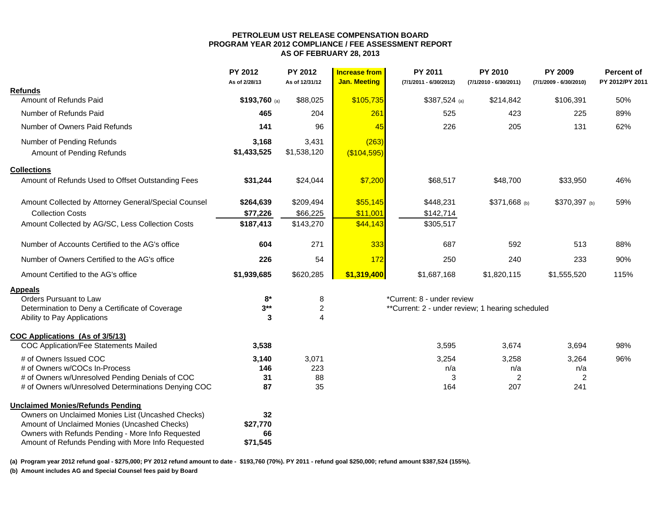#### **PETROLEUM UST RELEASE COMPENSATION BOARD PROGRAM YEAR 2012 COMPLIANCE / FEE ASSESSMENT REPORT AS OF FEBRUARY 28, 2013**

|                                                      | <b>PY 2012</b><br>As of 2/28/13 | PY 2012<br>As of 12/31/12 | <b>Increase from</b><br><b>Jan. Meeting</b> | PY 2011<br>(7/1/2011 - 6/30/2012)                | PY 2010<br>(7/1/2010 - 6/30/2011) | PY 2009<br>(7/1/2009 - 6/30/2010) | <b>Percent of</b><br>PY 2012/PY 2011 |
|------------------------------------------------------|---------------------------------|---------------------------|---------------------------------------------|--------------------------------------------------|-----------------------------------|-----------------------------------|--------------------------------------|
| <b>Refunds</b>                                       |                                 |                           |                                             |                                                  |                                   |                                   |                                      |
| Amount of Refunds Paid                               | $$193,760$ (a)                  | \$88,025                  | \$105,735                                   | $$387,524$ (a)                                   | \$214,842                         | \$106,391                         | 50%                                  |
| Number of Refunds Paid                               | 465                             | 204                       | 261                                         | 525                                              | 423                               | 225                               | 89%                                  |
| Number of Owners Paid Refunds                        | 141                             | 96                        | 45                                          | 226                                              | 205                               | 131                               | 62%                                  |
| Number of Pending Refunds                            | 3,168                           | 3,431                     | (263)                                       |                                                  |                                   |                                   |                                      |
| Amount of Pending Refunds                            | \$1,433,525                     | \$1,538,120               | (\$104,595)                                 |                                                  |                                   |                                   |                                      |
| <b>Collections</b>                                   |                                 |                           |                                             |                                                  |                                   |                                   |                                      |
| Amount of Refunds Used to Offset Outstanding Fees    | \$31,244                        | \$24,044                  | \$7,200                                     | \$68,517                                         | \$48,700                          | \$33,950                          | 46%                                  |
| Amount Collected by Attorney General/Special Counsel | \$264,639                       | \$209,494                 | \$55,145                                    | \$448,231                                        | \$371,668 (b)                     | \$370,397 (b)                     | 59%                                  |
| <b>Collection Costs</b>                              | \$77,226                        | \$66,225                  | \$11,001                                    | \$142,714                                        |                                   |                                   |                                      |
| Amount Collected by AG/SC, Less Collection Costs     | \$187,413                       | \$143,270                 | \$44,143                                    | \$305,517                                        |                                   |                                   |                                      |
| Number of Accounts Certified to the AG's office      | 604                             | 271                       | 333                                         | 687                                              | 592                               | 513                               | 88%                                  |
| Number of Owners Certified to the AG's office        | 226                             | 54                        | 172                                         | 250                                              | 240                               | 233                               | 90%                                  |
| Amount Certified to the AG's office                  | \$1,939,685                     | \$620,285                 | \$1,319,400                                 | \$1,687,168                                      | \$1,820,115                       | \$1,555,520                       | 115%                                 |
| <b>Appeals</b>                                       |                                 |                           |                                             |                                                  |                                   |                                   |                                      |
| <b>Orders Pursuant to Law</b>                        | $8*$                            | 8                         |                                             | *Current: 8 - under review                       |                                   |                                   |                                      |
| Determination to Deny a Certificate of Coverage      | $3***$                          | $\boldsymbol{2}$          |                                             | **Current: 2 - under review; 1 hearing scheduled |                                   |                                   |                                      |
| Ability to Pay Applications                          | 3                               | $\overline{4}$            |                                             |                                                  |                                   |                                   |                                      |
| COC Applications (As of 3/5/13)                      |                                 |                           |                                             |                                                  |                                   |                                   |                                      |
| <b>COC Application/Fee Statements Mailed</b>         | 3,538                           |                           |                                             | 3,595                                            | 3,674                             | 3,694                             | 98%                                  |
| # of Owners Issued COC                               | 3,140                           | 3,071                     |                                             | 3,254                                            | 3,258                             | 3,264                             | 96%                                  |
| # of Owners w/COCs In-Process                        | 146                             | 223                       |                                             | n/a                                              | n/a                               | n/a                               |                                      |
| # of Owners w/Unresolved Pending Denials of COC      | 31                              | 88                        |                                             | 3                                                | 2                                 | $\boldsymbol{2}$                  |                                      |
| # of Owners w/Unresolved Determinations Denying COC  | 87                              | 35                        |                                             | 164                                              | 207                               | 241                               |                                      |
| <b>Unclaimed Monies/Refunds Pending</b>              |                                 |                           |                                             |                                                  |                                   |                                   |                                      |
| Owners on Unclaimed Monies List (Uncashed Checks)    | 32                              |                           |                                             |                                                  |                                   |                                   |                                      |
| Amount of Unclaimed Monies (Uncashed Checks)         | \$27,770                        |                           |                                             |                                                  |                                   |                                   |                                      |
| Owners with Refunds Pending - More Info Requested    | 66                              |                           |                                             |                                                  |                                   |                                   |                                      |
| Amount of Refunds Pending with More Info Requested   | \$71,545                        |                           |                                             |                                                  |                                   |                                   |                                      |

**(a) Program year 2012 refund goal - \$275,000; PY 2012 refund amount to date - \$193,760 (70%). PY 2011 - refund goal \$250,000; refund amount \$387,524 (155%).** 

**(b) Amount includes AG and Special Counsel fees paid by Board**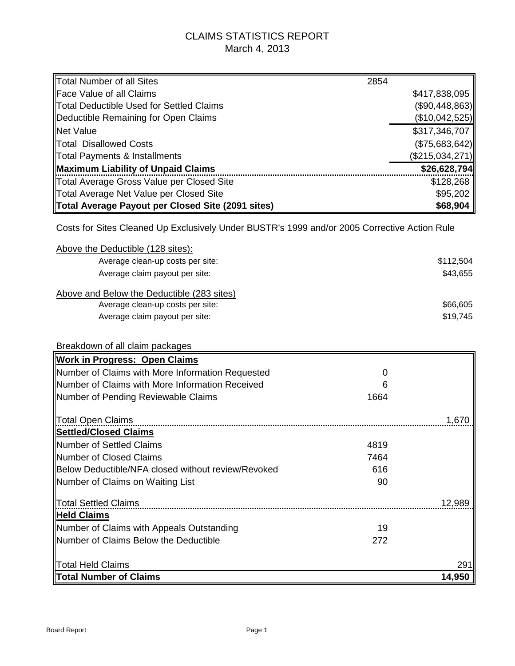# CLAIMS STATISTICS REPORT March 4, 2013

| Total Number of all Sites                         | 2854 |                 |
|---------------------------------------------------|------|-----------------|
| <b>Face Value of all Claims</b>                   |      | \$417,838,095   |
| Total Deductible Used for Settled Claims          |      | (\$90,448,863)  |
| Deductible Remaining for Open Claims              |      | (\$10,042,525)  |
| Net Value                                         |      | \$317,346,707   |
| <b>ITotal Disallowed Costs</b>                    |      | (\$75,683,642)  |
| Total Payments & Installments                     |      | (\$215,034,271) |
| Maximum Liability of Unpaid Claims                |      | \$26,628,794    |
| Total Average Gross Value per Closed Site         |      | \$128,268       |
| Total Average Net Value per Closed Site           |      | \$95,202        |
| Total Average Payout per Closed Site (2091 sites) |      | \$68,904        |
|                                                   |      |                 |

Costs for Sites Cleaned Up Exclusively Under BUSTR's 1999 and/or 2005 Corrective Action Rule

| Above the Deductible (128 sites):          |           |
|--------------------------------------------|-----------|
| Average clean-up costs per site:           | \$112,504 |
| Average claim payout per site:             | \$43,655  |
| Above and Below the Deductible (283 sites) |           |
| Average clean-up costs per site:           | \$66,605  |
| Average claim payout per site:             | \$19,745  |

| Breakdown of all claim packages                    |      |        |
|----------------------------------------------------|------|--------|
| <b>Work in Progress: Open Claims</b>               |      |        |
| Number of Claims with More Information Requested   | O    |        |
| Number of Claims with More Information Received    | ჩ    |        |
| Number of Pending Reviewable Claims                | 1664 |        |
| Total Open Claims                                  |      | 1.670  |
| Settled/Closed Claims                              |      |        |
| Number of Settled Claims                           | 4819 |        |
| Number of Closed Claims                            | 7464 |        |
| Below Deductible/NFA closed without review/Revoked | 616  |        |
| Number of Claims on Waiting List                   | 90   |        |
| <b>Total Settled Claims</b>                        |      | 12,989 |
| ∥Held Claims                                       |      |        |
| Number of Claims with Appeals Outstanding          | 19   |        |
| Number of Claims Below the Deductible              | 272  |        |
| <b>Total Held Claims</b>                           |      | 291    |
| Total Number of Claims                             |      | 14,950 |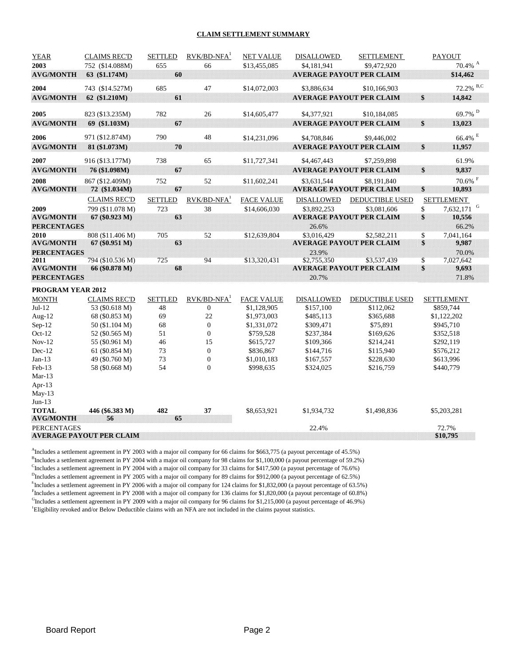#### **CLAIM SETTLEMENT SUMMARY**

| <b>YEAR</b>              | <b>CLAIMS REC'D</b>                | <b>SETTLED</b> | $RVK/BD-NFA1$          | <b>NET VALUE</b>       | DISALLOWED             | <b>SETTLEMENT</b>                              | <b>PAYOUT</b>                  |
|--------------------------|------------------------------------|----------------|------------------------|------------------------|------------------------|------------------------------------------------|--------------------------------|
| 2003                     | 752 (\$14.088M)                    | 655            | 66                     | \$13,455,085           | \$4,181,941            | \$9,472,920                                    | $70.4\%$ <sup>A</sup>          |
| <b>AVG/MONTH</b>         | 63 (\$1.174M)                      | 60             |                        |                        |                        | <b>AVERAGE PAYOUT PER CLAIM</b>                | \$14,462                       |
| 2004                     | 743 (\$14.527M)                    | 685            | 47                     | \$14,072,003           | \$3.886.634            | \$10,166,903                                   | $72.2\%$ B,C                   |
| <b>AVG/MONTH</b>         | 62 (\$1.210M)                      | 61             |                        |                        |                        | <b>AVERAGE PAYOUT PER CLAIM</b>                | \$<br>14,842                   |
|                          |                                    |                |                        |                        |                        |                                                |                                |
| 2005                     | 823 (\$13.235M)                    | 782            | 26                     | \$14,605,477           | \$4,377,921            | \$10,184,085                                   | $69.7\%$ $^{\rm D}$            |
| <b>AVG/MONTH</b>         | 69 (\$1.103M)                      | 67             |                        |                        |                        | <b>AVERAGE PAYOUT PER CLAIM</b>                | \$<br>13,023                   |
| 2006                     | 971 (\$12.874M)                    | 790            | 48                     | \$14,231,096           | \$4,708,846            | \$9,446,002                                    | $66.4\%$ $^{\rm E}$            |
| <b>AVG/MONTH</b>         | 81 (\$1.073M)                      | 70             |                        |                        |                        | <b>AVERAGE PAYOUT PER CLAIM</b>                | \$<br>11,957                   |
|                          |                                    |                |                        |                        |                        |                                                |                                |
| 2007                     | 916 (\$13.177M)                    | 738            | 65                     | \$11,727,341           | \$4,467,443            | \$7,259,898                                    | 61.9%                          |
| <b>AVG/MONTH</b>         | 76 (\$1.098M)                      | 67             |                        |                        |                        | <b>AVERAGE PAYOUT PER CLAIM</b>                | \$<br>9,837                    |
| 2008                     | 867 (\$12.409M)                    | 752            | 52                     | \$11,602,241           | \$3.631.544            | \$8,191,840                                    | $70.6\%$ <sup>F</sup>          |
| <b>AVG/MONTH</b>         | 72 (\$1.034M)                      | 67             |                        |                        |                        | <b>AVERAGE PAYOUT PER CLAIM</b>                | \$<br>10,893                   |
|                          | <b>CLAIMS REC'D</b>                | <b>SETTLED</b> | $RVK/BD-NFA1$          | <b>FACE VALUE</b>      | <b>DISALLOWED</b>      | <b>DEDUCTIBLE USED</b>                         | <b>SETTLEMENT</b>              |
| 2009                     | 799 (\$11.078 M)                   | 723            | 38                     | \$14,606,030           | \$3,892,253            | \$3,081,606                                    | 7,632,171 <sup>G</sup><br>\$   |
| <b>AVG/MONTH</b>         | 67 (\$0.923 M)                     | 63             |                        |                        |                        | <b>AVERAGE PAYOUT PER CLAIM</b>                | \$<br>10,556                   |
| <b>PERCENTAGES</b>       |                                    |                |                        |                        | 26.6%                  |                                                | 66.2%                          |
| 2010                     | 808 (\$11.406 M)                   | 705            | 52                     | \$12,639,804           | \$3,016,429            | \$2,582,211                                    | \$<br>7,041,164                |
| <b>AVG/MONTH</b>         | 67 (\$0.951 M)                     | 63             |                        |                        |                        | <b>AVERAGE PAYOUT PER CLAIM</b>                | \$<br>9,987                    |
| <b>PERCENTAGES</b>       |                                    |                |                        |                        | 23.9%                  |                                                | 70.0%                          |
| 2011<br><b>AVG/MONTH</b> | 794 (\$10.536 M)<br>66 (\$0.878 M) | 725<br>68      | 94                     | \$13,320,431           | \$2,755,350            | \$3,537,439<br><b>AVERAGE PAYOUT PER CLAIM</b> | \$<br>7,027,642<br>\$<br>9,693 |
| <b>PERCENTAGES</b>       |                                    |                |                        |                        | 20.7%                  |                                                | 71.8%                          |
|                          |                                    |                |                        |                        |                        |                                                |                                |
| PROGRAM YEAR 2012        |                                    |                |                        |                        |                        |                                                |                                |
| <b>MONTH</b>             | <b>CLAIMS REC'D</b>                | <b>SETTLED</b> | $RVK/BD-NFA1$          | <b>FACE VALUE</b>      | <b>DISALLOWED</b>      | <b>DEDUCTIBLE USED</b>                         | <b>SETTLEMENT</b>              |
| $Jul-12$                 | 53 (\$0.618 M)                     | 48             | $\overline{0}$         | \$1,128,905            | \$157,100              | \$112,062                                      | \$859,744                      |
| Aug- $12$                | 68 (\$0.853 M)                     | 69             | 22                     | \$1,973,003            | \$485,113              | \$365,688                                      | \$1,122,202                    |
| Sep-12                   | 50 (\$1.104 M)                     | 68             | $\mathbf{0}$           | \$1,331,072            | \$309,471              | \$75,891                                       | \$945,710                      |
| $Oct-12$<br>$Nov-12$     | 52 (\$0.565 M)<br>55 (\$0.961 M)   | 51<br>46       | $\boldsymbol{0}$<br>15 | \$759,528<br>\$615,727 | \$237,384<br>\$109,366 | \$169,626<br>\$214,241                         | \$352,518<br>\$292,119         |
| $Dec-12$                 | 61 (\$0.854 M)                     | 73             | $\mathbf{0}$           | \$836,867              | \$144,716              | \$115,940                                      | \$576,212                      |
| $Jan-13$                 | 49 (\$0.760 M)                     | 73             | $\overline{0}$         | \$1,010,183            | \$167,557              | \$228,630                                      | \$613,996                      |
| $Feb-13$                 | 58 (\$0.668 M)                     | 54             | $\theta$               | \$998,635              | \$324,025              | \$216,759                                      | \$440,779                      |
| Mar- $13$                |                                    |                |                        |                        |                        |                                                |                                |
| Apr-13                   |                                    |                |                        |                        |                        |                                                |                                |
| $May-13$                 |                                    |                |                        |                        |                        |                                                |                                |
| $Jun-13$                 |                                    |                |                        |                        |                        |                                                |                                |
| <b>TOTAL</b>             | 446 (\$6.383 M)                    | 482            | 37                     | \$8,653,921            | \$1,934,732            | \$1,498,836                                    | \$5,203,281                    |
| <b>AVG/MONTH</b>         | 56                                 | 65             |                        |                        |                        |                                                |                                |
| <b>PERCENTAGES</b>       | <b>AVERAGE PAYOUT PER CLAIM</b>    |                |                        |                        | 22.4%                  |                                                | 72.7%<br>\$10,795              |
|                          |                                    |                |                        |                        |                        |                                                |                                |

<sup>A</sup>Includes a settlement agreement in PY 2003 with a major oil company for 66 claims for \$663,775 (a payout percentage of 45.5%) <sup>B</sup>Includes a settlement agreement in PY 2004 with a major oil company for 98 claims for \$1,100,000 (a payout percentage of 59.2%) CIncludes a settlement agreement in PY 2004 with a major oil company for 33 claims for \$417,500 (a payout percentage of 76.6%)

 $<sup>D</sup>$  Includes a settlement agreement in PY 2005 with a major oil company for 89 claims for \$912,000 (a payout percentage of 62.5%)</sup>

<sup>E</sup>Includes a settlement agreement in PY 2006 with a major oil company for 124 claims for \$1,832,000 (a payout percentage of 63.5%)

Fincludes a settlement agreement in PY 2008 with a major oil company for 136 claims for \$1,820,000 (a payout percentage of 60.8%)

 $<sup>G</sup>$ Includes a settlement agreement in PY 2009 with a major oil company for 96 claims for \$1,215,000 (a payout percentage of 46.9%)</sup>

<sup>1</sup>Eligibility revoked and/or Below Deductible claims with an NFA are not included in the claims payout statistics.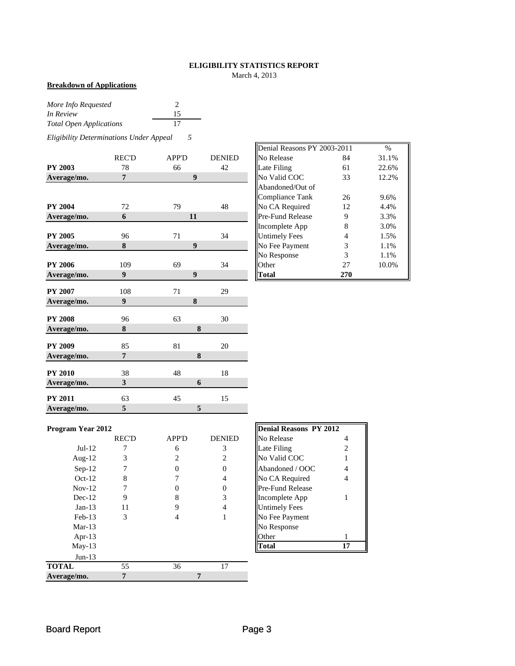### **ELIGIBILITY STATISTICS REPORT**

March 4, 2013

#### **Breakdown of Applications**

| More Info Requested            |    |
|--------------------------------|----|
| In Review                      | 15 |
| <b>Total Open Applications</b> | 17 |

*Eligibility Determinations Under Appeal 5*

|                | <b>REC'D</b>   | APP'D            | <b>DENIED</b> | No Release           | 84             | 31.1% |
|----------------|----------------|------------------|---------------|----------------------|----------------|-------|
| <b>PY 2003</b> | 78             | 66               | 42            | Late Filing          | 61             | 22.6% |
| Average/mo.    | 7              | 9                |               | No Valid COC         | 33             | 12.2% |
|                |                |                  |               | Abandoned/Out of     |                |       |
|                |                |                  |               | Compliance Tank      | 26             | 9.6%  |
| <b>PY 2004</b> | 72             | 79               | 48            | No CA Required       | 12             | 4.4%  |
| Average/mo.    | 6              | 11               |               | Pre-Fund Release     | 9              | 3.3%  |
|                |                |                  |               | Incomplete App       | 8              | 3.0%  |
| <b>PY 2005</b> | 96             | 71               | 34            | <b>Untimely Fees</b> | $\overline{4}$ | 1.5%  |
| Average/mo.    | 8              | $\boldsymbol{9}$ |               | No Fee Payment       | 3              | 1.1%  |
|                |                |                  |               | No Response          | 3              | 1.1%  |
| <b>PY 2006</b> | 109            | 69               | 34            | Other                | 27             | 10.0% |
| Average/mo.    | 9              | $\boldsymbol{9}$ |               | <b>Total</b>         | 270            |       |
| <b>PY 2007</b> | 108            | 71               | 29            |                      |                |       |
| Average/mo.    | 9              | 8                |               |                      |                |       |
| <b>PY 2008</b> | 96             | 63               | 30            |                      |                |       |
| Average/mo.    | 8              |                  | 8             |                      |                |       |
| <b>PY 2009</b> | 85             | 81               | 20            |                      |                |       |
| Average/mo.    | $\overline{7}$ |                  | 8             |                      |                |       |
| <b>PY 2010</b> | 38             | 48               | 18            |                      |                |       |
| Average/mo.    | 3              |                  | 6             |                      |                |       |
|                |                |                  |               |                      |                |       |
| <b>PY 2011</b> | 63             | 45               | 15            |                      |                |       |
| Average/mo.    | 5              |                  | 5             |                      |                |       |

|       |              |               | Denial Reasons PY 2003-2011 |     | $\%$  |
|-------|--------------|---------------|-----------------------------|-----|-------|
| REC'D | <b>APP'D</b> | <b>DENIED</b> | No Release                  | 84  | 31.1% |
| 78    | 66           | 42            | Late Filing                 | 61  | 22.6% |
| 7     | 9            |               | No Valid COC                | 33  | 12.2% |
|       |              |               | Abandoned/Out of            |     |       |
|       |              |               | <b>Compliance Tank</b>      | 26  | 9.6%  |
| 72    | 79           | 48            | No CA Required              | 12  | 4.4%  |
| 6     | 11           |               | <b>Pre-Fund Release</b>     | 9   | 3.3%  |
|       |              |               | Incomplete App              | 8   | 3.0%  |
| 96    | 71           | 34            | <b>Untimely Fees</b>        | 4   | 1.5%  |
| 8     | 9            |               | No Fee Payment              | 3   | 1.1%  |
|       |              |               | No Response                 | 3   | 1.1%  |
| 109   | 69           | 34            | Other                       | 27  | 10.0% |
| 9     | 9            |               | Total                       | 270 |       |

#### Program Year 2012

|              | <b>REC'D</b> | <b>APP'D</b> | <b>DENIED</b> | No Release              |    |
|--------------|--------------|--------------|---------------|-------------------------|----|
| $Jul-12$     |              | 6            | 3             | Late Filing             |    |
| Aug- $12$    | 3            | 2            | 2             | No Valid COC            |    |
| $Sep-12$     |              |              | 0             | Abandoned / OOC         | 4  |
| $Oct-12$     | 8            |              | 4             | No CA Required          | 4  |
| $Nov-12$     |              |              | 0             | <b>Pre-Fund Release</b> |    |
| $Dec-12$     | 9            | 8            | 3             | Incomplete App          |    |
| $Jan-13$     | 11           | 9            | 4             | <b>Untimely Fees</b>    |    |
| $Feb-13$     | 3            |              |               | No Fee Payment          |    |
| $Mar-13$     |              |              |               | No Response             |    |
| Apr-13       |              |              |               | Other                   |    |
| $May-13$     |              |              |               | <b>Total</b>            | 17 |
| $Jun-13$     |              |              |               |                         |    |
| <b>TOTAL</b> | 55           | 36           | 17            |                         |    |
| Average/mo.  |              |              |               |                         |    |

| <b>Denial Reasons PY 2012</b> |                |
|-------------------------------|----------------|
| No Release                    | 4              |
| Late Filing                   | $\overline{c}$ |
| No Valid COC                  | 1              |
| Abandoned / OOC               | 4              |
| No CA Required                | 4              |
| Pre-Fund Release              |                |
| Incomplete App                |                |
| <b>Untimely Fees</b>          |                |
| No Fee Payment                |                |
| No Response                   |                |
| <b>Other</b>                  | 1              |
|                               |                |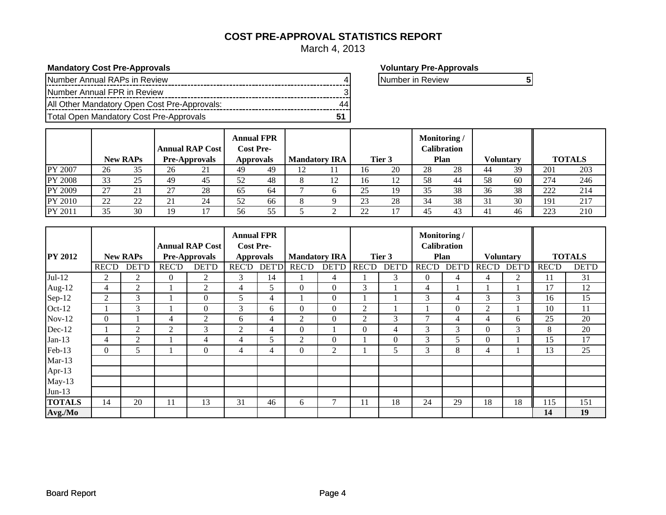### **COST PRE-APPROVAL STATISTICS REPORT**

March 4, 2013

**Mandatory Cost Pre-Approvals Voluntary Pre-Approvals**

| INumber Annual RAPs in Review                |    | INumber in Review |  |
|----------------------------------------------|----|-------------------|--|
| Number Annual FPR in Review                  |    |                   |  |
| All Other Mandatory Open Cost Pre-Approvals: | 44 |                   |  |
| Total Open Mandatory Cost Pre-Approvals      |    |                   |  |

|         |    | <b>New RAPs</b> | <b>Annual RAP Cost</b><br><b>Pre-Approvals</b> |    | <b>Annual FPR</b><br><b>Cost Pre-</b><br><b>Approvals</b> |    |    | <b>Mandatory IRA</b> |    | Tier 3 | Monitoring/ | <b>Calibration</b><br>Plan |    | <b>Voluntary</b> |     | <b>TOTALS</b> |
|---------|----|-----------------|------------------------------------------------|----|-----------------------------------------------------------|----|----|----------------------|----|--------|-------------|----------------------------|----|------------------|-----|---------------|
| PY 2007 | 26 | 35              | 26                                             | 21 | 49                                                        | 49 | 12 |                      | 16 | 20     | 28          | 28                         | 44 | 39               | 201 | 203           |
| PY 2008 | 33 | 25              | 49                                             | 45 | 52                                                        | 48 | 8  | 12                   | 16 |        | 58          | 44                         | 58 | 60               | 274 | 246           |
| PY 2009 | 27 | 21              | $\mathcal{L}$                                  | 28 | 65                                                        | 64 |    |                      | 25 | 19     | 35          | 38                         | 36 | 38               | 222 | 214           |
| PY 2010 | 22 | 22              | 21                                             | 24 | 52                                                        | 66 | 8  |                      | 23 | 28     | 34          | 38                         |    | 30               | 191 | 217           |
| PY 2011 | 35 | 30              | 19                                             |    | 56                                                        | 55 |    |                      | 22 |        | 45          | 43                         | 41 | 46               | 223 | 210           |

|                |                |                 |                        |                      | <b>Annual FPR</b> |                  |                  |                      |                |              | Monitoring /       |              |                  |              |               |              |
|----------------|----------------|-----------------|------------------------|----------------------|-------------------|------------------|------------------|----------------------|----------------|--------------|--------------------|--------------|------------------|--------------|---------------|--------------|
|                |                |                 | <b>Annual RAP Cost</b> |                      | <b>Cost Pre-</b>  |                  |                  |                      |                |              | <b>Calibration</b> |              |                  |              |               |              |
| <b>PY 2012</b> |                | <b>New RAPs</b> |                        | <b>Pre-Approvals</b> |                   | <b>Approvals</b> |                  | <b>Mandatory IRA</b> |                | Tier 3       | Plan               |              | <b>Voluntary</b> |              | <b>TOTALS</b> |              |
|                | <b>REC'D</b>   | DET'D           | <b>REC'D</b>           | <b>DET'D</b>         | <b>REC'D</b>      | <b>DET'D</b>     | <b>REC'D</b>     | <b>DET'D</b>         | <b>REC'D</b>   | <b>DET'D</b> | REC'D              | <b>DET'D</b> | <b>REC'D</b>     | <b>DET'D</b> | <b>REC'D</b>  | <b>DET'D</b> |
| $Jul-12$       | 2              | 2               | $\Omega$               | 2                    | 3                 | 14               |                  | $\overline{4}$       |                | 3            | $\Omega$           | 4            | 4                | 2            | 11            | 31           |
| Aug-12         | $\overline{4}$ | 2               |                        | $\overline{2}$       | 4                 | 5                | $\mathbf{0}$     | $\mathbf{0}$         | 3              |              | 4                  |              |                  |              | 17            | 12           |
| Sep-12         | $\overline{2}$ | 3               |                        | $\Omega$             | 5                 | 4                |                  | $\Omega$             |                |              | 3                  | 4            | 3                | 3            | 16            | 15           |
| Oct-12         |                | 3               |                        | $\theta$             | 3                 | 6                | $\boldsymbol{0}$ | $\mathbf{0}$         | $\overline{2}$ |              |                    | $\Omega$     | 2                |              | 10            | 11           |
| $Nov-12$       | $\Omega$       |                 | 4                      | $\overline{2}$       | 6                 | 4                | 2                | $\Omega$             | 2              | 3            |                    | 4            | 4                | 6            | 25            | 20           |
| Dec-12         |                | 2               | 2                      | 3                    | 2                 | $\overline{4}$   | $\Omega$         |                      | $\Omega$       | 4            | 3                  | 3            | 0                | 3            | 8             | 20           |
| $Jan-13$       | 4              | 2               |                        | 4                    | 4                 | 5                | 2                | $\mathbf{0}$         |                | $\Omega$     | 3                  | 5            | $\theta$         |              | 15            | 17           |
| Feb-13         | $\Omega$       | 5               |                        | $\Omega$             | 4                 | 4                | $\mathbf{0}$     | 2                    |                | 5            | 3                  | 8            | 4                |              | 13            | 25           |
| $Mar-13$       |                |                 |                        |                      |                   |                  |                  |                      |                |              |                    |              |                  |              |               |              |
| Apr-13         |                |                 |                        |                      |                   |                  |                  |                      |                |              |                    |              |                  |              |               |              |
| $May-13$       |                |                 |                        |                      |                   |                  |                  |                      |                |              |                    |              |                  |              |               |              |
| $Jun-13$       |                |                 |                        |                      |                   |                  |                  |                      |                |              |                    |              |                  |              |               |              |
| <b>TOTALS</b>  | 14             | 20              | 11                     | 13                   | 31                | 46               | 6                | 7                    | 11             | 18           | 24                 | 29           | 18               | 18           | 115           | 151          |
| Avg./Mo        |                |                 |                        |                      |                   |                  |                  |                      |                |              |                    |              |                  |              | 14            | 19           |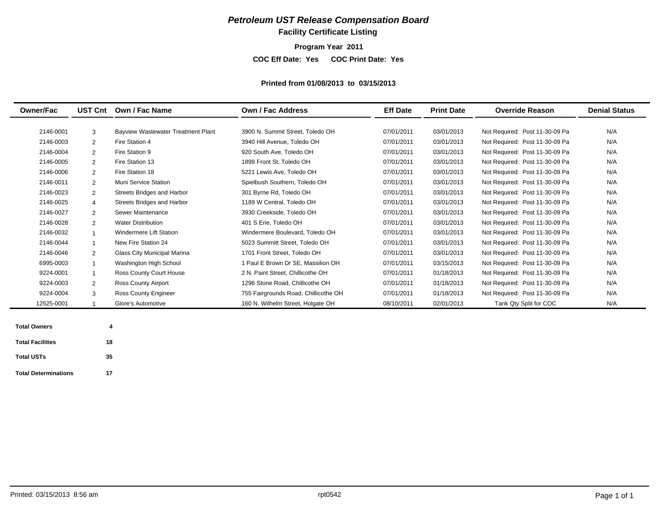### **Facility Certificate Listing**

**Program Year 2011**

**COC Eff Date: Yes COC Print Date: Yes** 

#### **Printed from 01/08/2013 to 03/15/2013**

| <b>Owner/Fac</b> | <b>UST Cnt</b> | Own / Fac Name                            | Own / Fac Address                    | <b>Eff Date</b> | <b>Print Date</b> | <b>Override Reason</b>         | <b>Denial Status</b> |
|------------------|----------------|-------------------------------------------|--------------------------------------|-----------------|-------------------|--------------------------------|----------------------|
|                  |                |                                           |                                      |                 |                   |                                |                      |
| 2146-0001        | 3              | <b>Bayview Wastewater Treatment Plant</b> | 3900 N. Summit Street, Toledo OH     | 07/01/2011      | 03/01/2013        | Not Required: Post 11-30-09 Pa | N/A                  |
| 2146-0003        | $\overline{2}$ | Fire Station 4                            | 3940 Hill Avenue. Toledo OH          | 07/01/2011      | 03/01/2013        | Not Required: Post 11-30-09 Pa | N/A                  |
| 2146-0004        | $\overline{2}$ | Fire Station 9                            | 920 South Ave. Toledo OH             | 07/01/2011      | 03/01/2013        | Not Required: Post 11-30-09 Pa | N/A                  |
| 2146-0005        | $\overline{2}$ | Fire Station 13                           | 1899 Front St, Toledo OH             | 07/01/2011      | 03/01/2013        | Not Required: Post 11-30-09 Pa | N/A                  |
| 2146-0006        | $\overline{2}$ | Fire Station 18                           | 5221 Lewis Ave, Toledo OH            | 07/01/2011      | 03/01/2013        | Not Required: Post 11-30-09 Pa | N/A                  |
| 2146-0011        | $\overline{2}$ | <b>Muni Service Station</b>               | Spielbush Southern, Toledo OH        | 07/01/2011      | 03/01/2013        | Not Required: Post 11-30-09 Pa | N/A                  |
| 2146-0023        | $\overline{2}$ | Streets Bridges and Harbor                | 301 Byrne Rd, Toledo OH              | 07/01/2011      | 03/01/2013        | Not Required: Post 11-30-09 Pa | N/A                  |
| 2146-0025        | $\overline{4}$ | Streets Bridges and Harbor                | 1189 W Central, Toledo OH            | 07/01/2011      | 03/01/2013        | Not Required: Post 11-30-09 Pa | N/A                  |
| 2146-0027        | $\overline{2}$ | Sewer Maintenance                         | 3930 Creekside, Toledo OH            | 07/01/2011      | 03/01/2013        | Not Required: Post 11-30-09 Pa | N/A                  |
| 2146-0028        | 2              | <b>Water Distribution</b>                 | 401 S Erie, Toledo OH                | 07/01/2011      | 03/01/2013        | Not Required: Post 11-30-09 Pa | N/A                  |
| 2146-0032        |                | <b>Windermere Lift Station</b>            | Windermere Boulevard, Toledo OH      | 07/01/2011      | 03/01/2013        | Not Required: Post 11-30-09 Pa | N/A                  |
| 2146-0044        |                | New Fire Station 24                       | 5023 Summitt Street, Toledo OH       | 07/01/2011      | 03/01/2013        | Not Required: Post 11-30-09 Pa | N/A                  |
| 2146-0046        | $\overline{2}$ | Glass City Municipal Marina               | 1701 Front Street. Toledo OH         | 07/01/2011      | 03/01/2013        | Not Required: Post 11-30-09 Pa | N/A                  |
| 6995-0003        |                | Washington High School                    | 1 Paul E Brown Dr SE, Massilion OH   | 07/01/2011      | 03/15/2013        | Not Required: Post 11-30-09 Pa | N/A                  |
| 9224-0001        |                | Ross County Court House                   | 2 N. Paint Street, Chillicothe OH    | 07/01/2011      | 01/18/2013        | Not Required: Post 11-30-09 Pa | N/A                  |
| 9224-0003        | $\overline{2}$ | Ross County Airport                       | 1296 Stone Road, Chillicothe OH      | 07/01/2011      | 01/18/2013        | Not Required: Post 11-30-09 Pa | N/A                  |
| 9224-0004        | 3              | <b>Ross County Engineer</b>               | 755 Fairgrounds Road, Chillicothe OH | 07/01/2011      | 01/18/2013        | Not Required: Post 11-30-09 Pa | N/A                  |
| 12525-0001       |                | Glore's Automotive                        | 160 N. Wilhelm Street, Holgate OH    | 08/10/2011      | 02/01/2013        | Tank Qty Split for COC         | N/A                  |

**Total USTs 35**

**Total Determinations 17**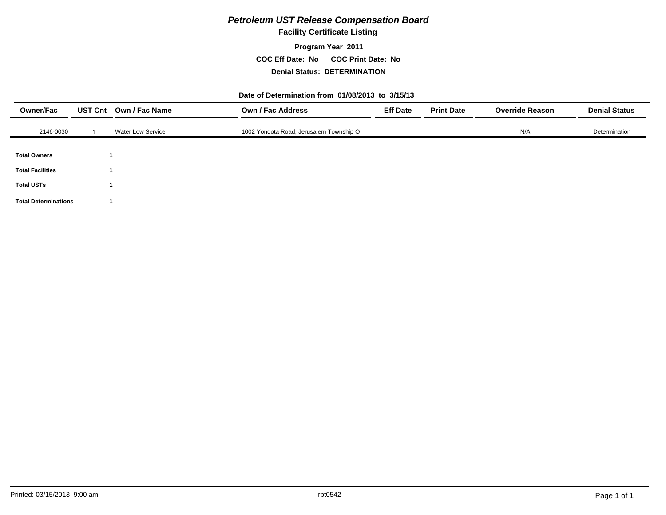### **Facility Certificate Listing**

### **Program Year 2011 COC Eff Date: No COC Print Date: No Denial Status: DETERMINATION**

#### **Date of Determination from 01/08/2013 to 3/15/13**

| <b>Owner/Fac</b>            | UST Cnt Own / Fac Name   | <b>Own / Fac Address</b>                | <b>Eff Date</b> | <b>Print Date</b> | <b>Override Reason</b> | <b>Denial Status</b> |
|-----------------------------|--------------------------|-----------------------------------------|-----------------|-------------------|------------------------|----------------------|
| 2146-0030                   | <b>Water Low Service</b> | 1002 Yondota Road, Jerusalem Township O |                 |                   | N/A                    | Determination        |
|                             |                          |                                         |                 |                   |                        |                      |
| <b>Total Owners</b>         |                          |                                         |                 |                   |                        |                      |
| <b>Total Facilities</b>     |                          |                                         |                 |                   |                        |                      |
| <b>Total USTs</b>           |                          |                                         |                 |                   |                        |                      |
| <b>Total Determinations</b> |                          |                                         |                 |                   |                        |                      |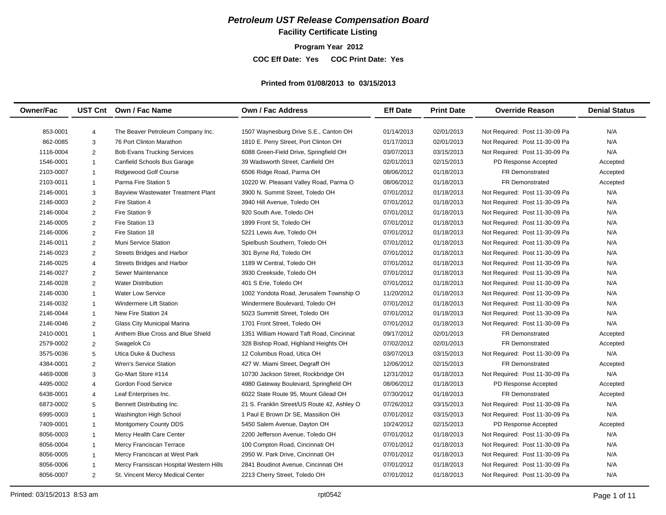# **Facility Certificate Listing**

**Program Year 2012**

**COC Eff Date: Yes COC Print Date: Yes** 

#### **Printed from 01/08/2013 to 03/15/2013**

| <b>Owner/Fac</b> |                         | UST Cnt Own / Fac Name                    | Own / Fac Address                           | <b>Eff Date</b> | <b>Print Date</b> | <b>Override Reason</b>         | <b>Denial Status</b> |
|------------------|-------------------------|-------------------------------------------|---------------------------------------------|-----------------|-------------------|--------------------------------|----------------------|
| 853-0001         | $\overline{4}$          | The Beaver Petroleum Company Inc.         | 1507 Waynesburg Drive S.E., Canton OH       | 01/14/2013      | 02/01/2013        | Not Required: Post 11-30-09 Pa | N/A                  |
| 862-0085         | 3                       | 76 Port Clinton Marathon                  | 1810 E. Perry Street, Port Clinton OH       | 01/17/2013      | 02/01/2013        | Not Required: Post 11-30-09 Pa | N/A                  |
| 1116-0004        | $\overline{2}$          | <b>Bob Evans Trucking Services</b>        | 6088 Green-Field Drive, Springfield OH      | 03/07/2013      | 03/15/2013        | Not Required: Post 11-30-09 Pa | N/A                  |
| 1546-0001        | $\mathbf{1}$            | Canfield Schools Bus Garage               | 39 Wadsworth Street, Canfield OH            | 02/01/2013      | 02/15/2013        | PD Response Accepted           | Accepted             |
| 2103-0007        | $\mathbf{1}$            | Ridgewood Golf Course                     | 6506 Ridge Road, Parma OH                   | 08/06/2012      | 01/18/2013        | <b>FR Demonstrated</b>         | Accepted             |
| 2103-0011        | $\mathbf{1}$            | Parma Fire Station 5                      | 10220 W. Pleasant Valley Road, Parma O      | 08/06/2012      | 01/18/2013        | <b>FR Demonstrated</b>         | Accepted             |
| 2146-0001        | 3                       | <b>Bayview Wastewater Treatment Plant</b> | 3900 N. Summit Street, Toledo OH            | 07/01/2012      | 01/18/2013        | Not Required: Post 11-30-09 Pa | N/A                  |
| 2146-0003        | $\overline{2}$          | Fire Station 4                            | 3940 Hill Avenue, Toledo OH                 | 07/01/2012      | 01/18/2013        | Not Required: Post 11-30-09 Pa | N/A                  |
| 2146-0004        | $\overline{2}$          | Fire Station 9                            | 920 South Ave, Toledo OH                    | 07/01/2012      | 01/18/2013        | Not Required: Post 11-30-09 Pa | N/A                  |
| 2146-0005        | $\overline{2}$          | Fire Station 13                           | 1899 Front St, Toledo OH                    | 07/01/2012      | 01/18/2013        | Not Required: Post 11-30-09 Pa | N/A                  |
| 2146-0006        | $\overline{2}$          | Fire Station 18                           | 5221 Lewis Ave, Toledo OH                   | 07/01/2012      | 01/18/2013        | Not Required: Post 11-30-09 Pa | N/A                  |
| 2146-0011        | $\overline{2}$          | Muni Service Station                      | Spielbush Southern, Toledo OH               | 07/01/2012      | 01/18/2013        | Not Required: Post 11-30-09 Pa | N/A                  |
| 2146-0023        | $\overline{2}$          | Streets Bridges and Harbor                | 301 Byrne Rd, Toledo OH                     | 07/01/2012      | 01/18/2013        | Not Required: Post 11-30-09 Pa | N/A                  |
| 2146-0025        | $\overline{4}$          | <b>Streets Bridges and Harbor</b>         | 1189 W Central, Toledo OH                   | 07/01/2012      | 01/18/2013        | Not Required: Post 11-30-09 Pa | N/A                  |
| 2146-0027        | $\overline{2}$          | Sewer Maintenance                         | 3930 Creekside, Toledo OH                   | 07/01/2012      | 01/18/2013        | Not Required: Post 11-30-09 Pa | N/A                  |
| 2146-0028        | $\overline{2}$          | <b>Water Distribution</b>                 | 401 S Erie, Toledo OH                       | 07/01/2012      | 01/18/2013        | Not Required: Post 11-30-09 Pa | N/A                  |
| 2146-0030        | 1                       | <b>Water Low Service</b>                  | 1002 Yondota Road, Jerusalem Township O     | 11/20/2012      | 01/18/2013        | Not Required: Post 11-30-09 Pa | N/A                  |
| 2146-0032        | 1                       | <b>Windermere Lift Station</b>            | Windermere Boulevard, Toledo OH             | 07/01/2012      | 01/18/2013        | Not Required: Post 11-30-09 Pa | N/A                  |
| 2146-0044        | $\mathbf{1}$            | New Fire Station 24                       | 5023 Summitt Street, Toledo OH              | 07/01/2012      | 01/18/2013        | Not Required: Post 11-30-09 Pa | N/A                  |
| 2146-0046        | $\overline{2}$          | Glass City Municipal Marina               | 1701 Front Street, Toledo OH                | 07/01/2012      | 01/18/2013        | Not Required: Post 11-30-09 Pa | N/A                  |
| 2410-0001        | $\mathbf 1$             | Anthem Blue Cross and Blue Shield         | 1351 William Howard Taft Road, Cincinnat    | 09/17/2012      | 02/01/2013        | <b>FR Demonstrated</b>         | Accepted             |
| 2579-0002        | $\overline{2}$          | Swagelok Co                               | 328 Bishop Road, Highland Heights OH        | 07/02/2012      | 02/01/2013        | <b>FR Demonstrated</b>         | Accepted             |
| 3575-0036        | 5                       | Utica Duke & Duchess                      | 12 Columbus Road, Utica OH                  | 03/07/2013      | 03/15/2013        | Not Required: Post 11-30-09 Pa | N/A                  |
| 4384-0001        | $\overline{2}$          | <b>Wren's Service Station</b>             | 427 W. Miami Street, Degraff OH             | 12/06/2012      | 02/15/2013        | FR Demonstrated                | Accepted             |
| 4469-0008        | 3                       | Go-Mart Store #114                        | 10730 Jackson Street, Rockbridge OH         | 12/31/2012      | 01/18/2013        | Not Required: Post 11-30-09 Pa | N/A                  |
| 4495-0002        | $\overline{4}$          | Gordon Food Service                       | 4980 Gateway Boulevard, Springfield OH      | 08/06/2012      | 01/18/2013        | PD Response Accepted           | Accepted             |
| 6438-0001        | 4                       | Leaf Enterprises Inc.                     | 6022 State Route 95, Mount Gilead OH        | 07/30/2012      | 01/18/2013        | FR Demonstrated                | Accepted             |
| 6873-0002        | 5                       | Bennett Distributing Inc.                 | 21 S. Franklin Street/US Route 42, Ashley O | 07/26/2012      | 03/15/2013        | Not Required: Post 11-30-09 Pa | N/A                  |
| 6995-0003        | $\mathbf 1$             | Washington High School                    | 1 Paul E Brown Dr SE, Massilion OH          | 07/01/2012      | 03/15/2013        | Not Required: Post 11-30-09 Pa | N/A                  |
| 7409-0001        | $\overline{1}$          | <b>Montgomery County DDS</b>              | 5450 Salem Avenue, Dayton OH                | 10/24/2012      | 02/15/2013        | PD Response Accepted           | Accepted             |
| 8056-0003        | $\overline{1}$          | Mercy Health Care Center                  | 2200 Jefferson Avenue, Toledo OH            | 07/01/2012      | 01/18/2013        | Not Required: Post 11-30-09 Pa | N/A                  |
| 8056-0004        | $\overline{1}$          | Mercy Franciscan Terrace                  | 100 Compton Road, Cincinnati OH             | 07/01/2012      | 01/18/2013        | Not Required: Post 11-30-09 Pa | N/A                  |
| 8056-0005        | $\overline{\mathbf{1}}$ | Mercy Franciscan at West Park             | 2950 W. Park Drive, Cincinnati OH           | 07/01/2012      | 01/18/2013        | Not Required: Post 11-30-09 Pa | N/A                  |
| 8056-0006        |                         | Mercy Fransiscan Hospital Western Hills   | 2841 Boudinot Avenue, Cincinnati OH         | 07/01/2012      | 01/18/2013        | Not Required: Post 11-30-09 Pa | N/A                  |
| 8056-0007        | $\overline{2}$          | St. Vincent Mercy Medical Center          | 2213 Cherry Street, Toledo OH               | 07/01/2012      | 01/18/2013        | Not Required: Post 11-30-09 Pa | N/A                  |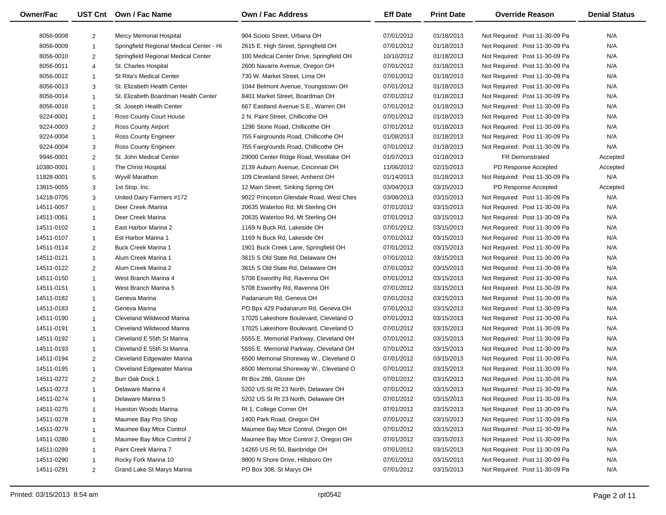| <b>Owner/Fac</b> |                | UST Cnt Own / Fac Name                   | Own / Fac Address                        | <b>Eff Date</b> | <b>Print Date</b> | <b>Override Reason</b>         | <b>Denial Status</b> |
|------------------|----------------|------------------------------------------|------------------------------------------|-----------------|-------------------|--------------------------------|----------------------|
| 8056-0008        | 2              | Mercy Memorial Hospital                  | 904 Scioto Street. Urbana OH             | 07/01/2012      | 01/18/2013        | Not Required: Post 11-30-09 Pa | N/A                  |
| 8056-0009        |                | Springfield Regional Medical Center - Hi | 2615 E. High Street, Springfield OH      | 07/01/2012      | 01/18/2013        | Not Required: Post 11-30-09 Pa | N/A                  |
| 8056-0010        | $\overline{2}$ | Springfield Regional Medical Center      | 100 Medical Center Drive, Springfield OH | 10/10/2012      | 01/18/2013        | Not Required: Post 11-30-09 Pa | N/A                  |
| 8056-0011        | $\overline{4}$ | St. Charles Hospital                     | 2600 Navarre Avenue, Oregon OH           | 07/01/2012      | 01/18/2013        | Not Required: Post 11-30-09 Pa | N/A                  |
| 8056-0012        | $\overline{1}$ | St Rita's Medical Center                 | 730 W. Market Street, Lima OH            | 07/01/2012      | 01/18/2013        | Not Required: Post 11-30-09 Pa | N/A                  |
| 8056-0013        | 3              | St. Elizabeth Health Center              | 1044 Belmont Avenue, Youngstown OH       | 07/01/2012      | 01/18/2013        | Not Required: Post 11-30-09 Pa | N/A                  |
| 8056-0014        |                | St. Elizabeth Boardman Health Center     | 8401 Market Street, Boardman OH          | 07/01/2012      | 01/18/2013        | Not Required: Post 11-30-09 Pa | N/A                  |
| 8056-0016        | $\overline{1}$ | St. Joseph Health Center                 | 667 Eastland Avenue S.E., Warren OH      | 07/01/2012      | 01/18/2013        | Not Required: Post 11-30-09 Pa | N/A                  |
| 9224-0001        | $\overline{1}$ | Ross County Court House                  | 2 N. Paint Street, Chillicothe OH        | 07/01/2012      | 01/18/2013        | Not Required: Post 11-30-09 Pa | N/A                  |
| 9224-0003        | 2              | Ross County Airport                      | 1296 Stone Road, Chillicothe OH          | 07/01/2012      | 01/18/2013        | Not Required: Post 11-30-09 Pa | N/A                  |
| 9224-0004        | $\overline{1}$ | <b>Ross County Engineer</b>              | 755 Fairgrounds Road, Chillicothe OH     | 01/08/2013      | 01/18/2013        | Not Required: Post 11-30-09 Pa | N/A                  |
| 9224-0004        | 3              | <b>Ross County Engineer</b>              | 755 Fairgrounds Road, Chillicothe OH     | 07/01/2012      | 01/18/2013        | Not Required: Post 11-30-09 Pa | N/A                  |
| 9946-0001        | $\overline{2}$ | St. John Medical Center                  | 29000 Center Ridge Road, Westlake OH     | 01/07/2013      | 01/18/2013        | FR Demonstrated                | Accepted             |
| 10380-0001       | $\overline{1}$ | The Christ Hospital                      | 2139 Auburn Avenue, Cincinnati OH        | 11/06/2012      | 02/15/2013        | PD Response Accepted           | Accepted             |
| 11828-0001       | 5              | Wyvill Marathon                          | 109 Cleveland Street, Amherst OH         | 01/14/2013      | 01/18/2013        | Not Required: Post 11-30-09 Pa | N/A                  |
| 13815-0055       | 3              | 1st Stop, Inc.                           | 12 Main Street, Sinking Spring OH        | 03/04/2013      | 03/15/2013        | PD Response Accepted           | Accepted             |
| 14218-0705       | 3              | United Dairy Farmers #172                | 9022 Princeton Glendale Road, West Ches  | 03/08/2013      | 03/15/2013        | Not Required: Post 11-30-09 Pa | N/A                  |
| 14511-0057       | $\overline{1}$ | Deer Creek /Marina                       | 20635 Waterloo Rd, Mt Sterling OH        | 07/01/2012      | 03/15/2013        | Not Required: Post 11-30-09 Pa | N/A                  |
| 14511-0061       | $\overline{1}$ | Deer Creek Marina                        | 20635 Waterloo Rd, Mt Sterling OH        | 07/01/2012      | 03/15/2013        | Not Required: Post 11-30-09 Pa | N/A                  |
| 14511-0102       |                | East Harbor Marina 2                     | 1169 N Buck Rd, Lakeside OH              | 07/01/2012      | 03/15/2013        | Not Required: Post 11-30-09 Pa | N/A                  |
| 14511-0107       | $\overline{1}$ | Est Harbor Marina 1                      | 1169 N Buck Rd, Lakeside OH              |                 | 03/15/2013        | Not Required: Post 11-30-09 Pa | N/A                  |
| 14511-0114       | $\overline{1}$ |                                          |                                          | 07/01/2012      |                   |                                |                      |
|                  | $\overline{2}$ | <b>Buck Creek Marina 1</b>               | 1901 Buck Creek Lane, Springfield OH     | 07/01/2012      | 03/15/2013        | Not Required: Post 11-30-09 Pa | N/A                  |
| 14511-0121       | $\overline{1}$ | Alum Creek Marina 1                      | 3615 S Old State Rd, Delaware OH         | 07/01/2012      | 03/15/2013        | Not Required: Post 11-30-09 Pa | N/A                  |
| 14511-0122       | 2              | Alum Creek Marina 2                      | 3615 S Old State Rd, Delaware OH         | 07/01/2012      | 03/15/2013        | Not Required: Post 11-30-09 Pa | N/A                  |
| 14511-0150       | $\overline{1}$ | West Branch Marina 4                     | 5708 Esworthy Rd, Ravenna OH             | 07/01/2012      | 03/15/2013        | Not Required: Post 11-30-09 Pa | N/A                  |
| 14511-0151       | $\overline{1}$ | West Branch Marina 5                     | 5708 Esworthy Rd, Ravenna OH             | 07/01/2012      | 03/15/2013        | Not Required: Post 11-30-09 Pa | N/A                  |
| 14511-0182       | $\overline{1}$ | Geneva Marina                            | Padanarum Rd, Geneva OH                  | 07/01/2012      | 03/15/2013        | Not Required: Post 11-30-09 Pa | N/A                  |
| 14511-0183       | $\overline{1}$ | Geneva Marina                            | PO Bpx 429 Padanarum Rd, Geneva OH       | 07/01/2012      | 03/15/2013        | Not Required: Post 11-30-09 Pa | N/A                  |
| 14511-0190       | $\overline{1}$ | Cleveland Wildwood Marina                | 17025 Lakeshore Boulevard, Cleveland O   | 07/01/2012      | 03/15/2013        | Not Required: Post 11-30-09 Pa | N/A                  |
| 14511-0191       | $\overline{1}$ | Cleveland Wildwood Marina                | 17025 Lakeshore Boulevard, Cleveland O   | 07/01/2012      | 03/15/2013        | Not Required: Post 11-30-09 Pa | N/A                  |
| 14511-0192       | $\overline{1}$ | Cleveland E 55th St Marina               | 5555 E. Memorial Parkway, Cleveland OH   | 07/01/2012      | 03/15/2013        | Not Required: Post 11-30-09 Pa | N/A                  |
| 14511-0193       | $\overline{1}$ | Cleveland E 55th St Marina               | 5555 E. Memorial Parkway, Cleveland OH   | 07/01/2012      | 03/15/2013        | Not Required: Post 11-30-09 Pa | N/A                  |
| 14511-0194       | 2              | Cleveland Edgewater Marina               | 6500 Memorial Shoreway W., Cleveland O   | 07/01/2012      | 03/15/2013        | Not Required: Post 11-30-09 Pa | N/A                  |
| 14511-0195       | $\overline{1}$ | Cleveland Edgewater Marina               | 6500 Memorial Shoreway W., Cleveland O   | 07/01/2012      | 03/15/2013        | Not Required: Post 11-30-09 Pa | N/A                  |
| 14511-0272       | $\overline{2}$ | Burr Oak Dock 1                          | Rt Box 286, Gloster OH                   | 07/01/2012      | 03/15/2013        | Not Required: Post 11-30-09 Pa | N/A                  |
| 14511-0273       |                | Delaware Marina 4                        | 5202 US St Rt 23 North, Delaware OH      | 07/01/2012      | 03/15/2013        | Not Required: Post 11-30-09 Pa | N/A                  |
| 14511-0274       |                | Delaware Marina 5                        | 5202 US St Rt 23 North, Delaware OH      | 07/01/2012      | 03/15/2013        | Not Required: Post 11-30-09 Pa | N/A                  |
| 14511-0275       |                | Hueston Woods Marina                     | Rt 1, College Corner OH                  | 07/01/2012      | 03/15/2013        | Not Required: Post 11-30-09 Pa | N/A                  |
| 14511-0278       |                | Maumee Bay Pro Shop                      | 1400 Park Road, Oregon OH                | 07/01/2012      | 03/15/2013        | Not Required: Post 11-30-09 Pa | N/A                  |
| 14511-0279       |                | Maumee Bay Mtce Control                  | Maumee Bay Mtce Control, Oregon OH       | 07/01/2012      | 03/15/2013        | Not Required: Post 11-30-09 Pa | N/A                  |
| 14511-0280       |                | Maumee Bay Mtce Control 2                | Maumee Bay Mtce Control 2, Oregon OH     | 07/01/2012      | 03/15/2013        | Not Required: Post 11-30-09 Pa | N/A                  |
| 14511-0289       |                | Paint Creek Marina 7                     | 14265 US Rt 50, Bainbridge OH            | 07/01/2012      | 03/15/2013        | Not Required: Post 11-30-09 Pa | N/A                  |
| 14511-0290       |                | Rocky Fork Marina 10                     | 9800 N Shore Drive, Hillsboro OH         | 07/01/2012      | 03/15/2013        | Not Required: Post 11-30-09 Pa | N/A                  |
| 14511-0291       | $\overline{2}$ | Grand Lake St Marys Marina               | PO Box 308, St Marys OH                  | 07/01/2012      | 03/15/2013        | Not Required: Post 11-30-09 Pa | N/A                  |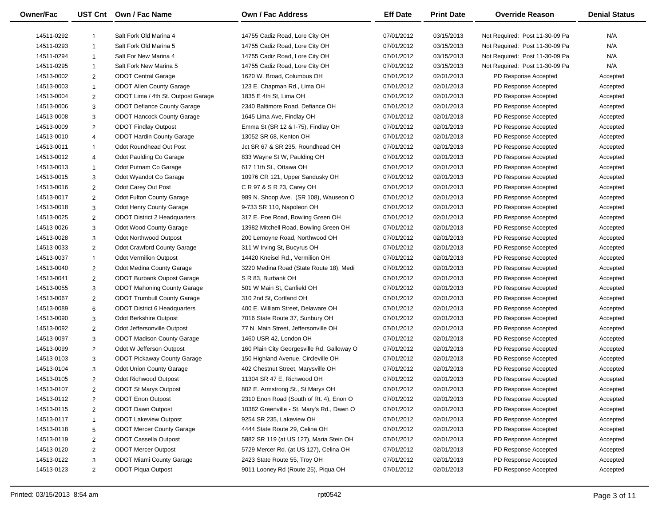| <b>Owner/Fac</b> |                | UST Cnt Own / Fac Name              | Own / Fac Address                          | <b>Eff Date</b> | <b>Print Date</b> | <b>Override Reason</b>                       | <b>Denial Status</b> |
|------------------|----------------|-------------------------------------|--------------------------------------------|-----------------|-------------------|----------------------------------------------|----------------------|
| 14511-0292       | $\mathbf{1}$   | Salt Fork Old Marina 4              | 14755 Cadiz Road, Lore City OH             | 07/01/2012      | 03/15/2013        | Not Required: Post 11-30-09 Pa               | N/A                  |
| 14511-0293       | $\mathbf{1}$   | Salt Fork Old Marina 5              | 14755 Cadiz Road, Lore City OH             | 07/01/2012      | 03/15/2013        | Not Required: Post 11-30-09 Pa               | N/A                  |
| 14511-0294       | $\mathbf{1}$   | Salt For New Marina 4               | 14755 Cadiz Road, Lore City OH             | 07/01/2012      | 03/15/2013        | Not Required: Post 11-30-09 Pa               | N/A                  |
| 14511-0295       | $\mathbf{1}$   | Salt Fork New Marina 5              | 14755 Cadiz Road, Lore City OH             | 07/01/2012      | 03/15/2013        | Not Required: Post 11-30-09 Pa               | N/A                  |
| 14513-0002       | $\overline{2}$ | <b>ODOT Central Garage</b>          | 1620 W. Broad, Columbus OH                 | 07/01/2012      | 02/01/2013        | PD Response Accepted                         | Accepted             |
| 14513-0003       | $\mathbf{1}$   | <b>ODOT Allen County Garage</b>     | 123 E. Chapman Rd., Lima OH                | 07/01/2012      | 02/01/2013        | PD Response Accepted                         | Accepted             |
| 14513-0004       | $\overline{2}$ | ODOT Lima / 4th St. Outpost Garage  | 1835 E 4th St, Lima OH                     | 07/01/2012      | 02/01/2013        | PD Response Accepted                         | Accepted             |
| 14513-0006       | 3              | <b>ODOT Defiance County Garage</b>  | 2340 Baltimore Road, Defiance OH           | 07/01/2012      | 02/01/2013        | PD Response Accepted                         | Accepted             |
| 14513-0008       | 3              | <b>ODOT Hancock County Garage</b>   | 1645 Lima Ave, Findlay OH                  | 07/01/2012      | 02/01/2013        | PD Response Accepted                         | Accepted             |
| 14513-0009       | $\overline{2}$ | <b>ODOT Findlay Outpost</b>         | Emma St (SR 12 & I-75), Findlay OH         | 07/01/2012      | 02/01/2013        | PD Response Accepted                         | Accepted             |
| 14513-0010       | $\overline{4}$ | <b>ODOT Hardin County Garage</b>    | 13052 SR 68, Kenton OH                     | 07/01/2012      | 02/01/2013        | PD Response Accepted                         | Accepted             |
| 14513-0011       | $\mathbf{1}$   | Odot Roundhead Out Post             | Jct SR 67 & SR 235, Roundhead OH           | 07/01/2012      | 02/01/2013        | PD Response Accepted                         | Accepted             |
| 14513-0012       | 4              | Odot Paulding Co Garage             | 833 Wayne St W, Paulding OH                | 07/01/2012      | 02/01/2013        | PD Response Accepted                         | Accepted             |
| 14513-0013       | $\mathbf{1}$   | Odot Putnam Co Garage               | 617 11th St., Ottawa OH                    | 07/01/2012      | 02/01/2013        | PD Response Accepted                         |                      |
| 14513-0015       |                | Odot Wyandot Co Garage              | 10976 CR 121, Upper Sandusky OH            | 07/01/2012      | 02/01/2013        | PD Response Accepted                         | Accepted             |
| 14513-0016       | 3              | Odot Carey Out Post                 | C R 97 & S R 23, Carey OH                  | 07/01/2012      | 02/01/2013        |                                              | Accepted             |
|                  | $\overline{2}$ | <b>Odot Fulton County Garage</b>    | 989 N. Shoop Ave. (SR 108), Wauseon O      |                 | 02/01/2013        | PD Response Accepted<br>PD Response Accepted | Accepted             |
| 14513-0017       | $\overline{2}$ |                                     |                                            | 07/01/2012      |                   |                                              | Accepted             |
| 14513-0018       | 3              | Odot Henry County Garage            | 9-733 SR 110, Napoleon OH                  | 07/01/2012      | 02/01/2013        | PD Response Accepted                         | Accepted             |
| 14513-0025       | $\overline{2}$ | <b>ODOT District 2 Headquarters</b> | 317 E. Poe Road, Bowling Green OH          | 07/01/2012      | 02/01/2013        | PD Response Accepted                         | Accepted             |
| 14513-0026       | 3              | Odot Wood County Garage             | 13982 Mitchell Road, Bowling Green OH      | 07/01/2012      | 02/01/2013        | PD Response Accepted                         | Accepted             |
| 14513-0028       | 3              | <b>Odot Northwood Outpost</b>       | 200 Lemoyne Road, Northwood OH             | 07/01/2012      | 02/01/2013        | PD Response Accepted                         | Accepted             |
| 14513-0033       | $\overline{2}$ | <b>Odot Crawford County Garage</b>  | 311 W Irving St, Bucyrus OH                | 07/01/2012      | 02/01/2013        | PD Response Accepted                         | Accepted             |
| 14513-0037       | $\mathbf{1}$   | <b>Odot Vermilion Outpost</b>       | 14420 Kneisel Rd., Vermilion OH            | 07/01/2012      | 02/01/2013        | PD Response Accepted                         | Accepted             |
| 14513-0040       | $\overline{2}$ | Odot Medina County Garage           | 3220 Medina Road (State Route 18), Medi    | 07/01/2012      | 02/01/2013        | PD Response Accepted                         | Accepted             |
| 14513-0041       | $\overline{2}$ | <b>ODOT Burbank Oupost Garage</b>   | S R 83, Burbank OH                         | 07/01/2012      | 02/01/2013        | PD Response Accepted                         | Accepted             |
| 14513-0055       | 3              | <b>ODOT Mahoning County Garage</b>  | 501 W Main St, Canfield OH                 | 07/01/2012      | 02/01/2013        | PD Response Accepted                         | Accepted             |
| 14513-0067       | $\overline{2}$ | <b>ODOT Trumbull County Garage</b>  | 310 2nd St, Cortland OH                    | 07/01/2012      | 02/01/2013        | PD Response Accepted                         | Accepted             |
| 14513-0089       | 6              | <b>ODOT District 6 Headquarters</b> | 400 E. William Street, Delaware OH         | 07/01/2012      | 02/01/2013        | PD Response Accepted                         | Accepted             |
| 14513-0090       | 3              | <b>Odot Berkshire Outpost</b>       | 7016 State Route 37, Sunbury OH            | 07/01/2012      | 02/01/2013        | PD Response Accepted                         | Accepted             |
| 14513-0092       | $\overline{2}$ | Odot Jeffersonville Outpost         | 77 N. Main Street, Jeffersonville OH       | 07/01/2012      | 02/01/2013        | PD Response Accepted                         | Accepted             |
| 14513-0097       | 3              | <b>ODOT Madison County Garage</b>   | 1460 USR 42, London OH                     | 07/01/2012      | 02/01/2013        | PD Response Accepted                         | Accepted             |
| 14513-0099       | $\overline{2}$ | Odot W Jefferson Outpost            | 160 Plain City Georgesville Rd, Galloway O | 07/01/2012      | 02/01/2013        | PD Response Accepted                         | Accepted             |
| 14513-0103       | 3              | <b>ODOT Pickaway County Garage</b>  | 150 Highland Avenue, Circleville OH        | 07/01/2012      | 02/01/2013        | PD Response Accepted                         | Accepted             |
| 14513-0104       | 3              | <b>Odot Union County Garage</b>     | 402 Chestnut Street, Marysville OH         | 07/01/2012      | 02/01/2013        | PD Response Accepted                         | Accepted             |
| 14513-0105       | $\overline{2}$ | Odot Richwood Outpost               | 11304 SR 47 E, Richwood OH                 | 07/01/2012      | 02/01/2013        | PD Response Accepted                         | Accepted             |
| 14513-0107       |                | <b>ODOT St Marys Outpost</b>        | 802 E. Armstrong St., St Marys OH          | 07/01/2012      | 02/01/2013        | PD Response Accepted                         | Accepted             |
| 14513-0112       | $\overline{2}$ | <b>ODOT Enon Outpost</b>            | 2310 Enon Road (South of Rt. 4), Enon O    | 07/01/2012      | 02/01/2013        | PD Response Accepted                         | Accepted             |
| 14513-0115       | $\overline{2}$ | <b>ODOT Dawn Outpost</b>            | 10382 Greenville - St. Mary's Rd., Dawn O  | 07/01/2012      | 02/01/2013        | PD Response Accepted                         | Accepted             |
| 14513-0117       | $\mathbf{1}$   | <b>ODOT Lakeview Outpost</b>        | 9254 SR 235, Lakeview OH                   | 07/01/2012      | 02/01/2013        | PD Response Accepted                         | Accepted             |
| 14513-0118       | 5              | <b>ODOT Mercer County Garage</b>    | 4444 State Route 29, Celina OH             | 07/01/2012      | 02/01/2013        | PD Response Accepted                         | Accepted             |
| 14513-0119       | $\overline{2}$ | <b>ODOT Cassella Outpost</b>        | 5882 SR 119 (at US 127), Maria Stein OH    | 07/01/2012      | 02/01/2013        | PD Response Accepted                         | Accepted             |
| 14513-0120       | $\overline{2}$ | <b>ODOT Mercer Outpost</b>          | 5729 Mercer Rd. (at US 127), Celina OH     | 07/01/2012      | 02/01/2013        | PD Response Accepted                         | Accepted             |
| 14513-0122       | 3              | <b>ODOT Miami County Garage</b>     | 2423 State Route 55, Troy OH               | 07/01/2012      | 02/01/2013        | PD Response Accepted                         | Accepted             |
| 14513-0123       | 2              | <b>ODOT Piqua Outpost</b>           | 9011 Looney Rd (Route 25), Piqua OH        | 07/01/2012      | 02/01/2013        | PD Response Accepted                         | Accepted             |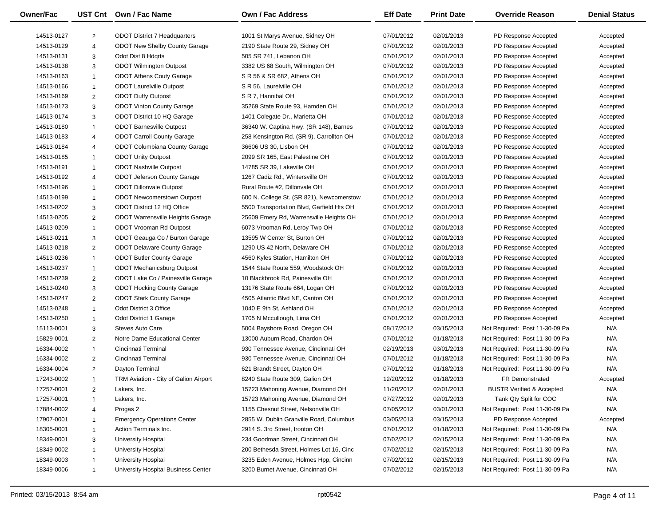| <b>Owner/Fac</b> |                | UST Cnt Own / Fac Name                                               | Own / Fac Address                                                                      | <b>Eff Date</b> | <b>Print Date</b> | <b>Override Reason</b>                       | <b>Denial Status</b> |
|------------------|----------------|----------------------------------------------------------------------|----------------------------------------------------------------------------------------|-----------------|-------------------|----------------------------------------------|----------------------|
| 14513-0127       | $\overline{2}$ | <b>ODOT District 7 Headquarters</b>                                  | 1001 St Marys Avenue, Sidney OH                                                        | 07/01/2012      | 02/01/2013        | PD Response Accepted                         | Accepted             |
| 14513-0129       | $\overline{4}$ | <b>ODOT New Shelby County Garage</b>                                 | 2190 State Route 29, Sidney OH                                                         | 07/01/2012      | 02/01/2013        | PD Response Accepted                         | Accepted             |
| 14513-0131       | 3              | Odot Dist 8 Hdgrts                                                   | 505 SR 741, Lebanon OH                                                                 | 07/01/2012      | 02/01/2013        | PD Response Accepted                         | Accepted             |
| 14513-0138       | 3              | <b>ODOT Wilmington Outpost</b>                                       | 3382 US 68 South, Wilmington OH                                                        | 07/01/2012      | 02/01/2013        | PD Response Accepted                         | Accepted             |
| 14513-0163       | $\overline{1}$ | <b>ODOT Athens Couty Garage</b>                                      | S R 56 & SR 682, Athens OH                                                             | 07/01/2012      | 02/01/2013        | PD Response Accepted                         | Accepted             |
| 14513-0166       | $\mathbf{1}$   | <b>ODOT Laurelville Outpost</b>                                      | S R 56, Laurelville OH                                                                 | 07/01/2012      | 02/01/2013        | PD Response Accepted                         | Accepted             |
| 14513-0169       | $\overline{2}$ | <b>ODOT Duffy Outpost</b>                                            | S R 7, Hannibal OH                                                                     | 07/01/2012      | 02/01/2013        | PD Response Accepted                         | Accepted             |
| 14513-0173       | 3              | <b>ODOT Vinton County Garage</b>                                     | 35269 State Route 93, Hamden OH                                                        | 07/01/2012      | 02/01/2013        | PD Response Accepted                         | Accepted             |
| 14513-0174       | 3              | ODOT District 10 HQ Garage                                           | 1401 Colegate Dr., Marietta OH                                                         | 07/01/2012      | 02/01/2013        | PD Response Accepted                         | Accepted             |
| 14513-0180       | $\overline{1}$ | <b>ODOT Barnesville Outpost</b>                                      | 36340 W. Captina Hwy. (SR 148), Barnes                                                 | 07/01/2012      | 02/01/2013        | PD Response Accepted                         | Accepted             |
| 14513-0183       | $\overline{4}$ | <b>ODOT Carroll County Garage</b>                                    | 258 Kensington Rd. (SR 9), Carrollton OH                                               | 07/01/2012      | 02/01/2013        | PD Response Accepted                         | Accepted             |
| 14513-0184       | $\overline{4}$ | <b>ODOT Columbiana County Garage</b>                                 | 36606 US 30, Lisbon OH                                                                 | 07/01/2012      | 02/01/2013        | PD Response Accepted                         | Accepted             |
| 14513-0185       | $\overline{1}$ | <b>ODOT Unity Outpost</b>                                            | 2099 SR 165, East Palestine OH                                                         | 07/01/2012      | 02/01/2013        | PD Response Accepted                         | Accepted             |
| 14513-0191       | $\overline{1}$ | <b>ODOT Nashville Outpost</b>                                        | 14785 SR 39, Lakeville OH                                                              | 07/01/2012      | 02/01/2013        | PD Response Accepted                         |                      |
| 14513-0192       | $\overline{4}$ |                                                                      | 1267 Cadiz Rd., Wintersville OH                                                        | 07/01/2012      | 02/01/2013        | PD Response Accepted                         | Accepted             |
| 14513-0196       |                | <b>ODOT Jeferson County Garage</b><br><b>ODOT Dillonvale Outpost</b> | Rural Route #2, Dillonvale OH                                                          | 07/01/2012      | 02/01/2013        | PD Response Accepted                         | Accepted             |
| 14513-0199       | $\overline{1}$ | <b>ODOT Newcomerstown Outpost</b>                                    |                                                                                        |                 |                   |                                              | Accepted             |
|                  | $\mathbf{1}$   | ODOT District 12 HQ Office                                           | 600 N. College St. (SR 821), Newcomerstow<br>5500 Transportation Blvd, Garfield Hts OH | 07/01/2012      | 02/01/2013        | PD Response Accepted<br>PD Response Accepted | Accepted             |
| 14513-0202       | 3              |                                                                      |                                                                                        | 07/01/2012      | 02/01/2013        | PD Response Accepted                         | Accepted             |
| 14513-0205       | 2              | <b>ODOT Warrensville Heights Garage</b>                              | 25609 Emery Rd, Warrensville Heights OH                                                | 07/01/2012      | 02/01/2013        |                                              | Accepted             |
| 14513-0209       | $\mathbf{1}$   | ODOT Vrooman Rd Outpost                                              | 6073 Vrooman Rd, Leroy Twp OH                                                          | 07/01/2012      | 02/01/2013        | PD Response Accepted                         | Accepted             |
| 14513-0211       | 3              | ODOT Geauga Co / Burton Garage                                       | 13595 W Center St, Burton OH                                                           | 07/01/2012      | 02/01/2013        | PD Response Accepted                         | Accepted             |
| 14513-0218       | 2              | <b>ODOT Delaware County Garage</b>                                   | 1290 US 42 North, Delaware OH                                                          | 07/01/2012      | 02/01/2013        | PD Response Accepted                         | Accepted             |
| 14513-0236       | $\overline{1}$ | <b>ODOT Butler County Garage</b>                                     | 4560 Kyles Station, Hamilton OH                                                        | 07/01/2012      | 02/01/2013        | PD Response Accepted                         | Accepted             |
| 14513-0237       | $\mathbf{1}$   | <b>ODOT Mechanicsburg Outpost</b>                                    | 1544 State Route 559, Woodstock OH                                                     | 07/01/2012      | 02/01/2013        | PD Response Accepted                         | Accepted             |
| 14513-0239       | $\overline{2}$ | ODOT Lake Co / Painesville Garage                                    | 10 Blackbrook Rd, Painesville OH                                                       | 07/01/2012      | 02/01/2013        | PD Response Accepted                         | Accepted             |
| 14513-0240       | 3              | <b>ODOT Hocking County Garage</b>                                    | 13176 State Route 664, Logan OH                                                        | 07/01/2012      | 02/01/2013        | PD Response Accepted                         | Accepted             |
| 14513-0247       | 2              | <b>ODOT Stark County Garage</b>                                      | 4505 Atlantic Blvd NE, Canton OH                                                       | 07/01/2012      | 02/01/2013        | PD Response Accepted                         | Accepted             |
| 14513-0248       | $\overline{1}$ | Odot District 3 Office                                               | 1040 E 9th St, Ashland OH                                                              | 07/01/2012      | 02/01/2013        | PD Response Accepted                         | Accepted             |
| 14513-0250       | $\mathbf{1}$   | Odot District 1 Garage                                               | 1705 N Mccullough, Lima OH                                                             | 07/01/2012      | 02/01/2013        | PD Response Accepted                         | Accepted             |
| 15113-0001       | 3              | Steves Auto Care                                                     | 5004 Bayshore Road, Oregon OH                                                          | 08/17/2012      | 03/15/2013        | Not Required: Post 11-30-09 Pa               | N/A                  |
| 15829-0001       | 2              | Notre Dame Educational Center                                        | 13000 Auburn Road, Chardon OH                                                          | 07/01/2012      | 01/18/2013        | Not Required: Post 11-30-09 Pa               | N/A                  |
| 16334-0002       | $\mathbf{1}$   | Cincinnati Terminal                                                  | 930 Tennessee Avenue, Cincinnati OH                                                    | 02/19/2013      | 03/01/2013        | Not Required: Post 11-30-09 Pa               | N/A                  |
| 16334-0002       | 2              | Cincinnati Terminal                                                  | 930 Tennessee Avenue, Cincinnati OH                                                    | 07/01/2012      | 01/18/2013        | Not Required: Post 11-30-09 Pa               | N/A                  |
| 16334-0004       | 2              | Dayton Terminal                                                      | 621 Brandt Street, Dayton OH                                                           | 07/01/2012      | 01/18/2013        | Not Required: Post 11-30-09 Pa               | N/A                  |
| 17243-0002       | $\mathbf{1}$   | TRM Aviation - City of Galion Airport                                | 8240 State Route 309, Galion OH                                                        | 12/20/2012      | 01/18/2013        | FR Demonstrated                              | Accepted             |
| 17257-0001       | $\overline{2}$ | Lakers, Inc.                                                         | 15723 Mahoning Avenue, Diamond OH                                                      | 11/20/2012      | 02/01/2013        | <b>BUSTR Verified &amp; Accepted</b>         | N/A                  |
| 17257-0001       | $\mathbf{1}$   | Lakers, Inc.                                                         | 15723 Mahoning Avenue, Diamond OH                                                      | 07/27/2012      | 02/01/2013        | Tank Qty Split for COC                       | N/A                  |
| 17884-0002       | $\overline{4}$ | Progas 2                                                             | 1155 Chesnut Street, Nelsonville OH                                                    | 07/05/2012      | 03/01/2013        | Not Required: Post 11-30-09 Pa               | N/A                  |
| 17907-0001       | $\overline{1}$ | <b>Emergency Operations Center</b>                                   | 2855 W. Dublin Granville Road, Columbus                                                | 03/05/2013      | 03/15/2013        | PD Response Accepted                         | Accepted             |
| 18305-0001       | $\overline{1}$ | Action Terminals Inc.                                                | 2914 S. 3rd Street, Ironton OH                                                         | 07/01/2012      | 01/18/2013        | Not Required: Post 11-30-09 Pa               | N/A                  |
| 18349-0001       | 3              | University Hospital                                                  | 234 Goodman Street, Cincinnati OH                                                      | 07/02/2012      | 02/15/2013        | Not Required: Post 11-30-09 Pa               | N/A                  |
| 18349-0002       | $\overline{1}$ | University Hospital                                                  | 200 Bethesda Street, Holmes Lot 16, Cinc                                               | 07/02/2012      | 02/15/2013        | Not Required: Post 11-30-09 Pa               | N/A                  |
| 18349-0003       | $\overline{1}$ | University Hospital                                                  | 3235 Eden Avenue, Holmes Hpp, Cincinn                                                  | 07/02/2012      | 02/15/2013        | Not Required: Post 11-30-09 Pa               | N/A                  |
| 18349-0006       | $\mathbf 1$    | University Hospital Business Center                                  | 3200 Burnet Avenue, Cincinnati OH                                                      | 07/02/2012      | 02/15/2013        | Not Required: Post 11-30-09 Pa               | N/A                  |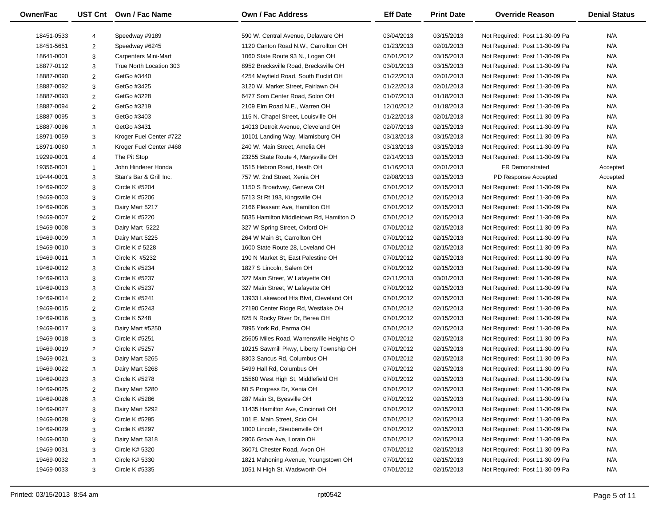| <b>Owner/Fac</b> |                | UST Cnt Own / Fac Name      | Own / Fac Address                        | <b>Eff Date</b> | <b>Print Date</b> | <b>Override Reason</b>         | <b>Denial Status</b> |
|------------------|----------------|-----------------------------|------------------------------------------|-----------------|-------------------|--------------------------------|----------------------|
| 18451-0533       | $\overline{4}$ | Speedway #9189              | 590 W. Central Avenue, Delaware OH       | 03/04/2013      | 03/15/2013        | Not Required: Post 11-30-09 Pa | N/A                  |
| 18451-5651       | $\overline{2}$ | Speedway #6245              | 1120 Canton Road N.W., Carrollton OH     | 01/23/2013      | 02/01/2013        | Not Required: Post 11-30-09 Pa | N/A                  |
| 18641-0001       | 3              | <b>Carpenters Mini-Mart</b> | 1060 State Route 93 N., Logan OH         | 07/01/2012      | 03/15/2013        | Not Required: Post 11-30-09 Pa | N/A                  |
| 18877-0112       | 3              | True North Location 303     | 8952 Brecksville Road, Brecksville OH    | 03/01/2013      | 03/15/2013        | Not Required: Post 11-30-09 Pa | N/A                  |
| 18887-0090       | $\overline{2}$ | GetGo #3440                 | 4254 Mayfield Road, South Euclid OH      | 01/22/2013      | 02/01/2013        | Not Required: Post 11-30-09 Pa | N/A                  |
| 18887-0092       | $\mathbf{3}$   | GetGo #3425                 | 3120 W. Market Street, Fairlawn OH       | 01/22/2013      | 02/01/2013        | Not Required: Post 11-30-09 Pa | N/A                  |
| 18887-0093       | $\overline{2}$ | GetGo #3228                 | 6477 Som Center Road, Solon OH           | 01/07/2013      | 01/18/2013        | Not Required: Post 11-30-09 Pa | N/A                  |
| 18887-0094       | $\overline{2}$ | GetGo #3219                 | 2109 Elm Road N.E., Warren OH            | 12/10/2012      | 01/18/2013        | Not Required: Post 11-30-09 Pa | N/A                  |
| 18887-0095       | 3              | GetGo #3403                 | 115 N. Chapel Street, Louisville OH      | 01/22/2013      | 02/01/2013        | Not Required: Post 11-30-09 Pa | N/A                  |
| 18887-0096       | 3              | GetGo #3431                 | 14013 Detroit Avenue, Cleveland OH       | 02/07/2013      | 02/15/2013        | Not Required: Post 11-30-09 Pa | N/A                  |
| 18971-0059       | 3              | Kroger Fuel Center #722     | 10101 Landing Way, Miamisburg OH         | 03/13/2013      | 03/15/2013        | Not Required: Post 11-30-09 Pa | N/A                  |
| 18971-0060       | 3              | Kroger Fuel Center #468     | 240 W. Main Street, Amelia OH            | 03/13/2013      | 03/15/2013        | Not Required: Post 11-30-09 Pa | N/A                  |
| 19299-0001       | $\overline{4}$ | The Pit Stop                | 23255 State Route 4, Marysville OH       | 02/14/2013      | 02/15/2013        | Not Required: Post 11-30-09 Pa | N/A                  |
| 19356-0001       | $\overline{1}$ | John Hinderer Honda         | 1515 Hebron Road, Heath OH               | 01/16/2013      | 02/01/2013        | <b>FR Demonstrated</b>         | Accepted             |
| 19444-0001       | 3              | Stan's Bar & Grill Inc.     | 757 W. 2nd Street, Xenia OH              | 02/08/2013      | 02/15/2013        | PD Response Accepted           | Accepted             |
| 19469-0002       | 3              | <b>Circle K #5204</b>       | 1150 S Broadway, Geneva OH               | 07/01/2012      | 02/15/2013        | Not Required: Post 11-30-09 Pa | N/A                  |
| 19469-0003       | 3              | Circle K #5206              | 5713 St Rt 193, Kingsville OH            | 07/01/2012      | 02/15/2013        | Not Required: Post 11-30-09 Pa | N/A                  |
| 19469-0006       | 3              | Dairy Mart 5217             | 2166 Pleasant Ave, Hamilton OH           | 07/01/2012      | 02/15/2013        | Not Required: Post 11-30-09 Pa | N/A                  |
| 19469-0007       | $\overline{2}$ | Circle K #5220              | 5035 Hamilton Middletown Rd, Hamilton O  | 07/01/2012      | 02/15/2013        | Not Required: Post 11-30-09 Pa | N/A                  |
| 19469-0008       |                |                             | 327 W Spring Street, Oxford OH           | 07/01/2012      | 02/15/2013        |                                | N/A                  |
|                  | 3              | Dairy Mart 5222             |                                          |                 |                   | Not Required: Post 11-30-09 Pa |                      |
| 19469-0009       | 3              | Dairy Mart 5225             | 264 W Main St, Carrollton OH             | 07/01/2012      | 02/15/2013        | Not Required: Post 11-30-09 Pa | N/A                  |
| 19469-0010       | 3              | Circle K # 5228             | 1600 State Route 28, Loveland OH         | 07/01/2012      | 02/15/2013        | Not Required: Post 11-30-09 Pa | N/A                  |
| 19469-0011       | 3              | Circle K #5232              | 190 N Market St, East Palestine OH       | 07/01/2012      | 02/15/2013        | Not Required: Post 11-30-09 Pa | N/A                  |
| 19469-0012       | 3              | Circle K #5234              | 1827 S Lincoln, Salem OH                 | 07/01/2012      | 02/15/2013        | Not Required: Post 11-30-09 Pa | N/A                  |
| 19469-0013       | 3              | Circle K #5237              | 327 Main Street, W Lafayette OH          | 02/11/2013      | 03/01/2013        | Not Required: Post 11-30-09 Pa | N/A                  |
| 19469-0013       | 3              | Circle K #5237              | 327 Main Street, W Lafayette OH          | 07/01/2012      | 02/15/2013        | Not Required: Post 11-30-09 Pa | N/A                  |
| 19469-0014       | $\overline{2}$ | Circle K #5241              | 13933 Lakewood Hts Blvd, Cleveland OH    | 07/01/2012      | 02/15/2013        | Not Required: Post 11-30-09 Pa | N/A                  |
| 19469-0015       | $\overline{2}$ | Circle K #5243              | 27190 Center Ridge Rd, Westlake OH       | 07/01/2012      | 02/15/2013        | Not Required: Post 11-30-09 Pa | N/A                  |
| 19469-0016       | 3              | Circle K 5248               | 825 N Rocky River Dr, Berea OH           | 07/01/2012      | 02/15/2013        | Not Required: Post 11-30-09 Pa | N/A                  |
| 19469-0017       | 3              | Dairy Mart #5250            | 7895 York Rd, Parma OH                   | 07/01/2012      | 02/15/2013        | Not Required: Post 11-30-09 Pa | N/A                  |
| 19469-0018       | 3              | Circle K #5251              | 25605 Miles Road, Warrensville Heights O | 07/01/2012      | 02/15/2013        | Not Required: Post 11-30-09 Pa | N/A                  |
| 19469-0019       | $\overline{2}$ | Circle K #5257              | 10215 Sawmill Pkwy, Liberty Township OH  | 07/01/2012      | 02/15/2013        | Not Required: Post 11-30-09 Pa | N/A                  |
| 19469-0021       | 3              | Dairy Mart 5265             | 8303 Sancus Rd, Columbus OH              | 07/01/2012      | 02/15/2013        | Not Required: Post 11-30-09 Pa | N/A                  |
| 19469-0022       | 3              | Dairy Mart 5268             | 5499 Hall Rd, Columbus OH                | 07/01/2012      | 02/15/2013        | Not Required: Post 11-30-09 Pa | N/A                  |
| 19469-0023       | 3              | <b>Circle K #5278</b>       | 15560 West High St, Middlefield OH       | 07/01/2012      | 02/15/2013        | Not Required: Post 11-30-09 Pa | N/A                  |
| 19469-0025       |                | Dairy Mart 5280             | 60 S Progress Dr, Xenia OH               | 07/01/2012      | 02/15/2013        | Not Required: Post 11-30-09 Pa | N/A                  |
| 19469-0026       | 3              | Circle K #5286              | 287 Main St, Byesville OH                | 07/01/2012      | 02/15/2013        | Not Required: Post 11-30-09 Pa | N/A                  |
| 19469-0027       | 3              | Dairy Mart 5292             | 11435 Hamilton Ave, Cincinnati OH        | 07/01/2012      | 02/15/2013        | Not Required: Post 11-30-09 Pa | N/A                  |
| 19469-0028       | 3              | Circle K #5295              | 101 E. Main Street, Scio OH              | 07/01/2012      | 02/15/2013        | Not Required: Post 11-30-09 Pa | N/A                  |
| 19469-0029       | 3              | Circle K #5297              | 1000 Lincoln, Steubenville OH            | 07/01/2012      | 02/15/2013        | Not Required: Post 11-30-09 Pa | N/A                  |
| 19469-0030       | 3              | Dairy Mart 5318             | 2806 Grove Ave, Lorain OH                | 07/01/2012      | 02/15/2013        | Not Required: Post 11-30-09 Pa | N/A                  |
| 19469-0031       | 3              | Circle K# 5320              | 36071 Chester Road, Avon OH              | 07/01/2012      | 02/15/2013        | Not Required: Post 11-30-09 Pa | N/A                  |
| 19469-0032       | 3              | Circle K# 5330              | 1821 Mahoning Avenue, Youngstown OH      | 07/01/2012      | 02/15/2013        | Not Required: Post 11-30-09 Pa | N/A                  |
| 19469-0033       | 3              | Circle K #5335              | 1051 N High St, Wadsworth OH             | 07/01/2012      | 02/15/2013        | Not Required: Post 11-30-09 Pa | N/A                  |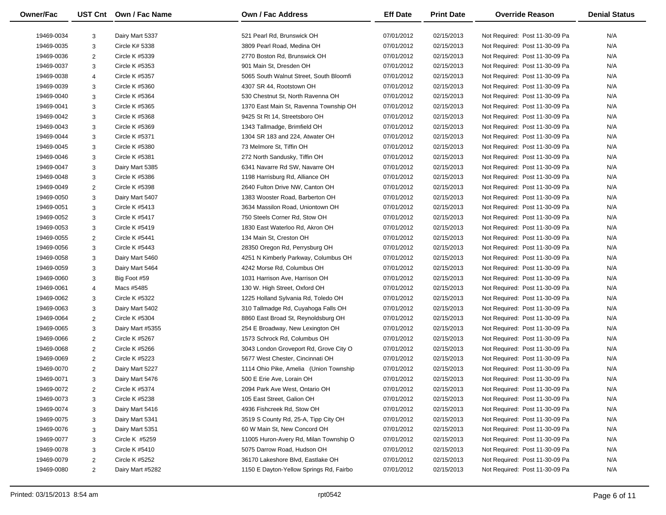| <b>Owner/Fac</b> |                | UST Cnt Own / Fac Name | Own / Fac Address                       | <b>Eff Date</b> | <b>Print Date</b> | <b>Override Reason</b>         | <b>Denial Status</b> |
|------------------|----------------|------------------------|-----------------------------------------|-----------------|-------------------|--------------------------------|----------------------|
| 19469-0034       | 3              | Dairy Mart 5337        | 521 Pearl Rd. Brunswick OH              | 07/01/2012      | 02/15/2013        | Not Required: Post 11-30-09 Pa | N/A                  |
| 19469-0035       | 3              | Circle K# 5338         | 3809 Pearl Road, Medina OH              | 07/01/2012      | 02/15/2013        | Not Required: Post 11-30-09 Pa | N/A                  |
| 19469-0036       | $\overline{2}$ | Circle K #5339         | 2770 Boston Rd, Brunswick OH            | 07/01/2012      | 02/15/2013        | Not Required: Post 11-30-09 Pa | N/A                  |
| 19469-0037       | 3              | Circle K #5353         | 901 Main St, Dresden OH                 | 07/01/2012      | 02/15/2013        | Not Required: Post 11-30-09 Pa | N/A                  |
| 19469-0038       | $\overline{4}$ | Circle K #5357         | 5065 South Walnut Street, South Bloomfi | 07/01/2012      | 02/15/2013        | Not Required: Post 11-30-09 Pa | N/A                  |
| 19469-0039       | 3              | Circle K #5360         | 4307 SR 44, Rootstown OH                | 07/01/2012      | 02/15/2013        | Not Required: Post 11-30-09 Pa | N/A                  |
| 19469-0040       | 3              | Circle K #5364         | 530 Chestnut St, North Ravenna OH       | 07/01/2012      | 02/15/2013        | Not Required: Post 11-30-09 Pa | N/A                  |
| 19469-0041       | $\mathbf{3}$   | Circle K #5365         | 1370 East Main St, Ravenna Township OH  | 07/01/2012      | 02/15/2013        | Not Required: Post 11-30-09 Pa | N/A                  |
| 19469-0042       | $\mathbf{3}$   | Circle K #5368         | 9425 St Rt 14, Streetsboro OH           | 07/01/2012      | 02/15/2013        | Not Required: Post 11-30-09 Pa | N/A                  |
| 19469-0043       | $\mathbf{3}$   | Circle K #5369         | 1343 Tallmadge, Brimfield OH            | 07/01/2012      | 02/15/2013        | Not Required: Post 11-30-09 Pa | N/A                  |
| 19469-0044       | $\mathbf{3}$   | Circle K #5371         | 1304 SR 183 and 224, Atwater OH         | 07/01/2012      | 02/15/2013        | Not Required: Post 11-30-09 Pa | N/A                  |
| 19469-0045       | 3              | Circle K #5380         | 73 Melmore St, Tiffin OH                | 07/01/2012      | 02/15/2013        | Not Required: Post 11-30-09 Pa | N/A                  |
| 19469-0046       | $\mathbf{3}$   | Circle K #5381         | 272 North Sandusky, Tiffin OH           | 07/01/2012      | 02/15/2013        | Not Required: Post 11-30-09 Pa | N/A                  |
| 19469-0047       | 3              | Dairy Mart 5385        | 6341 Navarre Rd SW, Navarre OH          | 07/01/2012      | 02/15/2013        | Not Required: Post 11-30-09 Pa | N/A                  |
| 19469-0048       | $\mathbf{3}$   | Circle K #5386         | 1198 Harrisburg Rd, Alliance OH         | 07/01/2012      | 02/15/2013        | Not Required: Post 11-30-09 Pa | N/A                  |
| 19469-0049       | $\overline{2}$ | Circle K #5398         | 2640 Fulton Drive NW, Canton OH         | 07/01/2012      | 02/15/2013        | Not Required: Post 11-30-09 Pa | N/A                  |
| 19469-0050       | 3              | Dairy Mart 5407        | 1383 Wooster Road, Barberton OH         | 07/01/2012      | 02/15/2013        | Not Required: Post 11-30-09 Pa | N/A                  |
| 19469-0051       | $\mathbf{3}$   | Circle K #5413         | 3634 Massilon Road, Uniontown OH        | 07/01/2012      | 02/15/2013        | Not Required: Post 11-30-09 Pa | N/A                  |
| 19469-0052       | $\mathbf{3}$   | Circle K #5417         | 750 Steels Corner Rd, Stow OH           | 07/01/2012      | 02/15/2013        | Not Required: Post 11-30-09 Pa | N/A                  |
|                  |                | Circle K #5419         |                                         |                 |                   |                                |                      |
| 19469-0053       | 3              |                        | 1830 East Waterloo Rd, Akron OH         | 07/01/2012      | 02/15/2013        | Not Required: Post 11-30-09 Pa | N/A                  |
| 19469-0055       | $\overline{2}$ | Circle K #5441         | 134 Main St, Creston OH                 | 07/01/2012      | 02/15/2013        | Not Required: Post 11-30-09 Pa | N/A                  |
| 19469-0056       | 3              | Circle K #5443         | 28350 Oregon Rd, Perrysburg OH          | 07/01/2012      | 02/15/2013        | Not Required: Post 11-30-09 Pa | N/A                  |
| 19469-0058       | $\mathbf{3}$   | Dairy Mart 5460        | 4251 N Kimberly Parkway, Columbus OH    | 07/01/2012      | 02/15/2013        | Not Required: Post 11-30-09 Pa | N/A                  |
| 19469-0059       | $\mathbf{3}$   | Dairy Mart 5464        | 4242 Morse Rd, Columbus OH              | 07/01/2012      | 02/15/2013        | Not Required: Post 11-30-09 Pa | N/A                  |
| 19469-0060       | 3              | Big Foot #59           | 1031 Harrison Ave, Harrison OH          | 07/01/2012      | 02/15/2013        | Not Required: Post 11-30-09 Pa | N/A                  |
| 19469-0061       | $\overline{4}$ | Macs #5485             | 130 W. High Street, Oxford OH           | 07/01/2012      | 02/15/2013        | Not Required: Post 11-30-09 Pa | N/A                  |
| 19469-0062       | 3              | Circle K #5322         | 1225 Holland Sylvania Rd, Toledo OH     | 07/01/2012      | 02/15/2013        | Not Required: Post 11-30-09 Pa | N/A                  |
| 19469-0063       | $\mathbf{3}$   | Dairy Mart 5402        | 310 Tallmadge Rd, Cuyahoga Falls OH     | 07/01/2012      | 02/15/2013        | Not Required: Post 11-30-09 Pa | N/A                  |
| 19469-0064       | $\overline{2}$ | Circle K #5304         | 8860 East Broad St, Reynoldsburg OH     | 07/01/2012      | 02/15/2013        | Not Required: Post 11-30-09 Pa | N/A                  |
| 19469-0065       | 3              | Dairy Mart #5355       | 254 E Broadway, New Lexington OH        | 07/01/2012      | 02/15/2013        | Not Required: Post 11-30-09 Pa | N/A                  |
| 19469-0066       | $\overline{2}$ | Circle K #5267         | 1573 Schrock Rd, Columbus OH            | 07/01/2012      | 02/15/2013        | Not Required: Post 11-30-09 Pa | N/A                  |
| 19469-0068       | $\overline{2}$ | Circle K #5266         | 3043 London Groveport Rd, Grove City O  | 07/01/2012      | 02/15/2013        | Not Required: Post 11-30-09 Pa | N/A                  |
| 19469-0069       | $\overline{2}$ | Circle K #5223         | 5677 West Chester, Cincinnati OH        | 07/01/2012      | 02/15/2013        | Not Required: Post 11-30-09 Pa | N/A                  |
| 19469-0070       | 2              | Dairy Mart 5227        | 1114 Ohio Pike, Amelia (Union Township  | 07/01/2012      | 02/15/2013        | Not Required: Post 11-30-09 Pa | N/A                  |
| 19469-0071       | 3              | Dairy Mart 5476        | 500 E Erie Ave, Lorain OH               | 07/01/2012      | 02/15/2013        | Not Required: Post 11-30-09 Pa | N/A                  |
| 19469-0072       |                | Circle K #5374         | 2094 Park Ave West, Ontario OH          | 07/01/2012      | 02/15/2013        | Not Required: Post 11-30-09 Pa | N/A                  |
| 19469-0073       | 3              | Circle K #5238         | 105 East Street, Galion OH              | 07/01/2012      | 02/15/2013        | Not Required: Post 11-30-09 Pa | N/A                  |
| 19469-0074       | 3              | Dairy Mart 5416        | 4936 Fishcreek Rd, Stow OH              | 07/01/2012      | 02/15/2013        | Not Required: Post 11-30-09 Pa | N/A                  |
| 19469-0075       | 3              | Dairy Mart 5341        | 3519 S County Rd, 25-A, Tipp City OH    | 07/01/2012      | 02/15/2013        | Not Required: Post 11-30-09 Pa | N/A                  |
| 19469-0076       | 3              | Dairy Mart 5351        | 60 W Main St, New Concord OH            | 07/01/2012      | 02/15/2013        | Not Required: Post 11-30-09 Pa | N/A                  |
| 19469-0077       | 3              | Circle K #5259         | 11005 Huron-Avery Rd, Milan Township O  | 07/01/2012      | 02/15/2013        | Not Required: Post 11-30-09 Pa | N/A                  |
| 19469-0078       | 3              | Circle K #5410         | 5075 Darrow Road, Hudson OH             | 07/01/2012      | 02/15/2013        | Not Required: Post 11-30-09 Pa | N/A                  |
| 19469-0079       | $\overline{2}$ | Circle K #5252         | 36170 Lakeshore Blvd, Eastlake OH       | 07/01/2012      | 02/15/2013        | Not Required: Post 11-30-09 Pa | N/A                  |
| 19469-0080       | 2              | Dairy Mart #5282       | 1150 E Dayton-Yellow Springs Rd, Fairbo | 07/01/2012      | 02/15/2013        | Not Required: Post 11-30-09 Pa | N/A                  |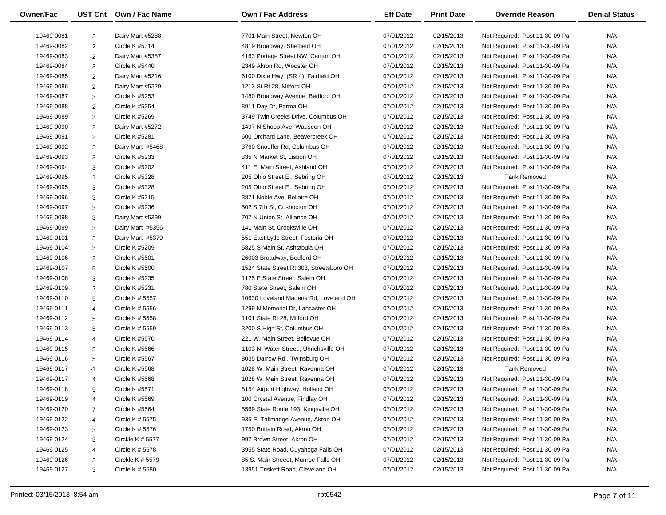| <b>Owner/Fac</b> |                 | UST Cnt Own / Fac Name | <b>Own / Fac Address</b>                 | <b>Eff Date</b> | <b>Print Date</b> | <b>Override Reason</b>         | <b>Denial Status</b> |
|------------------|-----------------|------------------------|------------------------------------------|-----------------|-------------------|--------------------------------|----------------------|
| 19469-0081       | 3               | Dairy Mart #5288       | 7701 Main Street. Newton OH              | 07/01/2012      | 02/15/2013        | Not Required: Post 11-30-09 Pa | N/A                  |
| 19469-0082       | $\overline{2}$  | Circle K #5314         | 4819 Broadway, Sheffield OH              | 07/01/2012      | 02/15/2013        | Not Required: Post 11-30-09 Pa | N/A                  |
| 19469-0083       | $\overline{2}$  | Dairy Mart #5387       | 4163 Portage Street NW, Canton OH        | 07/01/2012      | 02/15/2013        | Not Required: Post 11-30-09 Pa | N/A                  |
| 19469-0084       | $\mathbf{3}$    | Circle K #5440         | 2349 Akron Rd, Wooster OH                | 07/01/2012      | 02/15/2013        | Not Required: Post 11-30-09 Pa | N/A                  |
| 19469-0085       | $\overline{2}$  | Dairy Mart #5216       | 6100 Dixie Hwy (SR 4), Fairfield OH      | 07/01/2012      | 02/15/2013        | Not Required: Post 11-30-09 Pa | N/A                  |
| 19469-0086       | $\overline{2}$  | Dairy Mart #5229       | 1213 St Rt 28, Milford OH                | 07/01/2012      | 02/15/2013        | Not Required: Post 11-30-09 Pa | N/A                  |
| 19469-0087       | $\mathbf{3}$    | Circle K #5253         | 1480 Broadway Avenue, Bedford OH         | 07/01/2012      | 02/15/2013        | Not Required: Post 11-30-09 Pa | N/A                  |
| 19469-0088       | 2               | <b>Circle K #5254</b>  | 8911 Day Dr, Parma OH                    | 07/01/2012      | 02/15/2013        | Not Required: Post 11-30-09 Pa | N/A                  |
| 19469-0089       | $\mathbf{3}$    | Circle K #5269         | 3749 Twin Creeks Drive, Columbus OH      | 07/01/2012      | 02/15/2013        | Not Required: Post 11-30-09 Pa | N/A                  |
| 19469-0090       | $\overline{2}$  | Dairy Mart #5272       | 1497 N Shoop Ave, Wauseon OH             | 07/01/2012      | 02/15/2013        | Not Required: Post 11-30-09 Pa | N/A                  |
| 19469-0091       | $\overline{2}$  | <b>Circle K #5281</b>  | 600 Orchard Lane, Beavercreek OH         | 07/01/2012      | 02/15/2013        | Not Required: Post 11-30-09 Pa | N/A                  |
| 19469-0092       | $\mathbf{3}$    | Dairy Mart #5468       | 3760 Snouffer Rd, Columbus OH            | 07/01/2012      | 02/15/2013        | Not Required: Post 11-30-09 Pa | N/A                  |
| 19469-0093       | $\mathbf{3}$    | Circle K #5233         | 335 N Market St, Lisbon OH               | 07/01/2012      | 02/15/2013        | Not Required: Post 11-30-09 Pa | N/A                  |
| 19469-0094       | $\mathbf{3}$    | <b>Circle K #5202</b>  | 411 E. Main Street, Ashland OH           | 07/01/2012      | 02/15/2013        | Not Required: Post 11-30-09 Pa | N/A                  |
| 19469-0095       | $-1$            | Circle K #5328         | 205 Ohio Street E., Sebring OH           | 07/01/2012      | 02/15/2013        | <b>Tank Removed</b>            | N/A                  |
| 19469-0095       | $\mathbf{3}$    | Circle K #5328         | 205 Ohio Street E., Sebring OH           | 07/01/2012      | 02/15/2013        | Not Required: Post 11-30-09 Pa | N/A                  |
| 19469-0096       | $\mathbf{3}$    | Circle K #5215         | 3871 Noble Ave, Bellaire OH              | 07/01/2012      | 02/15/2013        | Not Required: Post 11-30-09 Pa | N/A                  |
| 19469-0097       | $\mathbf{3}$    | Circle K #5236         | 502 S 7th St, Coshocton OH               | 07/01/2012      | 02/15/2013        | Not Required: Post 11-30-09 Pa | N/A                  |
| 19469-0098       | $\mathbf{3}$    | Dairy Mart #5399       | 707 N Union St, Alliance OH              | 07/01/2012      | 02/15/2013        | Not Required: Post 11-30-09 Pa | N/A                  |
|                  |                 | Dairy Mart #5356       | 141 Main St, Crooksville OH              | 07/01/2012      | 02/15/2013        |                                | N/A                  |
| 19469-0099       | $\mathbf{3}$    |                        |                                          |                 |                   | Not Required: Post 11-30-09 Pa |                      |
| 19469-0101       | $\mathbf{3}$    | Dairy Mart #5379       | 551 East Lytle Street, Fostoria OH       | 07/01/2012      | 02/15/2013        | Not Required: Post 11-30-09 Pa | N/A                  |
| 19469-0104       | $\mathbf{3}$    | Circle K #5209         | 5825 S Main St, Ashtabula OH             | 07/01/2012      | 02/15/2013        | Not Required: Post 11-30-09 Pa | N/A                  |
| 19469-0106       | $\overline{2}$  | Circle K #5501         | 26003 Broadway, Bedford OH               | 07/01/2012      | 02/15/2013        | Not Required: Post 11-30-09 Pa | N/A                  |
| 19469-0107       | $5\overline{)}$ | Circle K #5500         | 1524 State Street Rt 303, Streetsboro OH | 07/01/2012      | 02/15/2013        | Not Required: Post 11-30-09 Pa | N/A                  |
| 19469-0108       | $\mathbf{3}$    | Circle K #5235         | 1125 E State Street, Salem OH            | 07/01/2012      | 02/15/2013        | Not Required: Post 11-30-09 Pa | N/A                  |
| 19469-0109       | 2               | Circle K #5231         | 780 State Street, Salem OH               | 07/01/2012      | 02/15/2013        | Not Required: Post 11-30-09 Pa | N/A                  |
| 19469-0110       | $5\overline{)}$ | Circle K # 5557        | 10630 Loveland Maderia Rd, Loveland OH   | 07/01/2012      | 02/15/2013        | Not Required: Post 11-30-09 Pa | N/A                  |
| 19469-0111       | $\overline{4}$  | Circle K # 5556        | 1299 N Memorial Dr, Lancaster OH         | 07/01/2012      | 02/15/2013        | Not Required: Post 11-30-09 Pa | N/A                  |
| 19469-0112       | $5\overline{)}$ | Circle K # 5558        | 1101 State Rt 28, Milford OH             | 07/01/2012      | 02/15/2013        | Not Required: Post 11-30-09 Pa | N/A                  |
| 19469-0113       | $5\phantom{.0}$ | Circle K # 5559        | 3200 S High St, Columbus OH              | 07/01/2012      | 02/15/2013        | Not Required: Post 11-30-09 Pa | N/A                  |
| 19469-0114       | $\overline{4}$  | Circle K #5570         | 221 W. Main Street, Bellevue OH          | 07/01/2012      | 02/15/2013        | Not Required: Post 11-30-09 Pa | N/A                  |
| 19469-0115       | $5\overline{5}$ | Circle K #5566         | 1103 N. Water Street., Uhrichsville OH   | 07/01/2012      | 02/15/2013        | Not Required: Post 11-30-09 Pa | N/A                  |
| 19469-0116       | $5\phantom{.0}$ | Circle K #5567         | 8035 Darrow Rd., Twinsburg OH            | 07/01/2012      | 02/15/2013        | Not Required: Post 11-30-09 Pa | N/A                  |
| 19469-0117       | $-1$            | Circle K #5568         | 1028 W. Main Street, Ravenna OH          | 07/01/2012      | 02/15/2013        | <b>Tank Removed</b>            | N/A                  |
| 19469-0117       | $\overline{4}$  | <b>Circle K #5568</b>  | 1028 W. Main Street, Ravenna OH          | 07/01/2012      | 02/15/2013        | Not Required: Post 11-30-09 Pa | N/A                  |
| 19469-0118       |                 | Circle K #5571         | 8154 Airport Highway, Holland OH         | 07/01/2012      | 02/15/2013        | Not Required: Post 11-30-09 Pa | N/A                  |
| 19469-0119       | $\overline{4}$  | Circle K #5569         | 100 Crystal Avenue, Findlay OH           | 07/01/2012      | 02/15/2013        | Not Required: Post 11-30-09 Pa | N/A                  |
| 19469-0120       | $\overline{7}$  | Circle K #5564         | 5569 State Route 193, Kingsville OH      | 07/01/2012      | 02/15/2013        | Not Required: Post 11-30-09 Pa | N/A                  |
| 19469-0122       | $\overline{4}$  | Circle K # 5575        | 935 E. Tallmadge Avenue, Akron OH        | 07/01/2012      | 02/15/2013        | Not Required: Post 11-30-09 Pa | N/A                  |
| 19469-0123       | 3               | Circle K # 5576        | 1750 Brittain Road, Akron OH             | 07/01/2012      | 02/15/2013        | Not Required: Post 11-30-09 Pa | N/A                  |
| 19469-0124       | 3               | Circkle K # 5577       | 997 Brown Street, Akron OH               | 07/01/2012      | 02/15/2013        | Not Required: Post 11-30-09 Pa | N/A                  |
| 19469-0125       | 4               | Circle K # 5578        | 3955 State Road, Cuyahoga Falls OH       | 07/01/2012      | 02/15/2013        | Not Required: Post 11-30-09 Pa | N/A                  |
| 19469-0126       | 3               | Circkle K $# 5579$     | 85 S. Main Streeet, Munroe Falls OH      | 07/01/2012      | 02/15/2013        | Not Required: Post 11-30-09 Pa | N/A                  |
| 19469-0127       | 3               | Circle K # 5580        | 13951 Triskett Road, Cleveland OH        | 07/01/2012      | 02/15/2013        | Not Required: Post 11-30-09 Pa | N/A                  |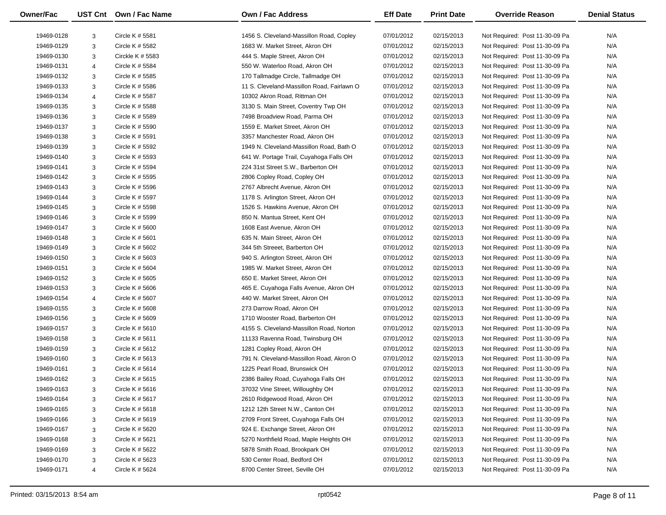| <b>Owner/Fac</b> |                | UST Cnt Own / Fac Name             | <b>Own / Fac Address</b>                   | <b>Eff Date</b> | <b>Print Date</b>        | <b>Override Reason</b>         | <b>Denial Status</b> |
|------------------|----------------|------------------------------------|--------------------------------------------|-----------------|--------------------------|--------------------------------|----------------------|
|                  |                |                                    | 1456 S. Cleveland-Massillon Road, Copley   |                 |                          |                                |                      |
| 19469-0128       | 3              | Circle K # 5581<br>Circle K # 5582 | 1683 W. Market Street, Akron OH            | 07/01/2012      | 02/15/2013               | Not Required: Post 11-30-09 Pa | N/A<br>N/A           |
| 19469-0129       | 3              |                                    |                                            | 07/01/2012      | 02/15/2013<br>02/15/2013 | Not Required: Post 11-30-09 Pa |                      |
| 19469-0130       | 3              | Circkle K $# 5583$                 | 444 S. Maple Street, Akron OH              | 07/01/2012      |                          | Not Required: Post 11-30-09 Pa | N/A                  |
| 19469-0131       | $\overline{4}$ | Circle K # 5584                    | 550 W. Waterloo Road, Akron OH             | 07/01/2012      | 02/15/2013               | Not Required: Post 11-30-09 Pa | N/A                  |
| 19469-0132       | 3              | Circle K # 5585                    | 170 Tallmadge Circle, Tallmadge OH         | 07/01/2012      | 02/15/2013               | Not Required: Post 11-30-09 Pa | N/A                  |
| 19469-0133       | 3              | Circle K # 5586                    | 11 S. Cleveland-Massillon Road, Fairlawn O | 07/01/2012      | 02/15/2013               | Not Required: Post 11-30-09 Pa | N/A                  |
| 19469-0134       | $\overline{4}$ | Circle K # 5587                    | 10302 Akron Road, Rittman OH               | 07/01/2012      | 02/15/2013               | Not Required: Post 11-30-09 Pa | N/A                  |
| 19469-0135       | 3              | Circle K # 5588                    | 3130 S. Main Street, Coventry Twp OH       | 07/01/2012      | 02/15/2013               | Not Required: Post 11-30-09 Pa | N/A                  |
| 19469-0136       | 3              | Circle K # 5589                    | 7498 Broadview Road, Parma OH              | 07/01/2012      | 02/15/2013               | Not Required: Post 11-30-09 Pa | N/A                  |
| 19469-0137       | 3              | Circle K # 5590                    | 1559 E. Market Street, Akron OH            | 07/01/2012      | 02/15/2013               | Not Required: Post 11-30-09 Pa | N/A                  |
| 19469-0138       | 3              | Circle K # 5591                    | 3357 Manchester Road, Akron OH             | 07/01/2012      | 02/15/2013               | Not Required: Post 11-30-09 Pa | N/A                  |
| 19469-0139       | 3              | Circle K # 5592                    | 1949 N. Cleveland-Massillon Road, Bath O   | 07/01/2012      | 02/15/2013               | Not Required: Post 11-30-09 Pa | N/A                  |
| 19469-0140       | $\mathbf{3}$   | Circle K # 5593                    | 641 W. Portage Trail, Cuyahoga Falls OH    | 07/01/2012      | 02/15/2013               | Not Required: Post 11-30-09 Pa | N/A                  |
| 19469-0141       | 3              | Circle K # 5594                    | 224 31st Street S.W., Barberton OH         | 07/01/2012      | 02/15/2013               | Not Required: Post 11-30-09 Pa | N/A                  |
| 19469-0142       | 3              | Circle K # 5595                    | 2806 Copley Road, Copley OH                | 07/01/2012      | 02/15/2013               | Not Required: Post 11-30-09 Pa | N/A                  |
| 19469-0143       | 3              | Circle K # 5596                    | 2767 Albrecht Avenue, Akron OH             | 07/01/2012      | 02/15/2013               | Not Required: Post 11-30-09 Pa | N/A                  |
| 19469-0144       | 3              | Circle K # 5597                    | 1178 S. Arlington Street, Akron OH         | 07/01/2012      | 02/15/2013               | Not Required: Post 11-30-09 Pa | N/A                  |
| 19469-0145       | 3              | Circle K # 5598                    | 1526 S. Hawkins Avenue, Akron OH           | 07/01/2012      | 02/15/2013               | Not Required: Post 11-30-09 Pa | N/A                  |
| 19469-0146       | 3              | Circle K # 5599                    | 850 N. Mantua Street, Kent OH              | 07/01/2012      | 02/15/2013               | Not Required: Post 11-30-09 Pa | N/A                  |
| 19469-0147       | 3              | Circle K # 5600                    | 1608 East Avenue, Akron OH                 | 07/01/2012      | 02/15/2013               | Not Required: Post 11-30-09 Pa | N/A                  |
| 19469-0148       | 3              | Circle K # 5601                    | 635 N. Main Street, Akron OH               | 07/01/2012      | 02/15/2013               | Not Required: Post 11-30-09 Pa | N/A                  |
| 19469-0149       | 3              | Circle K # 5602                    | 344 5th Streeet, Barberton OH              | 07/01/2012      | 02/15/2013               | Not Required: Post 11-30-09 Pa | N/A                  |
| 19469-0150       | 3              | Circle K $# 5603$                  | 940 S. Arlington Street, Akron OH          | 07/01/2012      | 02/15/2013               | Not Required: Post 11-30-09 Pa | N/A                  |
| 19469-0151       | 3              | Circle K # 5604                    | 1985 W. Market Street, Akron OH            | 07/01/2012      | 02/15/2013               | Not Required: Post 11-30-09 Pa | N/A                  |
| 19469-0152       | 3              | Circle K # 5605                    | 650 E. Market Street, Akron OH             | 07/01/2012      | 02/15/2013               | Not Required: Post 11-30-09 Pa | N/A                  |
| 19469-0153       | 3              | Circle K $#5606$                   | 465 E. Cuyahoga Falls Avenue, Akron OH     | 07/01/2012      | 02/15/2013               | Not Required: Post 11-30-09 Pa | N/A                  |
| 19469-0154       | $\overline{4}$ | Circle K # 5607                    | 440 W. Market Street, Akron OH             | 07/01/2012      | 02/15/2013               | Not Required: Post 11-30-09 Pa | N/A                  |
| 19469-0155       | 3              | Circle K # 5608                    | 273 Darrow Road, Akron OH                  | 07/01/2012      | 02/15/2013               | Not Required: Post 11-30-09 Pa | N/A                  |
| 19469-0156       | 3              | Circle K # 5609                    | 1710 Wooster Road, Barberton OH            | 07/01/2012      | 02/15/2013               | Not Required: Post 11-30-09 Pa | N/A                  |
| 19469-0157       | 3              | Circle K $# 5610$                  | 4155 S. Cleveland-Massillon Road, Norton   | 07/01/2012      | 02/15/2013               | Not Required: Post 11-30-09 Pa | N/A                  |
| 19469-0158       | 3              | Circle K # 5611                    | 11133 Ravenna Road, Twinsburg OH           | 07/01/2012      | 02/15/2013               | Not Required: Post 11-30-09 Pa | N/A                  |
| 19469-0159       | 3              | Circle K # 5612                    | 1281 Copley Road, Akron OH                 | 07/01/2012      | 02/15/2013               | Not Required: Post 11-30-09 Pa | N/A                  |
| 19469-0160       | 3              | Circle K $# 5613$                  | 791 N. Cleveland-Massillon Road, Akron O   | 07/01/2012      | 02/15/2013               | Not Required: Post 11-30-09 Pa | N/A                  |
| 19469-0161       | 3              | Circle K $# 5614$                  | 1225 Pearl Road, Brunswick OH              | 07/01/2012      | 02/15/2013               | Not Required: Post 11-30-09 Pa | N/A                  |
| 19469-0162       | 3              | Circle K # 5615                    | 2386 Bailey Road, Cuyahoga Falls OH        | 07/01/2012      | 02/15/2013               | Not Required: Post 11-30-09 Pa | N/A                  |
| 19469-0163       | 3              | Circle K # 5616                    | 37032 Vine Street, Willoughby OH           | 07/01/2012      | 02/15/2013               | Not Required: Post 11-30-09 Pa | N/A                  |
| 19469-0164       | 3              | Circle K $# 5617$                  | 2610 Ridgewood Road, Akron OH              | 07/01/2012      | 02/15/2013               | Not Required: Post 11-30-09 Pa | N/A                  |
| 19469-0165       | 3              | Circle K # 5618                    | 1212 12th Street N.W., Canton OH           | 07/01/2012      | 02/15/2013               | Not Required: Post 11-30-09 Pa | N/A                  |
| 19469-0166       | 3              | Circle K # 5619                    | 2709 Front Street, Cuyahoga Falls OH       | 07/01/2012      | 02/15/2013               | Not Required: Post 11-30-09 Pa | N/A                  |
| 19469-0167       | 3              | Circle K # 5620                    | 924 E. Exchange Street, Akron OH           | 07/01/2012      | 02/15/2013               | Not Required: Post 11-30-09 Pa | N/A                  |
| 19469-0168       | 3              | Circle K # 5621                    | 5270 Northfield Road, Maple Heights OH     | 07/01/2012      | 02/15/2013               | Not Required: Post 11-30-09 Pa | N/A                  |
| 19469-0169       | 3              | Circle K # 5622                    | 5878 Smith Road, Brookpark OH              | 07/01/2012      | 02/15/2013               | Not Required: Post 11-30-09 Pa | N/A                  |
| 19469-0170       | 3              | Circle K # 5623                    | 530 Center Road, Bedford OH                | 07/01/2012      | 02/15/2013               | Not Required: Post 11-30-09 Pa | N/A                  |
| 19469-0171       | $\overline{4}$ | Circle K # 5624                    | 8700 Center Street, Seville OH             | 07/01/2012      | 02/15/2013               | Not Required: Post 11-30-09 Pa | N/A                  |
|                  |                |                                    |                                            |                 |                          |                                |                      |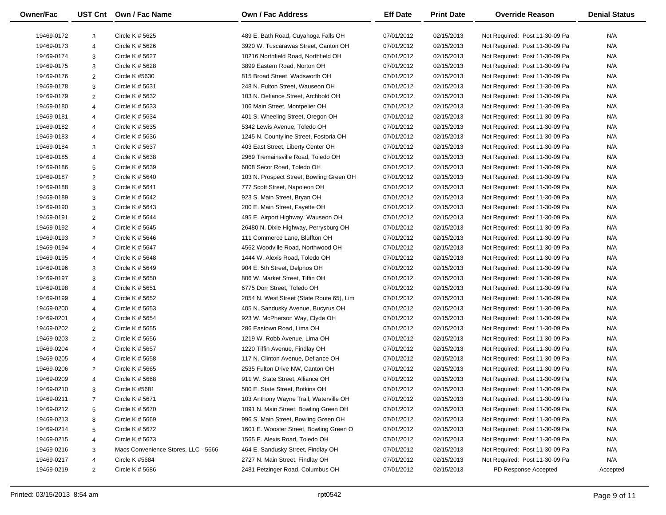| <b>Owner/Fac</b> |                 | UST Cnt Own / Fac Name              | <b>Own / Fac Address</b>                  | <b>Eff Date</b> | <b>Print Date</b> | <b>Override Reason</b>         | <b>Denial Status</b> |
|------------------|-----------------|-------------------------------------|-------------------------------------------|-----------------|-------------------|--------------------------------|----------------------|
| 19469-0172       | 3               | Circle K # 5625                     | 489 E. Bath Road, Cuyahoga Falls OH       | 07/01/2012      | 02/15/2013        | Not Required: Post 11-30-09 Pa | N/A                  |
| 19469-0173       | $\overline{4}$  | Circle K # 5626                     | 3920 W. Tuscarawas Street, Canton OH      | 07/01/2012      | 02/15/2013        | Not Required: Post 11-30-09 Pa | N/A                  |
| 19469-0174       | 3               | Circle K # 5627                     | 10216 Northfield Road, Northfield OH      | 07/01/2012      | 02/15/2013        | Not Required: Post 11-30-09 Pa | N/A                  |
| 19469-0175       | 3               | Circle K # 5628                     | 3899 Eastern Road, Norton OH              | 07/01/2012      | 02/15/2013        | Not Required: Post 11-30-09 Pa | N/A                  |
| 19469-0176       | 2               | Circle K #5630                      | 815 Broad Street, Wadsworth OH            | 07/01/2012      | 02/15/2013        | Not Required: Post 11-30-09 Pa | N/A                  |
| 19469-0178       | 3               | Circle K # 5631                     | 248 N. Fulton Street, Wauseon OH          | 07/01/2012      | 02/15/2013        | Not Required: Post 11-30-09 Pa | N/A                  |
| 19469-0179       | 2               | Circle K # 5632                     | 103 N. Defiance Street, Archbold OH       | 07/01/2012      | 02/15/2013        | Not Required: Post 11-30-09 Pa | N/A                  |
| 19469-0180       | $\overline{4}$  | Circle K # 5633                     | 106 Main Street, Montpelier OH            | 07/01/2012      | 02/15/2013        | Not Required: Post 11-30-09 Pa | N/A                  |
| 19469-0181       | $\overline{4}$  | Circle K # 5634                     | 401 S. Wheeling Street, Oregon OH         | 07/01/2012      | 02/15/2013        | Not Required: Post 11-30-09 Pa | N/A                  |
| 19469-0182       | $\overline{4}$  | Circle K # 5635                     | 5342 Lewis Avenue, Toledo OH              | 07/01/2012      | 02/15/2013        | Not Required: Post 11-30-09 Pa | N/A                  |
| 19469-0183       | $\overline{4}$  | Circle K # 5636                     | 1245 N. Countyline Street, Fostoria OH    | 07/01/2012      | 02/15/2013        | Not Required: Post 11-30-09 Pa | N/A                  |
| 19469-0184       | 3               | Circle K # 5637                     | 403 East Street, Liberty Center OH        | 07/01/2012      | 02/15/2013        | Not Required: Post 11-30-09 Pa | N/A                  |
| 19469-0185       | $\overline{4}$  | Circle K # 5638                     | 2969 Tremainsville Road, Toledo OH        | 07/01/2012      | 02/15/2013        | Not Required: Post 11-30-09 Pa | N/A                  |
| 19469-0186       | $5\overline{5}$ | Circle K # 5639                     | 6008 Secor Road, Toledo OH                | 07/01/2012      | 02/15/2013        | Not Required: Post 11-30-09 Pa | N/A                  |
| 19469-0187       | 2               | Circle K # 5640                     | 103 N. Prospect Street, Bowling Green OH  | 07/01/2012      | 02/15/2013        | Not Required: Post 11-30-09 Pa | N/A                  |
| 19469-0188       | $\mathbf{3}$    | Circle K # 5641                     | 777 Scott Street, Napoleon OH             | 07/01/2012      | 02/15/2013        | Not Required: Post 11-30-09 Pa | N/A                  |
| 19469-0189       | $\mathbf{3}$    | Circle K # 5642                     | 923 S. Main Street, Bryan OH              | 07/01/2012      | 02/15/2013        | Not Required: Post 11-30-09 Pa | N/A                  |
| 19469-0190       | $\mathbf{3}$    | Circle K # 5643                     | 200 E. Main Street, Fayette OH            | 07/01/2012      | 02/15/2013        | Not Required: Post 11-30-09 Pa | N/A                  |
| 19469-0191       | 2               | Circle K # 5644                     | 495 E. Airport Highway, Wauseon OH        | 07/01/2012      | 02/15/2013        | Not Required: Post 11-30-09 Pa | N/A                  |
|                  |                 | Circle K # 5645                     |                                           |                 |                   |                                | N/A                  |
| 19469-0192       | $\overline{4}$  |                                     | 26480 N. Dixie Highway, Perrysburg OH     | 07/01/2012      | 02/15/2013        | Not Required: Post 11-30-09 Pa |                      |
| 19469-0193       | 2               | Circle K $# 5646$                   | 111 Commerce Lane, Bluffton OH            | 07/01/2012      | 02/15/2013        | Not Required: Post 11-30-09 Pa | N/A                  |
| 19469-0194       | $\overline{4}$  | Circle K # 5647                     | 4562 Woodville Road, Northwood OH         | 07/01/2012      | 02/15/2013        | Not Required: Post 11-30-09 Pa | N/A                  |
| 19469-0195       | $\overline{4}$  | Circle K # 5648                     | 1444 W. Alexis Road, Toledo OH            | 07/01/2012      | 02/15/2013        | Not Required: Post 11-30-09 Pa | N/A                  |
| 19469-0196       | 3               | Circle K # 5649                     | 904 E. 5th Street, Delphos OH             | 07/01/2012      | 02/15/2013        | Not Required: Post 11-30-09 Pa | N/A                  |
| 19469-0197       | 3               | Circle K # 5650                     | 806 W. Market Street, Tiffin OH           | 07/01/2012      | 02/15/2013        | Not Required: Post 11-30-09 Pa | N/A                  |
| 19469-0198       | $\overline{4}$  | Circle K # 5651                     | 6775 Dorr Street, Toledo OH               | 07/01/2012      | 02/15/2013        | Not Required: Post 11-30-09 Pa | N/A                  |
| 19469-0199       | $\overline{4}$  | Circle K # 5652                     | 2054 N. West Street (State Route 65), Lim | 07/01/2012      | 02/15/2013        | Not Required: Post 11-30-09 Pa | N/A                  |
| 19469-0200       | $\overline{4}$  | Circle K # 5653                     | 405 N. Sandusky Avenue, Bucyrus OH        | 07/01/2012      | 02/15/2013        | Not Required: Post 11-30-09 Pa | N/A                  |
| 19469-0201       | $\overline{4}$  | Circle K # 5654                     | 923 W. McPherson Way, Clyde OH            | 07/01/2012      | 02/15/2013        | Not Required: Post 11-30-09 Pa | N/A                  |
| 19469-0202       | $\overline{2}$  | Circle K # 5655                     | 286 Eastown Road, Lima OH                 | 07/01/2012      | 02/15/2013        | Not Required: Post 11-30-09 Pa | N/A                  |
| 19469-0203       | 2               | Circle K # 5656                     | 1219 W. Robb Avenue, Lima OH              | 07/01/2012      | 02/15/2013        | Not Required: Post 11-30-09 Pa | N/A                  |
| 19469-0204       | $\overline{4}$  | Circle K # 5657                     | 1220 Tiffin Avenue, Findlay OH            | 07/01/2012      | 02/15/2013        | Not Required: Post 11-30-09 Pa | N/A                  |
| 19469-0205       | $\overline{4}$  | Circle K # 5658                     | 117 N. Clinton Avenue, Defiance OH        | 07/01/2012      | 02/15/2013        | Not Required: Post 11-30-09 Pa | N/A                  |
| 19469-0206       | 2               | Circle K # 5665                     | 2535 Fulton Drive NW, Canton OH           | 07/01/2012      | 02/15/2013        | Not Required: Post 11-30-09 Pa | N/A                  |
| 19469-0209       | $\overline{4}$  | Circle K # 5668                     | 911 W. State Street, Alliance OH          | 07/01/2012      | 02/15/2013        | Not Required: Post 11-30-09 Pa | N/A                  |
| 19469-0210       |                 | Circle K #5681                      | 500 E. State Street, Botkins OH           | 07/01/2012      | 02/15/2013        | Not Required: Post 11-30-09 Pa | N/A                  |
| 19469-0211       | 7               | Circle K # 5671                     | 103 Anthony Wayne Trail, Waterville OH    | 07/01/2012      | 02/15/2013        | Not Required: Post 11-30-09 Pa | N/A                  |
| 19469-0212       | $5\phantom{.0}$ | Circle K # 5670                     | 1091 N. Main Street, Bowling Green OH     | 07/01/2012      | 02/15/2013        | Not Required: Post 11-30-09 Pa | N/A                  |
| 19469-0213       | 8               | Circle K # 5669                     | 996 S. Main Street, Bowling Green OH      | 07/01/2012      | 02/15/2013        | Not Required: Post 11-30-09 Pa | N/A                  |
| 19469-0214       | 5               | Circle K # 5672                     | 1601 E. Wooster Street, Bowling Green O   | 07/01/2012      | 02/15/2013        | Not Required: Post 11-30-09 Pa | N/A                  |
| 19469-0215       | 4               | Circle K # 5673                     | 1565 E. Alexis Road, Toledo OH            | 07/01/2012      | 02/15/2013        | Not Required: Post 11-30-09 Pa | N/A                  |
| 19469-0216       | 3               | Macs Convenience Stores, LLC - 5666 | 464 E. Sandusky Street, Findlay OH        | 07/01/2012      | 02/15/2013        | Not Required: Post 11-30-09 Pa | N/A                  |
| 19469-0217       | $\overline{4}$  | Circle K #5684                      | 2727 N. Main Street, Findlay OH           | 07/01/2012      | 02/15/2013        | Not Required: Post 11-30-09 Pa | N/A                  |
| 19469-0219       | 2               | Circle K $# 5686$                   | 2481 Petzinger Road, Columbus OH          | 07/01/2012      | 02/15/2013        | PD Response Accepted           | Accepted             |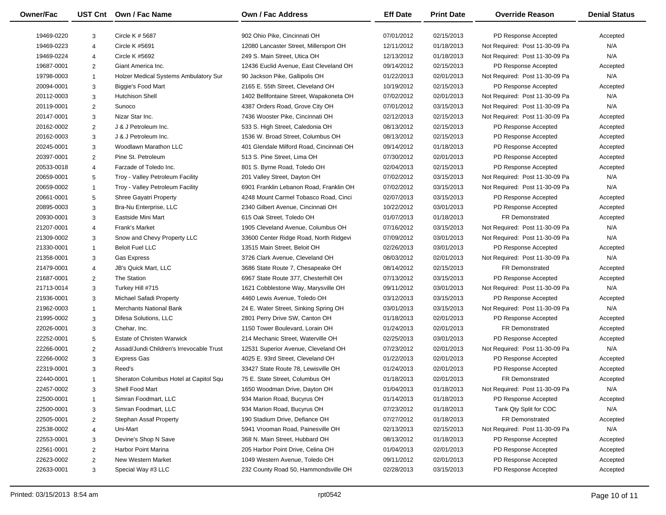| Owner/Fac                |                                  | UST Cnt Own / Fac Name                                               | Own / Fac Address                        | <b>Eff Date</b>          | <b>Print Date</b>        | <b>Override Reason</b>                       | <b>Denial Status</b> |
|--------------------------|----------------------------------|----------------------------------------------------------------------|------------------------------------------|--------------------------|--------------------------|----------------------------------------------|----------------------|
| 19469-0220               | 3                                | Circle K # 5687                                                      | 902 Ohio Pike, Cincinnati OH             | 07/01/2012               | 02/15/2013               | PD Response Accepted                         | Accepted             |
| 19469-0223               | $\overline{4}$                   | Circle K #5691                                                       | 12080 Lancaster Street, Millersport OH   | 12/11/2012               | 01/18/2013               | Not Required: Post 11-30-09 Pa               | N/A                  |
| 19469-0224               | $\overline{4}$                   | <b>Circle K #5692</b>                                                | 249 S. Main Street, Utica OH             | 12/13/2012               | 01/18/2013               | Not Required: Post 11-30-09 Pa               | N/A                  |
| 19687-0001               | 2                                | Giant America Inc.                                                   | 12436 Euclid Avenue, East Cleveland OH   | 09/14/2012               | 02/15/2013               | PD Response Accepted                         | Accepted             |
| 19798-0003               | $\overline{1}$                   | Holzer Medical Systems Ambulatory Sur                                | 90 Jackson Pike, Gallipolis OH           | 01/22/2013               | 02/01/2013               | Not Required: Post 11-30-09 Pa               | N/A                  |
| 20094-0001               | 3                                | Biggie's Food Mart                                                   | 2165 E. 55th Street, Cleveland OH        | 10/19/2012               | 02/15/2013               | PD Response Accepted                         | Accepted             |
| 20112-0003               | 3                                | <b>Hutchison Shell</b>                                               | 1402 Bellfontaine Street, Wapakoneta OH  | 07/02/2012               | 02/01/2013               | Not Required: Post 11-30-09 Pa               | N/A                  |
| 20119-0001               | $\overline{2}$                   | Sunoco                                                               | 4387 Orders Road, Grove City OH          | 07/01/2012               | 03/15/2013               | Not Required: Post 11-30-09 Pa               | N/A                  |
| 20147-0001               | 3                                | Nizar Star Inc.                                                      | 7436 Wooster Pike, Cincinnati OH         | 02/12/2013               | 02/15/2013               | Not Required: Post 11-30-09 Pa               | Accepted             |
| 20162-0002               | $\overline{2}$                   | J & J Petroleum Inc.                                                 | 533 S. High Street, Caledonia OH         | 08/13/2012               | 02/15/2013               | PD Response Accepted                         | Accepted             |
| 20162-0003               | 3                                | J & J Petroleum Inc.                                                 | 1536 W. Broad Street, Columbus OH        | 08/13/2012               | 02/15/2013               | PD Response Accepted                         |                      |
| 20245-0001               | 3                                | Woodlawn Marathon LLC                                                | 401 Glendale Milford Road, Cincinnati OH | 09/14/2012               | 01/18/2013               | PD Response Accepted                         | Accepted             |
|                          |                                  | Pine St. Petroleum                                                   | 513 S. Pine Street, Lima OH              |                          |                          |                                              | Accepted             |
| 20397-0001<br>20533-0018 | $\overline{2}$<br>$\overline{4}$ | Farzade of Toledo Inc.                                               | 801 S. Byrne Road, Toledo OH             | 07/30/2012<br>02/04/2013 | 02/01/2013<br>02/15/2013 | PD Response Accepted<br>PD Response Accepted | Accepted             |
|                          |                                  |                                                                      | 201 Valley Street, Dayton OH             | 07/02/2012               | 03/15/2013               |                                              | Accepted<br>N/A      |
| 20659-0001               | $5\phantom{.0}$                  | Troy - Valley Petroleum Facility<br>Troy - Valley Petroleum Facility |                                          |                          |                          | Not Required: Post 11-30-09 Pa               | N/A                  |
| 20659-0002               | $\overline{1}$                   |                                                                      | 6901 Franklin Lebanon Road, Franklin OH  | 07/02/2012               | 03/15/2013               | Not Required: Post 11-30-09 Pa               |                      |
| 20661-0001               | $5\phantom{.0}$                  | <b>Shree Gayatri Property</b>                                        | 4248 Mount Carmel Tobasco Road, Cinci    | 02/07/2013               | 03/15/2013               | PD Response Accepted                         | Accepted             |
| 20895-0003               | 3                                | Bra-Nu Enterprise, LLC                                               | 2340 Gilbert Avenue, Cincinnati OH       | 10/22/2012               | 03/01/2013               | PD Response Accepted                         | Accepted             |
| 20930-0001               | 3                                | Eastside Mini Mart                                                   | 615 Oak Street, Toledo OH                | 01/07/2013               | 01/18/2013               | <b>FR Demonstrated</b>                       | Accepted             |
| 21207-0001               | $\overline{4}$                   | Frank's Market                                                       | 1905 Cleveland Avenue, Columbus OH       | 07/16/2012               | 03/15/2013               | Not Required: Post 11-30-09 Pa               | N/A                  |
| 21309-0002               | 3                                | Snow and Chevy Property LLC                                          | 33600 Center Ridge Road, North Ridgevi   | 07/09/2012               | 03/01/2013               | Not Required: Post 11-30-09 Pa               | N/A                  |
| 21330-0001               | $\overline{1}$                   | <b>Beloit Fuel LLC</b>                                               | 13515 Main Street, Beloit OH             | 02/26/2013               | 03/01/2013               | PD Response Accepted                         | Accepted             |
| 21358-0001               | 3                                | Gas Express                                                          | 3726 Clark Avenue, Cleveland OH          | 08/03/2012               | 02/01/2013               | Not Required: Post 11-30-09 Pa               | N/A                  |
| 21479-0001               | $\overline{4}$                   | JB's Quick Mart, LLC                                                 | 3686 State Route 7, Chesapeake OH        | 08/14/2012               | 02/15/2013               | FR Demonstrated                              | Accepted             |
| 21687-0001               | $\overline{2}$                   | The Station                                                          | 6967 State Route 377, Chesterhill OH     | 07/13/2012               | 03/15/2013               | PD Response Accepted                         | Accepted             |
| 21713-0014               | 3                                | Turkey Hill #715                                                     | 1621 Cobblestone Way, Marysville OH      | 09/11/2012               | 03/01/2013               | Not Required: Post 11-30-09 Pa               | N/A                  |
| 21936-0001               | 3                                | <b>Michael Safadi Property</b>                                       | 4460 Lewis Avenue, Toledo OH             | 03/12/2013               | 03/15/2013               | PD Response Accepted                         | Accepted             |
| 21962-0003               | $\mathbf{1}$                     | <b>Merchants National Bank</b>                                       | 24 E. Water Street, Sinking Spring OH    | 03/01/2013               | 03/15/2013               | Not Required: Post 11-30-09 Pa               | N/A                  |
| 21995-0002               | 3                                | Difesa Solutions, LLC                                                | 2801 Perry Drive SW, Canton OH           | 01/18/2013               | 02/01/2013               | PD Response Accepted                         | Accepted             |
| 22026-0001               | 3                                | Chehar, Inc.                                                         | 1150 Tower Boulevard, Lorain OH          | 01/24/2013               | 02/01/2013               | <b>FR Demonstrated</b>                       | Accepted             |
| 22252-0001               | 5                                | <b>Estate of Christen Warwick</b>                                    | 214 Mechanic Street, Waterville OH       | 02/25/2013               | 03/01/2013               | PD Response Accepted                         | Accepted             |
| 22266-0001               | $\overline{2}$                   | Assad/Jundi Children's Irrevocable Trust                             | 12531 Superior Avenue, Cleveland OH      | 07/23/2012               | 02/01/2013               | Not Required: Post 11-30-09 Pa               | N/A                  |
| 22266-0002               | 3                                | <b>Express Gas</b>                                                   | 4025 E. 93rd Street, Cleveland OH        | 01/22/2013               | 02/01/2013               | PD Response Accepted                         | Accepted             |
| 22319-0001               | 3                                | Reed's                                                               | 33427 State Route 78, Lewisville OH      | 01/24/2013               | 02/01/2013               | PD Response Accepted                         | Accepted             |
| 22440-0001               | $\mathbf{1}$                     | Sheraton Columbus Hotel at Capitol Squ                               | 75 E. State Street, Columbus OH          | 01/18/2013               | 02/01/2013               | <b>FR Demonstrated</b>                       | Accepted             |
| 22457-0002               | 3                                | Shell Food Mart                                                      | 1650 Woodman Drive, Dayton OH            | 01/04/2013               | 01/18/2013               | Not Required: Post 11-30-09 Pa               | N/A                  |
| 22500-0001               | $\mathbf{1}$                     | Simran Foodmart, LLC                                                 | 934 Marion Road, Bucyrus OH              | 01/14/2013               | 01/18/2013               | PD Response Accepted                         | Accepted             |
| 22500-0001               | 3                                | Simran Foodmart, LLC                                                 | 934 Marion Road, Bucyrus OH              | 07/23/2012               | 01/18/2013               | Tank Qty Split for COC                       | N/A                  |
| 22505-0001               | $\overline{2}$                   | <b>Stephan Assaf Property</b>                                        | 190 Stadium Drive, Defiance OH           | 07/27/2012               | 01/18/2013               | FR Demonstrated                              | Accepted             |
| 22538-0002               | $\overline{a}$                   | Uni-Mart                                                             | 5941 Vrooman Road, Painesville OH        | 02/13/2013               | 02/15/2013               | Not Required: Post 11-30-09 Pa               | N/A                  |
| 22553-0001               | 3                                | Devine's Shop N Save                                                 | 368 N. Main Street, Hubbard OH           | 08/13/2012               | 01/18/2013               | PD Response Accepted                         | Accepted             |
| 22561-0001               | $\overline{2}$                   | Harbor Point Marina                                                  | 205 Harbor Point Drive, Celina OH        | 01/04/2013               | 02/01/2013               | PD Response Accepted                         | Accepted             |
| 22623-0002               | $\overline{2}$                   | New Western Market                                                   | 1049 Western Avenue, Toledo OH           | 09/11/2012               | 02/01/2013               | PD Response Accepted                         | Accepted             |
| 22633-0001               | 3                                | Special Way #3 LLC                                                   | 232 County Road 50, Hammondsville OH     | 02/28/2013               | 03/15/2013               | PD Response Accepted                         | Accepted             |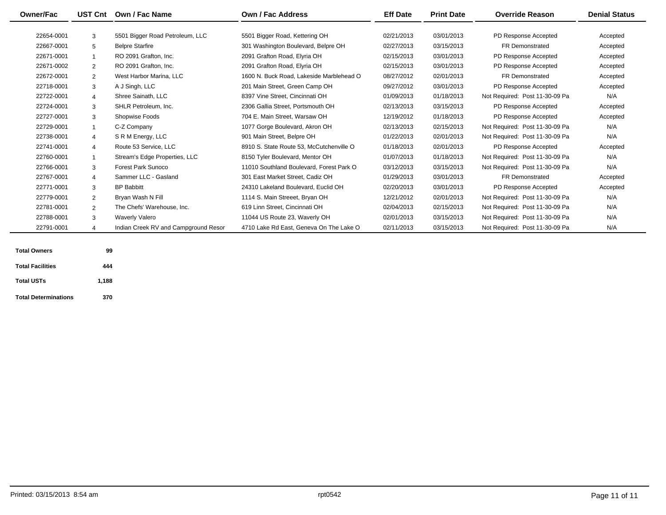| <b>Owner/Fac</b> | UST Cnt        | Own / Fac Name                       | Own / Fac Address                        | <b>Eff Date</b> | <b>Print Date</b> | <b>Override Reason</b>         | <b>Denial Status</b> |
|------------------|----------------|--------------------------------------|------------------------------------------|-----------------|-------------------|--------------------------------|----------------------|
| 22654-0001       | 3              | 5501 Bigger Road Petroleum, LLC      | 5501 Bigger Road, Kettering OH           | 02/21/2013      | 03/01/2013        | PD Response Accepted           | Accepted             |
|                  |                |                                      |                                          |                 |                   |                                |                      |
| 22667-0001       | 5              | <b>Belpre Starfire</b>               | 301 Washington Boulevard, Belpre OH      | 02/27/2013      | 03/15/2013        | FR Demonstrated                | Accepted             |
| 22671-0001       |                | RO 2091 Grafton, Inc.                | 2091 Grafton Road, Elyria OH             | 02/15/2013      | 03/01/2013        | PD Response Accepted           | Accepted             |
| 22671-0002       | $\overline{2}$ | RO 2091 Grafton, Inc.                | 2091 Grafton Road, Elyria OH             | 02/15/2013      | 03/01/2013        | PD Response Accepted           | Accepted             |
| 22672-0001       | $\overline{2}$ | West Harbor Marina, LLC              | 1600 N. Buck Road, Lakeside Marblehead O | 08/27/2012      | 02/01/2013        | <b>FR Demonstrated</b>         | Accepted             |
| 22718-0001       | 3              | A J Singh, LLC                       | 201 Main Street, Green Camp OH           | 09/27/2012      | 03/01/2013        | PD Response Accepted           | Accepted             |
| 22722-0001       | $\overline{4}$ | Shree Sainath, LLC                   | 8397 Vine Street. Cincinnati OH          | 01/09/2013      | 01/18/2013        | Not Required: Post 11-30-09 Pa | N/A                  |
| 22724-0001       | 3              | SHLR Petroleum, Inc.                 | 2306 Gallia Street, Portsmouth OH        | 02/13/2013      | 03/15/2013        | PD Response Accepted           | Accepted             |
| 22727-0001       | 3              | Shopwise Foods                       | 704 E. Main Street, Warsaw OH            | 12/19/2012      | 01/18/2013        | PD Response Accepted           | Accepted             |
| 22729-0001       |                | C-Z Company                          | 1077 Gorge Boulevard, Akron OH           | 02/13/2013      | 02/15/2013        | Not Required: Post 11-30-09 Pa | N/A                  |
| 22738-0001       | 4              | S R M Energy, LLC                    | 901 Main Street, Belpre OH               | 01/22/2013      | 02/01/2013        | Not Required: Post 11-30-09 Pa | N/A                  |
| 22741-0001       | 4              | Route 53 Service, LLC                | 8910 S. State Route 53. McCutchenville O | 01/18/2013      | 02/01/2013        | PD Response Accepted           | Accepted             |
| 22760-0001       |                | Stream's Edge Properties, LLC        | 8150 Tyler Boulevard, Mentor OH          | 01/07/2013      | 01/18/2013        | Not Required: Post 11-30-09 Pa | N/A                  |
| 22766-0001       | 3              | Forest Park Sunoco                   | 11010 Southland Boulevard, Forest Park O | 03/12/2013      | 03/15/2013        | Not Required: Post 11-30-09 Pa | N/A                  |
| 22767-0001       | 4              | Sammer LLC - Gasland                 | 301 East Market Street, Cadiz OH         | 01/29/2013      | 03/01/2013        | <b>FR Demonstrated</b>         | Accepted             |
| 22771-0001       | 3              | <b>BP Babbitt</b>                    | 24310 Lakeland Boulevard. Euclid OH      | 02/20/2013      | 03/01/2013        | PD Response Accepted           | Accepted             |
| 22779-0001       | 2              | Bryan Wash N Fill                    | 1114 S. Main Streeet, Bryan OH           | 12/21/2012      | 02/01/2013        | Not Required: Post 11-30-09 Pa | N/A                  |
| 22781-0001       | $\overline{2}$ | The Chefs' Warehouse, Inc.           | 619 Linn Street, Cincinnati OH           | 02/04/2013      | 02/15/2013        | Not Required: Post 11-30-09 Pa | N/A                  |
| 22788-0001       | 3              | <b>Waverly Valero</b>                | 11044 US Route 23, Waverly OH            | 02/01/2013      | 03/15/2013        | Not Required: Post 11-30-09 Pa | N/A                  |
| 22791-0001       |                | Indian Creek RV and Campground Resor | 4710 Lake Rd East, Geneva On The Lake O  | 02/11/2013      | 03/15/2013        | Not Required: Post 11-30-09 Pa | N/A                  |

| <b>Total Owners</b>         | 99    |  |
|-----------------------------|-------|--|
| <b>Total Facilities</b>     | 444   |  |
| <b>Total USTs</b>           | 1,188 |  |
| <b>Total Determinations</b> | 370   |  |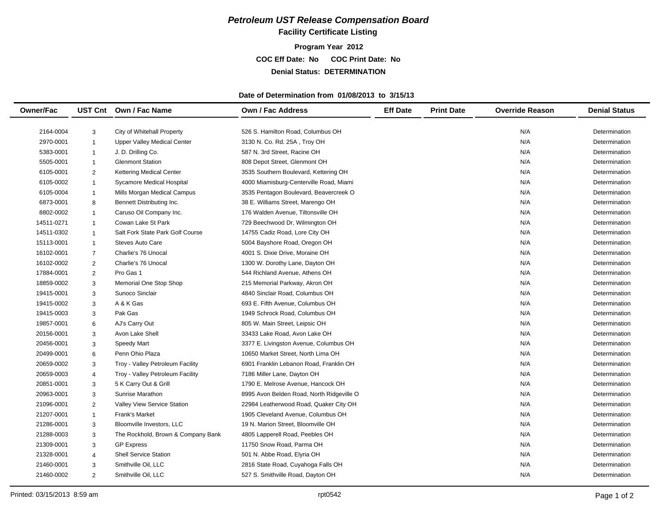### **Facility Certificate Listing**

**Program Year 2012 COC Eff Date: No COC Print Date: No Denial Status: DETERMINATION**

#### **Date of Determination from 01/08/2013 to 3/15/13**

| <b>Owner/Fac</b> |                | UST Cnt Own / Fac Name             | Own / Fac Address                         | <b>Eff Date</b> | <b>Print Date</b> | <b>Override Reason</b> | <b>Denial Status</b> |
|------------------|----------------|------------------------------------|-------------------------------------------|-----------------|-------------------|------------------------|----------------------|
|                  |                |                                    |                                           |                 |                   |                        |                      |
| 2164-0004        | 3              | City of Whitehall Property         | 526 S. Hamilton Road, Columbus OH         |                 |                   | N/A                    | Determination        |
| 2970-0001        | $\overline{1}$ | <b>Upper Valley Medical Center</b> | 3130 N. Co. Rd. 25A, Troy OH              |                 |                   | N/A                    | Determination        |
| 5383-0001        | $\mathbf{1}$   | J. D. Drilling Co.                 | 587 N. 3rd Street, Racine OH              |                 |                   | N/A                    | Determination        |
| 5505-0001        | $\mathbf{1}$   | <b>Glenmont Station</b>            | 808 Depot Street, Glenmont OH             |                 |                   | N/A                    | Determination        |
| 6105-0001        | 2              | Kettering Medical Center           | 3535 Southern Boulevard, Kettering OH     |                 |                   | N/A                    | Determination        |
| 6105-0002        | $\overline{1}$ | Sycamore Medical Hospital          | 4000 Miamisburg-Centerville Road, Miami   |                 |                   | N/A                    | Determination        |
| 6105-0004        | $\mathbf{1}$   | Mills Morgan Medical Campus        | 3535 Pentagon Boulevard, Beavercreek O    |                 |                   | N/A                    | Determination        |
| 6873-0001        | 8              | Bennett Distributing Inc.          | 38 E. Williams Street, Marengo OH         |                 |                   | N/A                    | Determination        |
| 8802-0002        | $\overline{1}$ | Caruso Oil Company Inc.            | 176 Walden Avenue, Tiltonsville OH        |                 |                   | N/A                    | Determination        |
| 14511-0271       | $\overline{1}$ | Cowan Lake St Park                 | 729 Beechwood Dr, Wilmington OH           |                 |                   | N/A                    | Determination        |
| 14511-0302       | $\overline{1}$ | Salt Fork State Park Golf Course   | 14755 Cadiz Road, Lore City OH            |                 |                   | N/A                    | Determination        |
| 15113-0001       | $\mathbf{1}$   | <b>Steves Auto Care</b>            | 5004 Bayshore Road, Oregon OH             |                 |                   | N/A                    | Determination        |
| 16102-0001       | $\overline{7}$ | Charlie's 76 Unocal                | 4001 S. Dixie Drive, Moraine OH           |                 |                   | N/A                    | Determination        |
| 16102-0002       | $\overline{2}$ | Charlie's 76 Unocal                | 1300 W. Dorothy Lane, Dayton OH           |                 |                   | N/A                    | Determination        |
| 17884-0001       | 2              | Pro Gas 1                          | 544 Richland Avenue, Athens OH            |                 |                   | N/A                    | Determination        |
| 18859-0002       | 3              | Memorial One Stop Shop             | 215 Memorial Parkway, Akron OH            |                 |                   | N/A                    | Determination        |
| 19415-0001       | 3              | Sunoco Sinclair                    | 4840 Sinclair Road, Columbus OH           |                 |                   | N/A                    | Determination        |
| 19415-0002       | 3              | A & K Gas                          | 693 E. Fifth Avenue, Columbus OH          |                 |                   | N/A                    | Determination        |
| 19415-0003       | 3              | Pak Gas                            | 1949 Schrock Road, Columbus OH            |                 |                   | N/A                    | Determination        |
| 19857-0001       | 6              | AJ's Carry Out                     | 805 W. Main Street, Leipsic OH            |                 |                   | N/A                    | Determination        |
| 20156-0001       | 3              | Avon Lake Shell                    | 33433 Lake Road, Avon Lake OH             |                 |                   | N/A                    | Determination        |
| 20456-0001       | 3              | <b>Speedy Mart</b>                 | 3377 E. Livingston Avenue, Columbus OH    |                 |                   | N/A                    | Determination        |
| 20499-0001       | 6              | Penn Ohio Plaza                    | 10650 Market Street, North Lima OH        |                 |                   | N/A                    | Determination        |
| 20659-0002       | 3              | Troy - Valley Petroleum Facility   | 6901 Franklin Lebanon Road, Franklin OH   |                 |                   | N/A                    | Determination        |
| 20659-0003       | $\overline{4}$ | Troy - Valley Petroleum Facility   | 7186 Miller Lane, Dayton OH               |                 |                   | N/A                    | Determination        |
| 20851-0001       | 3              | 5 K Carry Out & Grill              | 1790 E. Melrose Avenue, Hancock OH        |                 |                   | N/A                    | Determination        |
| 20963-0001       | 3              | <b>Sunrise Marathon</b>            | 8995 Avon Belden Road, North Ridgeville O |                 |                   | N/A                    | Determination        |
| 21096-0001       | $\overline{2}$ | Valley View Service Station        | 22984 Leatherwood Road, Quaker City OH    |                 |                   | N/A                    | Determination        |
| 21207-0001       | $\mathbf{1}$   | <b>Frank's Market</b>              | 1905 Cleveland Avenue, Columbus OH        |                 |                   | N/A                    | Determination        |
| 21286-0001       | 3              | Bloomville Investors, LLC          | 19 N. Marion Street. Bloomville OH        |                 |                   | N/A                    | Determination        |
| 21288-0003       | 3              | The Rockhold, Brown & Company Bank | 4805 Lapperell Road, Peebles OH           |                 |                   | N/A                    | Determination        |
| 21309-0001       | 3              | <b>GP Express</b>                  | 11750 Snow Road, Parma OH                 |                 |                   | N/A                    | Determination        |
| 21328-0001       | 4              | <b>Shell Service Station</b>       | 501 N. Abbe Road, Elyria OH               |                 |                   | N/A                    | Determination        |
| 21460-0001       | 3              | Smithville Oil, LLC                | 2816 State Road, Cuyahoga Falls OH        |                 |                   | N/A                    | Determination        |
| 21460-0002       | 2              | Smithville Oil, LLC                | 527 S. Smithville Road, Dayton OH         |                 |                   | N/A                    | Determination        |